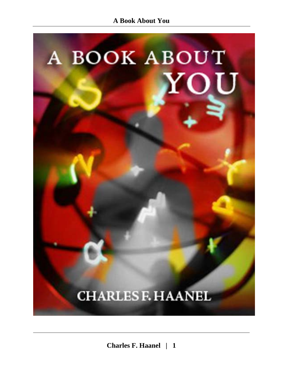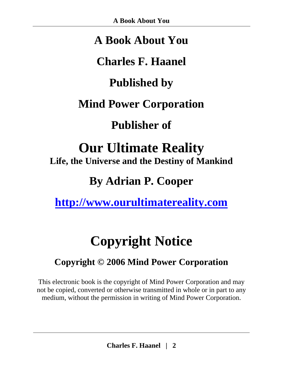## **A Book About You**

## **Charles F. Haanel**

## **Published by**

## **Mind Power Corporation**

## **Publisher of**

# **Our Ultimate Reality**

**Life, the Universe and the Destiny of Mankind** 

## **By Adrian P. Cooper**

**[http://www.ourultimatereality.com](http://www.ourultimatereality.com/)**

# **Copyright Notice**

### **Copyright © 2006 Mind Power Corporation**

This electronic book is the copyright of Mind Power Corporation and may not be copied, converted or otherwise transmitted in whole or in part to any medium, without the permission in writing of Mind Power Corporation.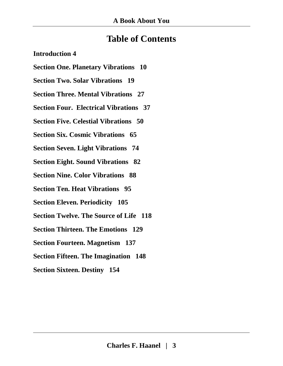### **Table of Contents**

**[Introduction 4](#page-3-0)**

**[Section One. Planetary Vibrations 10](#page-9-0)**

**[Section Two. Solar Vibrations 19](#page-18-0)**

**[Section Three. Mental Vibrations 27](#page-26-0)**

**[Section Four. Electrical Vibrations 37](#page-36-0)**

**[Section Five. Celestial Vibrations 50](#page-49-0)**

**[Section Six. Cosmic Vibrations 65](#page-64-0)**

**[Section Seven. Light Vibrations 74](#page-73-0)**

**[Section Eight. Sound Vibrations 82](#page-81-0)**

**[Section Nine. Color Vibrations 88](#page-87-0)**

**[Section Ten. Heat Vibrations 95](#page-94-0)**

**[Section Eleven. Periodicity 105](#page-104-0)**

**[Section Twelve. The Source of Life 118](#page-117-0)**

**[Section Thirteen. The Emotions 129](#page-128-0)**

**[Section Fourteen. Magnetism 137](#page-136-0)**

**[Section Fifteen. The Imagination 148](#page-147-0)**

**[Section Sixteen. Destiny 154](#page-153-0)**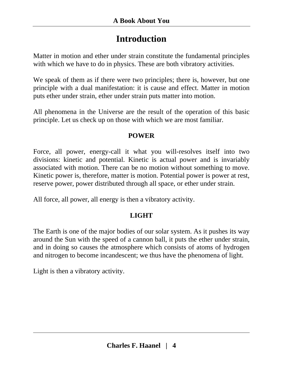### **Introduction**

<span id="page-3-0"></span>Matter in motion and ether under strain constitute the fundamental principles with which we have to do in physics. These are both vibratory activities.

We speak of them as if there were two principles; there is, however, but one principle with a dual manifestation: it is cause and effect. Matter in motion puts ether under strain, ether under strain puts matter into motion.

All phenomena in the Universe are the result of the operation of this basic principle. Let us check up on those with which we are most familiar.

#### **POWER**

Force, all power, energy-call it what you will-resolves itself into two divisions: kinetic and potential. Kinetic is actual power and is invariably associated with motion. There can be no motion without something to move. Kinetic power is, therefore, matter is motion. Potential power is power at rest, reserve power, power distributed through all space, or ether under strain.

All force, all power, all energy is then a vibratory activity.

#### **LIGHT**

The Earth is one of the major bodies of our solar system. As it pushes its way around the Sun with the speed of a cannon ball, it puts the ether under strain, and in doing so causes the atmosphere which consists of atoms of hydrogen and nitrogen to become incandescent; we thus have the phenomena of light.

Light is then a vibratory activity.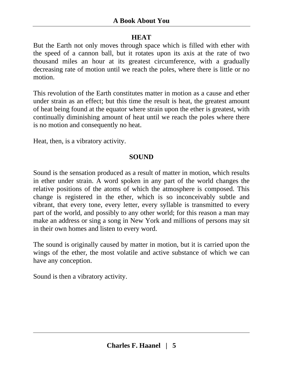#### **HEAT**

But the Earth not only moves through space which is filled with ether with the speed of a cannon ball, but it rotates upon its axis at the rate of two thousand miles an hour at its greatest circumference, with a gradually decreasing rate of motion until we reach the poles, where there is little or no motion.

This revolution of the Earth constitutes matter in motion as a cause and ether under strain as an effect; but this time the result is heat, the greatest amount of heat being found at the equator where strain upon the ether is greatest, with continually diminishing amount of heat until we reach the poles where there is no motion and consequently no heat.

Heat, then, is a vibratory activity.

#### **SOUND**

Sound is the sensation produced as a result of matter in motion, which results in ether under strain. A word spoken in any part of the world changes the relative positions of the atoms of which the atmosphere is composed. This change is registered in the ether, which is so inconceivably subtle and vibrant, that every tone, every letter, every syllable is transmitted to every part of the world, and possibly to any other world; for this reason a man may make an address or sing a song in New York and millions of persons may sit in their own homes and listen to every word.

The sound is originally caused by matter in motion, but it is carried upon the wings of the ether, the most volatile and active substance of which we can have any conception.

Sound is then a vibratory activity.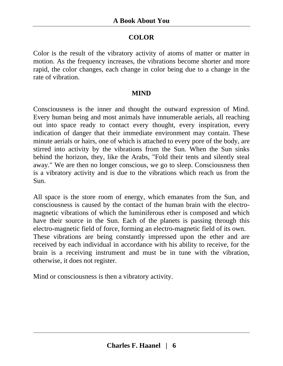#### **COLOR**

Color is the result of the vibratory activity of atoms of matter or matter in motion. As the frequency increases, the vibrations become shorter and more rapid, the color changes, each change in color being due to a change in the rate of vibration.

#### **MIND**

Consciousness is the inner and thought the outward expression of Mind. Every human being and most animals have innumerable aerials, all reaching out into space ready to contact every thought, every inspiration, every indication of danger that their immediate environment may contain. These minute aerials or hairs, one of which is attached to every pore of the body, are stirred into activity by the vibrations from the Sun. When the Sun sinks behind the horizon, they, like the Arabs, "Fold their tents and silently steal away." We are then no longer conscious, we go to sleep. Consciousness then is a vibratory activity and is due to the vibrations which reach us from the Sun.

All space is the store room of energy, which emanates from the Sun, and consciousness is caused by the contact of the human brain with the electromagnetic vibrations of which the luminiferous ether is composed and which have their source in the Sun. Each of the planets is passing through this electro-magnetic field of force, forming an electro-magnetic field of its own. These vibrations are being constantly impressed upon the ether and are received by each individual in accordance with his ability to receive, for the brain is a receiving instrument and must be in tune with the vibration, otherwise, it does not register.

Mind or consciousness is then a vibratory activity.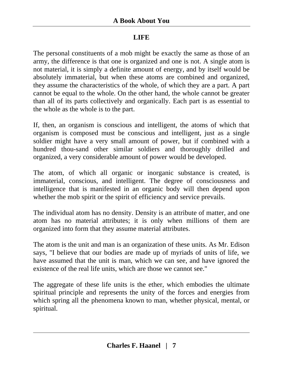#### **LIFE**

The personal constituents of a mob might be exactly the same as those of an army, the difference is that one is organized and one is not. A single atom is not material, it is simply a definite amount of energy, and by itself would be absolutely immaterial, but when these atoms are combined and organized, they assume the characteristics of the whole, of which they are a part. A part cannot be equal to the whole. On the other hand, the whole cannot be greater than all of its parts collectively and organically. Each part is as essential to the whole as the whole is to the part.

If, then, an organism is conscious and intelligent, the atoms of which that organism is composed must be conscious and intelligent, just as a single soldier might have a very small amount of power, but if combined with a hundred thou-sand other similar soldiers and thoroughly drilled and organized, a very considerable amount of power would be developed.

The atom, of which all organic or inorganic substance is created, is immaterial, conscious, and intelligent. The degree of consciousness and intelligence that is manifested in an organic body will then depend upon whether the mob spirit or the spirit of efficiency and service prevails.

The individual atom has no density. Density is an attribute of matter, and one atom has no material attributes; it is only when millions of them are organized into form that they assume material attributes.

The atom is the unit and man is an organization of these units. As Mr. Edison says, "I believe that our bodies are made up of myriads of units of life, we have assumed that the unit is man, which we can see, and have ignored the existence of the real life units, which are those we cannot see."

The aggregate of these life units is the ether, which embodies the ultimate spiritual principle and represents the unity of the forces and energies from which spring all the phenomena known to man, whether physical, mental, or spiritual.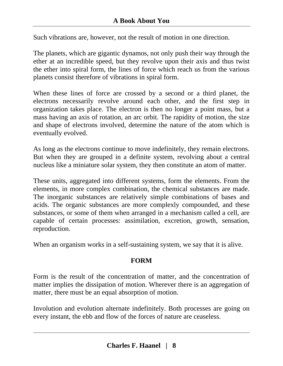Such vibrations are, however, not the result of motion in one direction.

The planets, which are gigantic dynamos, not only push their way through the ether at an incredible speed, but they revolve upon their axis and thus twist the ether into spiral form, the lines of force which reach us from the various planets consist therefore of vibrations in spiral form.

When these lines of force are crossed by a second or a third planet, the electrons necessarily revolve around each other, and the first step in organization takes place. The electron is then no longer a point mass, but a mass having an axis of rotation, an arc orbit. The rapidity of motion, the size and shape of electrons involved, determine the nature of the atom which is eventually evolved.

As long as the electrons continue to move indefinitely, they remain electrons. But when they are grouped in a definite system, revolving about a central nucleus like a miniature solar system, they then constitute an atom of matter.

These units, aggregated into different systems, form the elements. From the elements, in more complex combination, the chemical substances are made. The inorganic substances are relatively simple combinations of bases and acids. The organic substances are more complexly compounded, and these substances, or some of them when arranged in a mechanism called a cell, are capable of certain processes: assimilation, excretion, growth, sensation, reproduction.

When an organism works in a self-sustaining system, we say that it is alive.

#### **FORM**

Form is the result of the concentration of matter, and the concentration of matter implies the dissipation of motion. Wherever there is an aggregation of matter, there must be an equal absorption of motion.

Involution and evolution alternate indefinitely. Both processes are going on every instant, the ebb and flow of the forces of nature are ceaseless.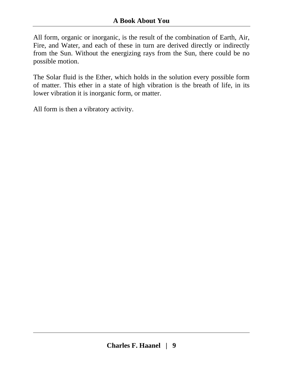All form, organic or inorganic, is the result of the combination of Earth, Air, Fire, and Water, and each of these in turn are derived directly or indirectly from the Sun. Without the energizing rays from the Sun, there could be no possible motion.

The Solar fluid is the Ether, which holds in the solution every possible form of matter. This ether in a state of high vibration is the breath of life, in its lower vibration it is inorganic form, or matter.

All form is then a vibratory activity.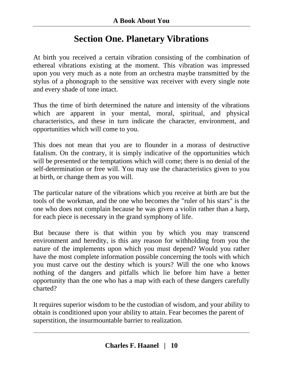### **Section One. Planetary Vibrations**

<span id="page-9-0"></span>At birth you received a certain vibration consisting of the combination of ethereal vibrations existing at the moment. This vibration was impressed upon you very much as a note from an orchestra maybe transmitted by the stylus of a phonograph to the sensitive wax receiver with every single note and every shade of tone intact.

Thus the time of birth determined the nature and intensity of the vibrations which are apparent in your mental, moral, spiritual, and physical characteristics, and these in turn indicate the character, environment, and opportunities which will come to you.

This does not mean that you are to flounder in a morass of destructive fatalism. On the contrary, it is simply indicative of the opportunities which will be presented or the temptations which will come; there is no denial of the self-determination or free will. You may use the characteristics given to you at birth, or change them as you will.

The particular nature of the vibrations which you receive at birth are but the tools of the workman, and the one who becomes the "ruler of his stars" is the one who does not complain because he was given a violin rather than a harp, for each piece is necessary in the grand symphony of life.

But because there is that within you by which you may transcend environment and heredity, is this any reason for withholding from you the nature of the implements upon which you must depend? Would you rather have the most complete information possible concerning the tools with which you must carve out the destiny which is yours? Will the one who knows nothing of the dangers and pitfalls which lie before him have a better opportunity than the one who has a map with each of these dangers carefully charted?

It requires superior wisdom to be the custodian of wisdom, and your ability to obtain is conditioned upon your ability to attain. Fear becomes the parent of superstition, the insurmountable barrier to realization.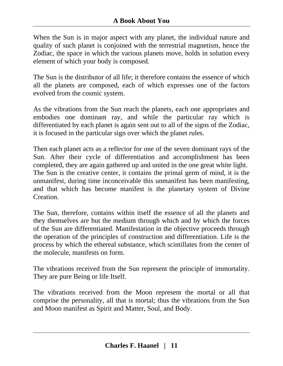When the Sun is in major aspect with any planet, the individual nature and quality of such planet is conjoined with the terrestrial magnetism, hence the Zodiac, the space in which the various planets move, holds in solution every element of which your body is composed.

The Sun is the distributor of all life; it therefore contains the essence of which all the planets are composed, each of which expresses one of the factors evolved from the cosmic system.

As the vibrations from the Sun reach the planets, each one appropriates and embodies one dominant ray, and while the particular ray which is differentiated by each planet is again sent out to all of the signs of the Zodiac, it is focused in the particular sign over which the planet rules.

Then each planet acts as a reflector for one of the seven dominant rays of the Sun. After their cycle of differentiation and accomplishment has been completed, they are again gathered up and united in the one great white light. The Sun is the creative center, it contains the primal germ of mind, it is the unmanifest, during time inconceivable this unmanifest has been manifesting, and that which has become manifest is the planetary system of Divine Creation.

The Sun, therefore, contains within itself the essence of all the planets and they themselves are but the medium through which and by which the forces of the Sun are differentiated. Manifestation in the objective proceeds through the operation of the principles of construction and differentiation. Life is the process by which the ethereal substance, which scintillates from the center of the molecule, manifests on form.

The vibrations received from the Sun represent the principle of immortality. They are pure Being or life Itself.

The vibrations received from the Moon represent the mortal or all that comprise the personality, all that is mortal; thus the vibrations from the Sun and Moon manifest as Spirit and Matter, Soul, and Body.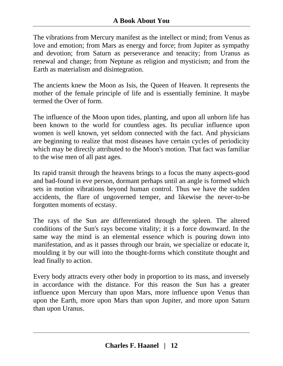The vibrations from Mercury manifest as the intellect or mind; from Venus as love and emotion; from Mars as energy and force; from Jupiter as sympathy and devotion; from Saturn as perseverance and tenacity; from Uranus as renewal and change; from Neptune as religion and mysticism; and from the Earth as materialism and disintegration.

The ancients knew the Moon as Isis, the Queen of Heaven. It represents the mother of the female principle of life and is essentially feminine. It maybe termed the Over of form.

The influence of the Moon upon tides, planting, and upon all unborn life has been known to the world for countless ages. Its peculiar influence upon women is well known, yet seldom connected with the fact. And physicians are beginning to realize that most diseases have certain cycles of periodicity which may be directly attributed to the Moon's motion. That fact was familiar to the wise men of all past ages.

Its rapid transit through the heavens brings to a focus the many aspects-good and bad-found in eve person, dormant perhaps until an angle is formed which sets in motion vibrations beyond human control. Thus we have the sudden accidents, the flare of ungoverned temper, and likewise the never-to-be forgotten moments of ecstasy.

The rays of the Sun are differentiated through the spleen. The altered conditions of the Sun's rays become vitality; it is a force downward. In the same way the mind is an elemental essence which is pouring down into manifestation, and as it passes through our brain, we specialize or educate it, moulding it by our will into the thought-forms which constitute thought and lead finally to action.

Every body attracts every other body in proportion to its mass, and inversely in accordance with the distance. For this reason the Sun has a greater influence upon Mercury than upon Mars, more influence upon Venus than upon the Earth, more upon Mars than upon Jupiter, and more upon Saturn than upon Uranus.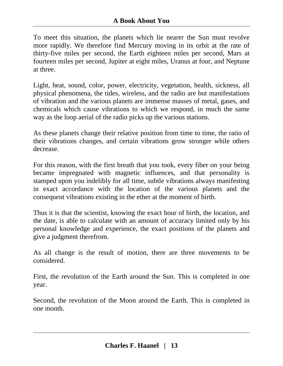To meet this situation, the planets which lie nearer the Sun must revolve more rapidly. We therefore find Mercury moving in its orbit at the rate of thirty-five miles per second, the Earth eighteen miles per second, Mars at fourteen miles per second, Jupiter at eight miles, Uranus at four, and Neptune at three.

Light, heat, sound, color, power, electricity, vegetation, health, sickness, all physical phenomena, the tides, wireless, and the radio are but manifestations of vibration and the various planets are immense masses of metal, gases, and chemicals which cause vibrations to which we respond, in much the same way as the loop aerial of the radio picks up the various stations.

As these planets change their relative position from time to time, the ratio of their vibrations changes, and certain vibrations grow stronger while others decrease.

For this reason, with the first breath that you took, every fiber on your being became impregnated with magnetic influences, and that personality is stamped upon you indelibly for all time, subtle vibrations always manifesting in exact accordance with the location of the various planets and the consequent vibrations existing in the ether at the moment of birth.

Thus it is that the scientist, knowing the exact hour of birth, the location, and the date, is able to calculate with an amount of accuracy limited only by his personal knowledge and experience, the exact positions of the planets and give a judgment therefrom.

As all change is the result of motion, there are three movements to be considered.

First, the revolution of the Earth around the Sun. This is completed in one year.

Second, the revolution of the Moon around the Earth. This is completed in one month.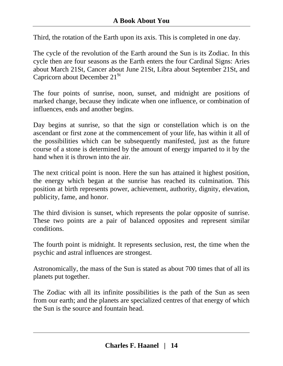Third, the rotation of the Earth upon its axis. This is completed in one day.

The cycle of the revolution of the Earth around the Sun is its Zodiac. In this cycle then are four seasons as the Earth enters the four Cardinal Signs: Aries about March 21St, Cancer about June 21St, Libra about September 21St, and Capricorn about December  $21^{St}$ 

The four points of sunrise, noon, sunset, and midnight are positions of marked change, because they indicate when one influence, or combination of influences, ends and another begins.

Day begins at sunrise, so that the sign or constellation which is on the ascendant or first zone at the commencement of your life, has within it all of the possibilities which can be subsequently manifested, just as the future course of a stone is determined by the amount of energy imparted to it by the hand when it is thrown into the air.

The next critical point is noon. Here the sun has attained it highest position, the energy which began at the sunrise has reached its culmination. This position at birth represents power, achievement, authority, dignity, elevation, publicity, fame, and honor.

The third division is sunset, which represents the polar opposite of sunrise. These two points are a pair of balanced opposites and represent similar conditions.

The fourth point is midnight. It represents seclusion, rest, the time when the psychic and astral influences are strongest.

Astronomically, the mass of the Sun is stated as about 700 times that of all its planets put together.

The Zodiac with all its infinite possibilities is the path of the Sun as seen from our earth; and the planets are specialized centres of that energy of which the Sun is the source and fountain head.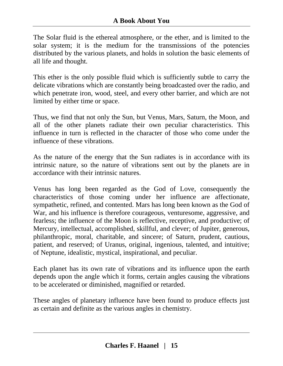The Solar fluid is the ethereal atmosphere, or the ether, and is limited to the solar system; it is the medium for the transmissions of the potencies distributed by the various planets, and holds in solution the basic elements of all life and thought.

This ether is the only possible fluid which is sufficiently subtle to carry the delicate vibrations which are constantly being broadcasted over the radio, and which penetrate iron, wood, steel, and every other barrier, and which are not limited by either time or space.

Thus, we find that not only the Sun, but Venus, Mars, Saturn, the Moon, and all of the other planets radiate their own peculiar characteristics. This influence in turn is reflected in the character of those who come under the influence of these vibrations.

As the nature of the energy that the Sun radiates is in accordance with its intrinsic nature, so the nature of vibrations sent out by the planets are in accordance with their intrinsic natures.

Venus has long been regarded as the God of Love, consequently the characteristics of those coming under her influence are affectionate, sympathetic, refined, and contented. Mars has long been known as the God of War, and his influence is therefore courageous, venturesome, aggressive, and fearless; the influence of the Moon is reflective, receptive, and productive; of Mercury, intellectual, accomplished, skillful, and clever; of Jupiter, generous, philanthropic, moral, charitable, and sincere; of Saturn, prudent, cautious, patient, and reserved; of Uranus, original, ingenious, talented, and intuitive; of Neptune, idealistic, mystical, inspirational, and peculiar.

Each planet has its own rate of vibrations and its influence upon the earth depends upon the angle which it forms, certain angles causing the vibrations to be accelerated or diminished, magnified or retarded.

These angles of planetary influence have been found to produce effects just as certain and definite as the various angles in chemistry.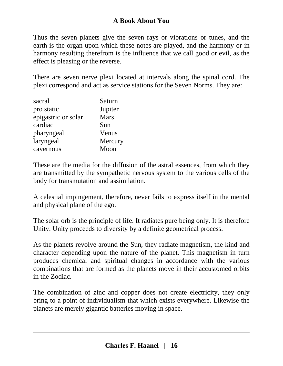Thus the seven planets give the seven rays or vibrations or tunes, and the earth is the organ upon which these notes are played, and the harmony or in harmony resulting therefrom is the influence that we call good or evil, as the effect is pleasing or the reverse.

There are seven nerve plexi located at intervals along the spinal cord. The plexi correspond and act as service stations for the Seven Norms. They are:

| sacral              | Saturn      |
|---------------------|-------------|
| pro static          | Jupiter     |
| epigastric or solar | <b>Mars</b> |
| cardiac             | Sun         |
| pharyngeal          | Venus       |
| laryngeal           | Mercury     |
| cavernous           | Moon        |

These are the media for the diffusion of the astral essences, from which they are transmitted by the sympathetic nervous system to the various cells of the body for transmutation and assimilation.

A celestial impingement, therefore, never fails to express itself in the mental and physical plane of the ego.

The solar orb is the principle of life. It radiates pure being only. It is therefore Unity. Unity proceeds to diversity by a definite geometrical process.

As the planets revolve around the Sun, they radiate magnetism, the kind and character depending upon the nature of the planet. This magnetism in turn produces chemical and spiritual changes in accordance with the various combinations that are formed as the planets move in their accustomed orbits in the Zodiac.

The combination of zinc and copper does not create electricity, they only bring to a point of individualism that which exists everywhere. Likewise the planets are merely gigantic batteries moving in space.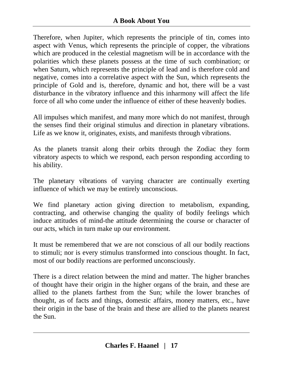Therefore, when Jupiter, which represents the principle of tin, comes into aspect with Venus, which represents the principle of copper, the vibrations which are produced in the celestial magnetism will be in accordance with the polarities which these planets possess at the time of such combination; or when Saturn, which represents the principle of lead and is therefore cold and negative, comes into a correlative aspect with the Sun, which represents the principle of Gold and is, therefore, dynamic and hot, there will be a vast disturbance in the vibratory influence and this inharmony will affect the life force of all who come under the influence of either of these heavenly bodies.

All impulses which manifest, and many more which do not manifest, through the senses find their original stimulus and direction in planetary vibrations. Life as we know it, originates, exists, and manifests through vibrations.

As the planets transit along their orbits through the Zodiac they form vibratory aspects to which we respond, each person responding according to his ability.

The planetary vibrations of varying character are continually exerting influence of which we may be entirely unconscious.

We find planetary action giving direction to metabolism, expanding, contracting, and otherwise changing the quality of bodily feelings which induce attitudes of mind-the attitude determining the course or character of our acts, which in turn make up our environment.

It must be remembered that we are not conscious of all our bodily reactions to stimuli; nor is every stimulus transformed into conscious thought. In fact, most of our bodily reactions are performed unconsciously.

There is a direct relation between the mind and matter. The higher branches of thought have their origin in the higher organs of the brain, and these are allied to the planets farthest from the Sun; while the lower branches of thought, as of facts and things, domestic affairs, money matters, etc., have their origin in the base of the brain and these are allied to the planets nearest the Sun.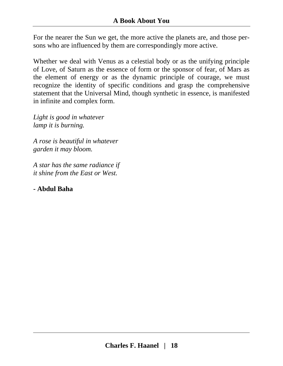For the nearer the Sun we get, the more active the planets are, and those persons who are influenced by them are correspondingly more active.

Whether we deal with Venus as a celestial body or as the unifying principle of Love, of Saturn as the essence of form or the sponsor of fear, of Mars as the element of energy or as the dynamic principle of courage, we must recognize the identity of specific conditions and grasp the comprehensive statement that the Universal Mind, though synthetic in essence, is manifested in infinite and complex form.

*Light is good in whatever lamp it is burning.* 

*A rose is beautiful in whatever garden it may bloom.* 

*A star has the same radiance if it shine from the East or West.* 

**- Abdul Baha**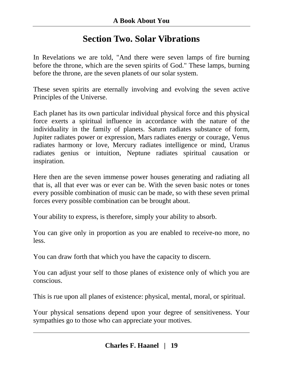### **Section Two. Solar Vibrations**

<span id="page-18-0"></span>In Revelations we are told, "And there were seven lamps of fire burning before the throne, which are the seven spirits of God." These lamps, burning before the throne, are the seven planets of our solar system.

These seven spirits are eternally involving and evolving the seven active Principles of the Universe.

Each planet has its own particular individual physical force and this physical force exerts a spiritual influence in accordance with the nature of the individuality in the family of planets. Saturn radiates substance of form, Jupiter radiates power or expression, Mars radiates energy or courage, Venus radiates harmony or love, Mercury radiates intelligence or mind, Uranus radiates genius or intuition, Neptune radiates spiritual causation or inspiration.

Here then are the seven immense power houses generating and radiating all that is, all that ever was or ever can be. With the seven basic notes or tones every possible combination of music can be made, so with these seven primal forces every possible combination can be brought about.

Your ability to express, is therefore, simply your ability to absorb.

You can give only in proportion as you are enabled to receive-no more, no less.

You can draw forth that which you have the capacity to discern.

You can adjust your self to those planes of existence only of which you are conscious.

This is rue upon all planes of existence: physical, mental, moral, or spiritual.

Your physical sensations depend upon your degree of sensitiveness. Your sympathies go to those who can appreciate your motives.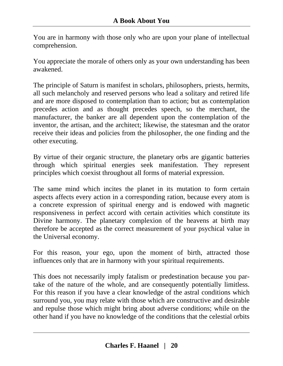You are in harmony with those only who are upon your plane of intellectual comprehension.

You appreciate the morale of others only as your own understanding has been awakened.

The principle of Saturn is manifest in scholars, philosophers, priests, hermits, all such melancholy and reserved persons who lead a solitary and retired life and are more disposed to contemplation than to action; but as contemplation precedes action and as thought precedes speech, so the merchant, the manufacturer, the banker are all dependent upon the contemplation of the inventor, the artisan, and the architect; likewise, the statesman and the orator receive their ideas and policies from the philosopher, the one finding and the other executing.

By virtue of their organic structure, the planetary orbs are gigantic batteries through which spiritual energies seek manifestation. They represent principles which coexist throughout all forms of material expression.

The same mind which incites the planet in its mutation to form certain aspects affects every action in a corresponding ration, because every atom is a concrete expression of spiritual energy and is endowed with magnetic responsiveness in perfect accord with certain activities which constitute its Divine harmony. The planetary complexion of the heavens at birth may therefore be accepted as the correct measurement of your psychical value in the Universal economy.

For this reason, your ego, upon the moment of birth, attracted those influences only that are in harmony with your spiritual requirements.

This does not necessarily imply fatalism or predestination because you partake of the nature of the whole, and are consequently potentially limitless. For this reason if you have a clear knowledge of the astral conditions which surround you, you may relate with those which are constructive and desirable and repulse those which might bring about adverse conditions; while on the other hand if you have no knowledge of the conditions that the celestial orbits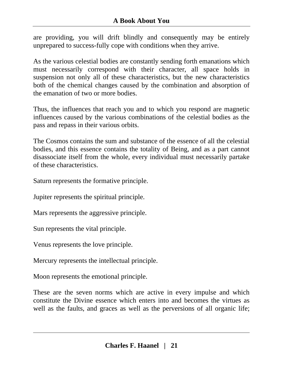are providing, you will drift blindly and consequently may be entirely unprepared to success-fully cope with conditions when they arrive.

As the various celestial bodies are constantly sending forth emanations which must necessarily correspond with their character, all space holds in suspension not only all of these characteristics, but the new characteristics both of the chemical changes caused by the combination and absorption of the emanation of two or more bodies.

Thus, the influences that reach you and to which you respond are magnetic influences caused by the various combinations of the celestial bodies as the pass and repass in their various orbits.

The Cosmos contains the sum and substance of the essence of all the celestial bodies, and this essence contains the totality of Being, and as a part cannot disassociate itself from the whole, every individual must necessarily partake of these characteristics.

Saturn represents the formative principle.

Jupiter represents the spiritual principle.

Mars represents the aggressive principle.

Sun represents the vital principle.

Venus represents the love principle.

Mercury represents the intellectual principle.

Moon represents the emotional principle.

These are the seven norms which are active in every impulse and which constitute the Divine essence which enters into and becomes the virtues as well as the faults, and graces as well as the perversions of all organic life;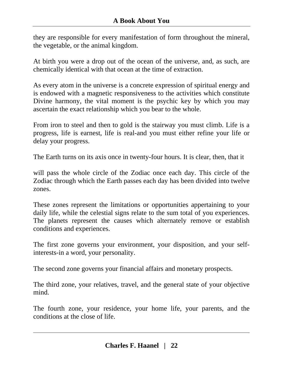they are responsible for every manifestation of form throughout the mineral, the vegetable, or the animal kingdom.

At birth you were a drop out of the ocean of the universe, and, as such, are chemically identical with that ocean at the time of extraction.

As every atom in the universe is a concrete expression of spiritual energy and is endowed with a magnetic responsiveness to the activities which constitute Divine harmony, the vital moment is the psychic key by which you may ascertain the exact relationship which you bear to the whole.

From iron to steel and then to gold is the stairway you must climb. Life is a progress, life is earnest, life is real-and you must either refine your life or delay your progress.

The Earth turns on its axis once in twenty-four hours. It is clear, then, that it

will pass the whole circle of the Zodiac once each day. This circle of the Zodiac through which the Earth passes each day has been divided into twelve zones.

These zones represent the limitations or opportunities appertaining to your daily life, while the celestial signs relate to the sum total of you experiences. The planets represent the causes which alternately remove or establish conditions and experiences.

The first zone governs your environment, your disposition, and your selfinterests-in a word, your personality.

The second zone governs your financial affairs and monetary prospects.

The third zone, your relatives, travel, and the general state of your objective mind.

The fourth zone, your residence, your home life, your parents, and the conditions at the close of life.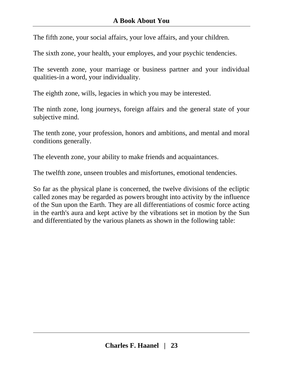The fifth zone, your social affairs, your love affairs, and your children.

The sixth zone, your health, your employes, and your psychic tendencies.

The seventh zone, your marriage or business partner and your individual qualities-in a word, your individuality.

The eighth zone, wills, legacies in which you may be interested.

The ninth zone, long journeys, foreign affairs and the general state of your subjective mind.

The tenth zone, your profession, honors and ambitions, and mental and moral conditions generally.

The eleventh zone, your ability to make friends and acquaintances.

The twelfth zone, unseen troubles and misfortunes, emotional tendencies.

So far as the physical plane is concerned, the twelve divisions of the ecliptic called zones may be regarded as powers brought into activity by the influence of the Sun upon the Earth. They are all differentiations of cosmic force acting in the earth's aura and kept active by the vibrations set in motion by the Sun and differentiated by the various planets as shown in the following table: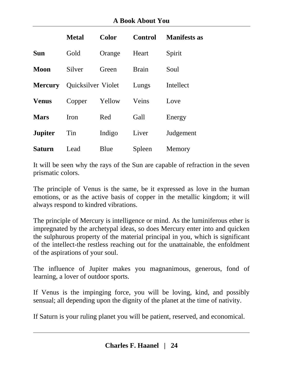|                | <b>Metal</b>       | <b>Color</b> | <b>Control</b> | <b>Manifests as</b> |
|----------------|--------------------|--------------|----------------|---------------------|
| Sun            | Gold               | Orange       | Heart          | Spirit              |
| <b>Moon</b>    | Silver             | Green        | <b>Brain</b>   | Soul                |
| <b>Mercury</b> | Quicksilver Violet |              | Lungs          | Intellect           |
| <b>Venus</b>   | Copper             | Yellow       | Veins          | Love                |
| <b>Mars</b>    | <b>Iron</b>        | Red          | Gall           | Energy              |
| <b>Jupiter</b> | Tin                | Indigo       | Liver          | Judgement           |
| <b>Saturn</b>  | Lead               | Blue         | Spleen         | Memory              |

It will be seen why the rays of the Sun are capable of refraction in the seven prismatic colors.

The principle of Venus is the same, be it expressed as love in the human emotions, or as the active basis of copper in the metallic kingdom; it will always respond to kindred vibrations.

The principle of Mercury is intelligence or mind. As the luminiferous ether is impregnated by the archetypal ideas, so does Mercury enter into and quicken the sulphurous property of the material principal in you, which is significant of the intellect-the restless reaching out for the unattainable, the enfoldment of the aspirations of your soul.

The influence of Jupiter makes you magnanimous, generous, fond of learning, a lover of outdoor sports.

If Venus is the impinging force, you will be loving, kind, and possibly sensual; all depending upon the dignity of the planet at the time of nativity.

If Saturn is your ruling planet you will be patient, reserved, and economical.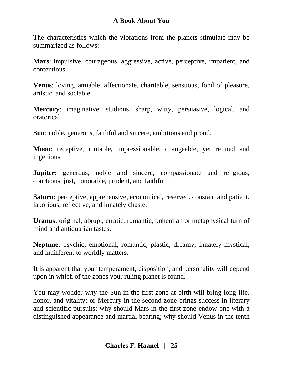The characteristics which the vibrations from the planets stimulate may be summarized as follows:

**Mars**: impulsive, courageous, aggressive, active, perceptive, impatient, and contentious.

**Venus**: loving, amiable, affectionate, charitable, sensuous, fond of pleasure, artistic, and sociable.

**Mercury**: imaginative, studious, sharp, witty, persuasive, logical, and oratorical.

**Sun**: noble, generous, faithful and sincere, ambitious and proud.

**Moon**: receptive, mutable, impressionable, changeable, yet refined and ingenious.

**Jupiter**: generous, noble and sincere, compassionate and religious, courteous, just, honorable, prudent, and faithful.

**Saturn**: perceptive, apprehensive, economical, reserved, constant and patient, laborious, reflective, and innately chaste.

**Uranus**: original, abrupt, erratic, romantic, bohemian or metaphysical turn of mind and antiquarian tastes.

**Neptune**: psychic, emotional, romantic, plastic, dreamy, innately mystical, and indifferent to worldly matters.

It is apparent that your temperament, disposition, and personality will depend upon in which of the zones your ruling planet is found.

You may wonder why the Sun in the first zone at birth will bring long life, honor, and vitality; or Mercury in the second zone brings success in literary and scientific pursuits; why should Mars in the first zone endow one with a distinguished appearance and martial bearing; why should Venus in the tenth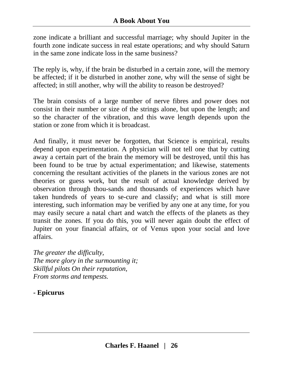zone indicate a brilliant and successful marriage; why should Jupiter in the fourth zone indicate success in real estate operations; and why should Saturn in the same zone indicate loss in the same business?

The reply is, why, if the brain be disturbed in a certain zone, will the memory be affected; if it be disturbed in another zone, why will the sense of sight be affected; in still another, why will the ability to reason be destroyed?

The brain consists of a large number of nerve fibres and power does not consist in their number or size of the strings alone, but upon the length; and so the character of the vibration, and this wave length depends upon the station or zone from which it is broadcast.

And finally, it must never be forgotten, that Science is empirical, results depend upon experimentation. A physician will not tell one that by cutting away a certain part of the brain the memory will be destroyed, until this has been found to be true by actual experimentation; and likewise, statements concerning the resultant activities of the planets in the various zones are not theories or guess work, but the result of actual knowledge derived by observation through thou-sands and thousands of experiences which have taken hundreds of years to se-cure and classify; and what is still more interesting, such information may be verified by any one at any time, for you may easily secure a natal chart and watch the effects of the planets as they transit the zones. If you do this, you will never again doubt the effect of Jupiter on your financial affairs, or of Venus upon your social and love affairs.

*The greater the difficulty, The more glory in the surmounting it; Skillful pilots On their reputation, From storms and tempests.* 

#### **- Epicurus**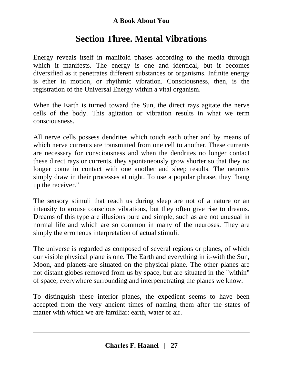### **Section Three. Mental Vibrations**

<span id="page-26-0"></span>Energy reveals itself in manifold phases according to the media through which it manifests. The energy is one and identical, but it becomes diversified as it penetrates different substances or organisms. Infinite energy is ether in motion, or rhythmic vibration. Consciousness, then, is the registration of the Universal Energy within a vital organism.

When the Earth is turned toward the Sun, the direct rays agitate the nerve cells of the body. This agitation or vibration results in what we term consciousness.

All nerve cells possess dendrites which touch each other and by means of which nerve currents are transmitted from one cell to another. These currents are necessary for consciousness and when the dendrites no longer contact these direct rays or currents, they spontaneously grow shorter so that they no longer come in contact with one another and sleep results. The neurons simply draw in their processes at night. To use a popular phrase, they "hang up the receiver."

The sensory stimuli that reach us during sleep are not of a nature or an intensity to arouse conscious vibrations, but they often give rise to dreams. Dreams of this type are illusions pure and simple, such as are not unusual in normal life and which are so common in many of the neuroses. They are simply the erroneous interpretation of actual stimuli.

The universe is regarded as composed of several regions or planes, of which our visible physical plane is one. The Earth and everything in it-with the Sun, Moon, and planets-are situated on the physical plane. The other planes are not distant globes removed from us by space, but are situated in the "within" of space, everywhere surrounding and interpenetrating the planes we know.

To distinguish these interior planes, the expedient seems to have been accepted from the very ancient times of naming them after the states of matter with which we are familiar: earth, water or air.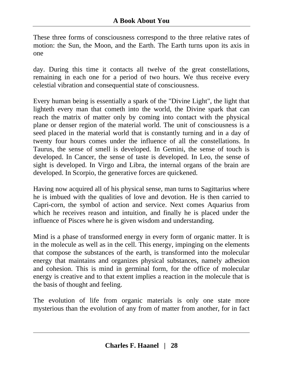These three forms of consciousness correspond to the three relative rates of motion: the Sun, the Moon, and the Earth. The Earth turns upon its axis in one

day. During this time it contacts all twelve of the great constellations, remaining in each one for a period of two hours. We thus receive every celestial vibration and consequential state of consciousness.

Every human being is essentially a spark of the "Divine Light", the light that lighteth every man that cometh into the world, the Divine spark that can reach the matrix of matter only by coming into contact with the physical plane or denser region of the material world. The unit of consciousness is a seed placed in the material world that is constantly turning and in a day of twenty four hours comes under the influence of all the constellations. In Taurus, the sense of smell is developed. In Gemini, the sense of touch is developed. In Cancer, the sense of taste is developed. In Leo, the sense of sight is developed. In Virgo and Libra, the internal organs of the brain are developed. In Scorpio, the generative forces are quickened.

Having now acquired all of his physical sense, man turns to Sagittarius where he is imbued with the qualities of love and devotion. He is then carried to Capri-corn, the symbol of action and service. Next comes Aquarius from which he receives reason and intuition, and finally he is placed under the influence of Pisces where he is given wisdom and understanding.

Mind is a phase of transformed energy in every form of organic matter. It is in the molecule as well as in the cell. This energy, impinging on the elements that compose the substances of the earth, is transformed into the molecular energy that maintains and organizes physical substances, namely adhesion and cohesion. This is mind in germinal form, for the office of molecular energy is creative and to that extent implies a reaction in the molecule that is the basis of thought and feeling.

The evolution of life from organic materials is only one state more mysterious than the evolution of any from of matter from another, for in fact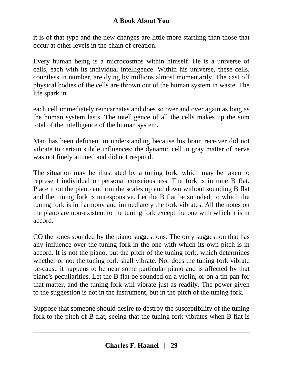it is of that type and the new changes are little more startling than those that occur at other levels in the chain of creation.

Every human being is a microcosmos within himself. He is a universe of cells, each with its individual intelligence. Within his universe, these cells, countless in number, are dying by millions almost momentarily. The cast off physical bodies of the cells are thrown out of the human system in waste. The life spark in

each cell immediately reincarnates and does so over and over again as long as the human system lasts. The intelligence of all the cells makes up the sum total of the intelligence of the human system.

Man has been deficient in understanding because his brain receiver did not vibrate to certain subtle influences; the dynamic cell in gray matter of nerve was not finely attuned and did not respond.

The situation may be illustrated by a tuning fork, which may be taken to represent individual or personal consciousness. The fork is in tune B flat. Place it on the piano and run the scales up and down without sounding B flat and the tuning fork is unresponsive. Let the B flat be sounded, to which the tuning fork is in harmony and immediately the fork vibrates. All the notes on the piano are non-existent to the tuning fork except the one with which it is in accord.

CO the tones sounded by the piano suggestions. The only suggestion that has any influence over the tuning fork in the one with which its own pitch is in accord. It is not the piano, but the pitch of the tuning fork, which determines whether or not the tuning fork shall vibrate. Nor does the tuning fork vibrate be-cause it happens to be near some particular piano and is affected by that piano's peculiarities. Let the B flat be sounded on a violin, or on a tin pan for that matter, and the tuning fork will vibrate just as readily. The power given to the suggestion is not in the instrument, but in the pitch of the tuning fork.

Suppose that someone should desire to destroy the susceptibility of the tuning fork to the pitch of B flat, seeing that the tuning fork vibrates when B flat is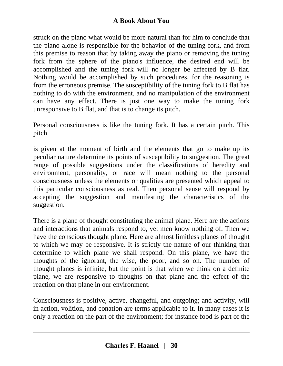struck on the piano what would be more natural than for him to conclude that the piano alone is responsible for the behavior of the tuning fork, and from this premise to reason that by taking away the piano or removing the tuning fork from the sphere of the piano's influence, the desired end will be accomplished and the tuning fork will no longer be affected by B flat. Nothing would be accomplished by such procedures, for the reasoning is from the erroneous premise. The susceptibility of the tuning fork to B flat has nothing to do with the environment, and no manipulation of the environment can have any effect. There is just one way to make the tuning fork unresponsive to B flat, and that is to change its pitch.

Personal consciousness is like the tuning fork. It has a certain pitch. This pitch

is given at the moment of birth and the elements that go to make up its peculiar nature determine its points of susceptibility to suggestion. The great range of possible suggestions under the classifications of heredity and environment, personality, or race will mean nothing to the personal consciousness unless the elements or qualities are presented which appeal to this particular consciousness as real. Then personal sense will respond by accepting the suggestion and manifesting the characteristics of the suggestion.

There is a plane of thought constituting the animal plane. Here are the actions and interactions that animals respond to, yet men know nothing of. Then we have the conscious thought plane. Here are almost limitless planes of thought to which we may be responsive. It is strictly the nature of our thinking that determine to which plane we shall respond. On this plane, we have the thoughts of the ignorant, the wise, the poor, and so on. The number of thought planes is infinite, but the point is that when we think on a definite plane, we are responsive to thoughts on that plane and the effect of the reaction on that plane in our environment.

Consciousness is positive, active, changeful, and outgoing; and activity, will in action, volition, and conation are terms applicable to it. In many cases it is only a reaction on the part of the environment; for instance food is part of the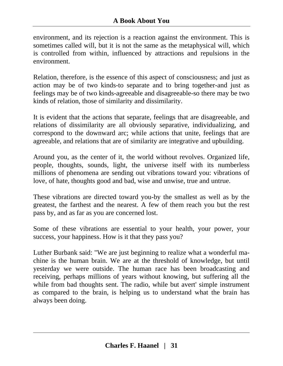environment, and its rejection is a reaction against the environment. This is sometimes called will, but it is not the same as the metaphysical will, which is controlled from within, influenced by attractions and repulsions in the environment.

Relation, therefore, is the essence of this aspect of consciousness; and just as action may be of two kinds-to separate and to bring together-and just as feelings may be of two kinds-agreeable and disagreeable-so there may be two kinds of relation, those of similarity and dissimilarity.

It is evident that the actions that separate, feelings that are disagreeable, and relations of dissimilarity are all obviously separative, individualizing, and correspond to the downward arc; while actions that unite, feelings that are agreeable, and relations that are of similarity are integrative and upbuilding.

Around you, as the center of it, the world without revolves. Organized life, people, thoughts, sounds, light, the universe itself with its numberless millions of phenomena are sending out vibrations toward you: vibrations of love, of hate, thoughts good and bad, wise and unwise, true and untrue.

These vibrations are directed toward you-by the smallest as well as by the greatest, the farthest and the nearest. A few of them reach you but the rest pass by, and as far as you are concerned lost.

Some of these vibrations are essential to your health, your power, your success, your happiness. How is it that they pass you?

Luther Burbank said: "We are just beginning to realize what a wonderful machine is the human brain. We are at the threshold of knowledge, but until yesterday we were outside. The human race has been broadcasting and receiving, perhaps millions of years without knowing, but suffering all the while from bad thoughts sent. The radio, while but avert' simple instrument as compared to the brain, is helping us to understand what the brain has always been doing.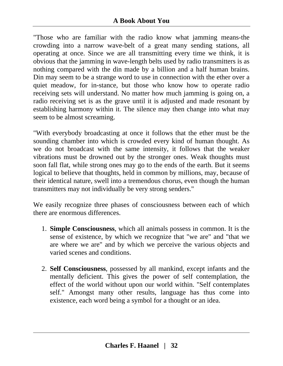"Those who are familiar with the radio know what jamming means-the crowding into a narrow wave-belt of a great many sending stations, all operating at once. Since we are all transmitting every time we think, it is obvious that the jamming in wave-length belts used by radio transmitters is as nothing compared with the din made by a billion and a half human brains. Din may seem to be a strange word to use in connection with the ether over a quiet meadow, for in-stance, but those who know how to operate radio receiving sets will understand. No matter how much jamming is going on, a radio receiving set is as the grave until it is adjusted and made resonant by establishing harmony within it. The silence may then change into what may seem to be almost screaming.

"With everybody broadcasting at once it follows that the ether must be the sounding chamber into which is crowded every kind of human thought. As we do not broadcast with the same intensity, it follows that the weaker vibrations must be drowned out by the stronger ones. Weak thoughts must soon fall flat, while strong ones may go to the ends of the earth. But it seems logical to believe that thoughts, held in common by millions, may, because of their identical nature, swell into a tremendous chorus, even though the human transmitters may not individually be very strong senders."

We easily recognize three phases of consciousness between each of which there are enormous differences.

- 1. **Simple Consciousness**, which all animals possess in common. It is the sense of existence, by which we recognize that "we are" and "that we are where we are" and by which we perceive the various objects and varied scenes and conditions.
- 2. **Self Consciousness**, possessed by all mankind, except infants and the mentally deficient. This gives the power of self contemplation, the effect of the world without upon our world within. "Self contemplates self." Amongst many other results, language has thus come into existence, each word being a symbol for a thought or an idea.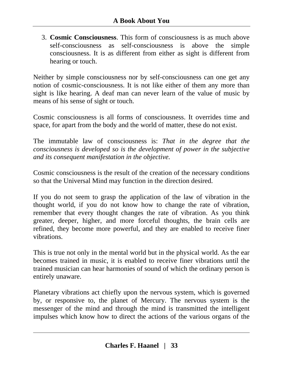3. **Cosmic Consciousness**. This form of consciousness is as much above self-consciousness as self-consciousness is above the simple consciousness. It is as different from either as sight is different from hearing or touch.

Neither by simple consciousness nor by self-consciousness can one get any notion of cosmic-consciousness. It is not like either of them any more than sight is like hearing. A deaf man can never learn of the value of music by means of his sense of sight or touch.

Cosmic consciousness is all forms of consciousness. It overrides time and space, for apart from the body and the world of matter, these do not exist.

The immutable law of consciousness is: *That in the degree that the consciousness is developed so is the development of power in the subjective and its consequent manifestation in the objective.*

Cosmic consciousness is the result of the creation of the necessary conditions so that the Universal Mind may function in the direction desired.

If you do not seem to grasp the application of the law of vibration in the thought world, if you do not know how to change the rate of vibration, remember that every thought changes the rate of vibration. As you think greater, deeper, higher, and more forceful thoughts, the brain cells are refined, they become more powerful, and they are enabled to receive finer vibrations.

This is true not only in the mental world but in the physical world. As the ear becomes trained in music, it is enabled to receive finer vibrations until the trained musician can hear harmonies of sound of which the ordinary person is entirely unaware.

Planetary vibrations act chiefly upon the nervous system, which is governed by, or responsive to, the planet of Mercury. The nervous system is the messenger of the mind and through the mind is transmitted the intelligent impulses which know how to direct the actions of the various organs of the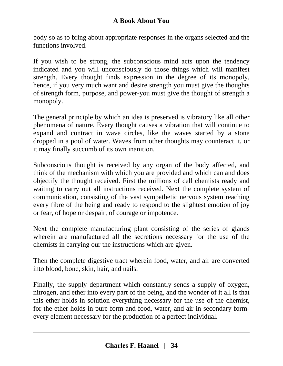body so as to bring about appropriate responses in the organs selected and the functions involved.

If you wish to be strong, the subconscious mind acts upon the tendency indicated and you will unconsciously do those things which will manifest strength. Every thought finds expression in the degree of its monopoly, hence, if you very much want and desire strength you must give the thoughts of strength form, purpose, and power-you must give the thought of strength a monopoly.

The general principle by which an idea is preserved is vibratory like all other phenomena of nature. Every thought causes a vibration that will continue to expand and contract in wave circles, like the waves started by a stone dropped in a pool of water. Waves from other thoughts may counteract it, or it may finally succumb of its own inanition.

Subconscious thought is received by any organ of the body affected, and think of the mechanism with which you are provided and which can and does objectify the thought received. First the millions of cell chemists ready and waiting to carry out all instructions received. Next the complete system of communication, consisting of the vast sympathetic nervous system reaching every fibre of the being and ready to respond to the slightest emotion of joy or fear, of hope or despair, of courage or impotence.

Next the complete manufacturing plant consisting of the series of glands wherein are manufactured all the secretions necessary for the use of the chemists in carrying our the instructions which are given.

Then the complete digestive tract wherein food, water, and air are converted into blood, bone, skin, hair, and nails.

Finally, the supply department which constantly sends a supply of oxygen, nitrogen, and ether into every part of the being, and the wonder of it all is that this ether holds in solution everything necessary for the use of the chemist, for the ether holds in pure form-and food, water, and air in secondary formevery element necessary for the production of a perfect individual.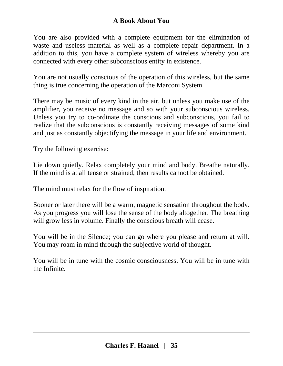You are also provided with a complete equipment for the elimination of waste and useless material as well as a complete repair department. In a addition to this, you have a complete system of wireless whereby you are connected with every other subconscious entity in existence.

You are not usually conscious of the operation of this wireless, but the same thing is true concerning the operation of the Marconi System.

There may be music of every kind in the air, but unless you make use of the amplifier, you receive no message and so with your subconscious wireless. Unless you try to co-ordinate the conscious and subconscious, you fail to realize that the subconscious is constantly receiving messages of some kind and just as constantly objectifying the message in your life and environment.

Try the following exercise:

Lie down quietly. Relax completely your mind and body. Breathe naturally. If the mind is at all tense or strained, then results cannot be obtained.

The mind must relax for the flow of inspiration.

Sooner or later there will be a warm, magnetic sensation throughout the body. As you progress you will lose the sense of the body altogether. The breathing will grow less in volume. Finally the conscious breath will cease.

You will be in the Silence; you can go where you please and return at will. You may roam in mind through the subjective world of thought.

You will be in tune with the cosmic consciousness. You will be in tune with the Infinite.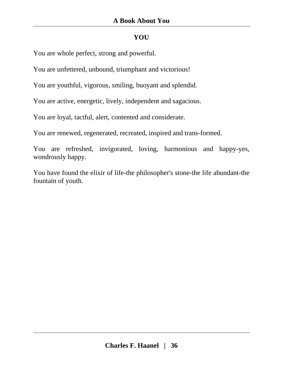#### **YOU**

You are whole perfect, strong and powerful.

You are unfettered, unbound, triumphant and victorious!

You are youthful, vigorous, smiling, buoyant and splendid.

You are active, energetic, lively, independent and sagacious.

You are loyal, tactful, alert, contented and considerate.

You are renewed, regenerated, recreated, inspired and trans-formed.

You are refreshed, invigorated, loving, harmonious and happy-yes, wondrously happy.

You have found the elixir of life-the philosopher's stone-the life abundant-the fountain of youth.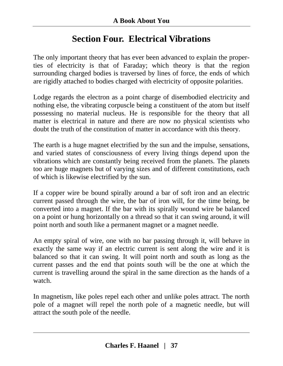# **Section Four. Electrical Vibrations**

The only important theory that has ever been advanced to explain the properties of electricity is that of Faraday; which theory is that the region surrounding charged bodies is traversed by lines of force, the ends of which are rigidly attached to bodies charged with electricity of opposite polarities.

Lodge regards the electron as a point charge of disembodied electricity and nothing else, the vibrating corpuscle being a constituent of the atom but itself possessing no material nucleus. He is responsible for the theory that all matter is electrical in nature and there are now no physical scientists who doubt the truth of the constitution of matter in accordance with this theory.

The earth is a huge magnet electrified by the sun and the impulse, sensations, and varied states of consciousness of every living things depend upon the vibrations which are constantly being received from the planets. The planets too are huge magnets but of varying sizes and of different constitutions, each of which is likewise electrified by the sun.

If a copper wire be bound spirally around a bar of soft iron and an electric current passed through the wire, the bar of iron will, for the time being, be converted into a magnet. If the bar with its spirally wound wire be balanced on a point or hung horizontally on a thread so that it can swing around, it will point north and south like a permanent magnet or a magnet needle.

An empty spiral of wire, one with no bar passing through it, will behave in exactly the same way if an electric current is sent along the wire and it is balanced so that it can swing. It will point north and south as long as the current passes and the end that points south will be the one at which the current is travelling around the spiral in the same direction as the hands of a watch.

In magnetism, like poles repel each other and unlike poles attract. The north pole of a magnet will repel the north pole of a magnetic needle, but will attract the south pole of the needle.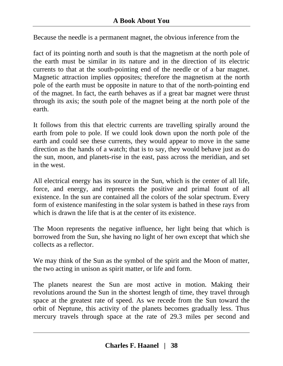Because the needle is a permanent magnet, the obvious inference from the

fact of its pointing north and south is that the magnetism at the north pole of the earth must be similar in its nature and in the direction of its electric currents to that at the south-pointing end of the needle or of a bar magnet. Magnetic attraction implies opposites; therefore the magnetism at the north pole of the earth must be opposite in nature to that of the north-pointing end of the magnet. In fact, the earth behaves as if a great bar magnet were thrust through its axis; the south pole of the magnet being at the north pole of the earth.

It follows from this that electric currents are travelling spirally around the earth from pole to pole. If we could look down upon the north pole of the earth and could see these currents, they would appear to move in the same direction as the hands of a watch; that is to say, they would behave just as do the sun, moon, and planets-rise in the east, pass across the meridian, and set in the west.

All electrical energy has its source in the Sun, which is the center of all life, force, and energy, and represents the positive and primal fount of all existence. In the sun are contained all the colors of the solar spectrum. Every form of existence manifesting in the solar system is bathed in these rays from which is drawn the life that is at the center of its existence.

The Moon represents the negative influence, her light being that which is borrowed from the Sun, she having no light of her own except that which she collects as a reflector.

We may think of the Sun as the symbol of the spirit and the Moon of matter, the two acting in unison as spirit matter, or life and form.

The planets nearest the Sun are most active in motion. Making their revolutions around the Sun in the shortest length of time, they travel through space at the greatest rate of speed. As we recede from the Sun toward the orbit of Neptune, this activity of the planets becomes gradually less. Thus mercury travels through space at the rate of 29.3 miles per second and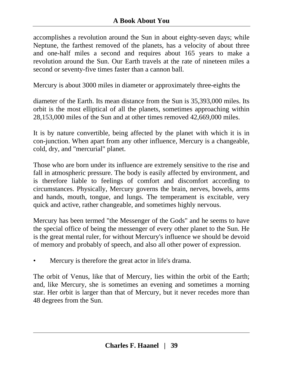accomplishes a revolution around the Sun in about eighty-seven days; while Neptune, the farthest removed of the planets, has a velocity of about three and one-half miles a second and requires about 165 years to make a revolution around the Sun. Our Earth travels at the rate of nineteen miles a second or seventy-five times faster than a cannon ball.

Mercury is about 3000 miles in diameter or approximately three-eights the

diameter of the Earth. Its mean distance from the Sun is 35,393,000 miles. Its orbit is the most elliptical of all the planets, sometimes approaching within 28,153,000 miles of the Sun and at other times removed 42,669,000 miles.

It is by nature convertible, being affected by the planet with which it is in con-junction. When apart from any other influence, Mercury is a changeable, cold, dry, and "mercurial" planet.

Those who are born under its influence are extremely sensitive to the rise and fall in atmospheric pressure. The body is easily affected by environment, and is therefore liable to feelings of comfort and discomfort according to circumstances. Physically, Mercury governs the brain, nerves, bowels, arms and hands, mouth, tongue, and lungs. The temperament is excitable, very quick and active, rather changeable, and sometimes highly nervous.

Mercury has been termed "the Messenger of the Gods" and he seems to have the special office of being the messenger of every other planet to the Sun. He is the great mental ruler, for without Mercury's influence we should be devoid of memory and probably of speech, and also all other power of expression.

Mercury is therefore the great actor in life's drama.

The orbit of Venus, like that of Mercury, lies within the orbit of the Earth; and, like Mercury, she is sometimes an evening and sometimes a morning star. Her orbit is larger than that of Mercury, but it never recedes more than 48 degrees from the Sun.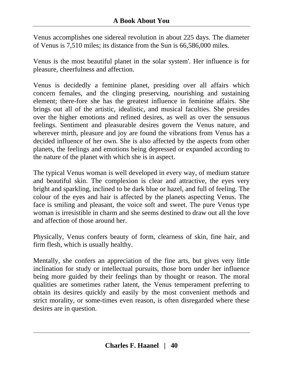Venus accomplishes one sidereal revolution in about 225 days. The diameter of Venus is 7,510 miles; its distance from the Sun is 66,586,000 miles.

Venus is the most beautiful planet in the solar system'. Her influence is for pleasure, cheerfulness and affection.

Venus is decidedly a feminine planet, presiding over all affairs which concern females, and the clinging preserving, nourishing and sustaining element; there-fore she has the greatest influence in feminine affairs. She brings out all of the artistic, idealistic, and musical faculties. She presides over the higher emotions and refined desires, as well as over the sensuous feelings. Sentiment and pleasurable desires govern the Venus nature, and wherever mirth, pleasure and joy are found the vibrations from Venus has a decided influence of her own. She is also affected by the aspects from other planets, the feelings and emotions being depressed or expanded according to the nature of the planet with which she is in aspect.

The typical Venus woman is well developed in every way, of medium stature and beautiful skin. The complexion is clear and attractive, the eyes very bright and sparkling, inclined to be dark blue or hazel, and full of feeling. The colour of the eyes and hair is affected by the planets aspecting Venus. The face is smiling and pleasant, the voice soft and sweet. The pure Venus type woman is irresistible in charm and she seems destined to draw out all the love and affection of those around her.

Physically, Venus confers beauty of form, clearness of skin, fine hair, and firm flesh, which is usually healthy.

Mentally, she confers an appreciation of the fine arts, but gives very little inclination for study or intellectual pursuits, those born under her influence being more guided by their feelings than by thought or reason. The moral qualities are sometimes rather latent, the Venus temperament preferring to obtain its desires quickly and easily by the most convenient methods and strict morality, or some-times even reason, is often disregarded where these desires are in question.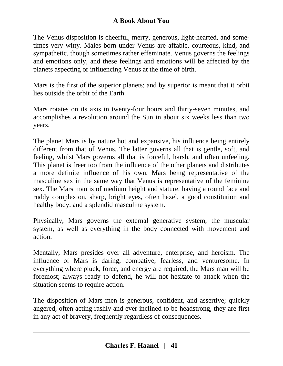The Venus disposition is cheerful, merry, generous, light-hearted, and sometimes very witty. Males born under Venus are affable, courteous, kind, and sympathetic, though sometimes rather effeminate. Venus governs the feelings and emotions only, and these feelings and emotions will be affected by the planets aspecting or influencing Venus at the time of birth.

Mars is the first of the superior planets; and by superior is meant that it orbit lies outside the orbit of the Earth.

Mars rotates on its axis in twenty-four hours and thirty-seven minutes, and accomplishes a revolution around the Sun in about six weeks less than two years.

The planet Mars is by nature hot and expansive, his influence being entirely different from that of Venus. The latter governs all that is gentle, soft, and feeling, whilst Mars governs all that is forceful, harsh, and often unfeeling. This planet is freer too from the influence of the other planets and distributes a more definite influence of his own, Mars being representative of the masculine sex in the same way that Venus is representative of the feminine sex. The Mars man is of medium height and stature, having a round face and ruddy complexion, sharp, bright eyes, often hazel, a good constitution and healthy body, and a splendid masculine system.

Physically, Mars governs the external generative system, the muscular system, as well as everything in the body connected with movement and action.

Mentally, Mars presides over all adventure, enterprise, and heroism. The influence of Mars is daring, combative, fearless, and venturesome. In everything where pluck, force, and energy are required, the Mars man will be foremost; always ready to defend, he will not hesitate to attack when the situation seems to require action.

The disposition of Mars men is generous, confident, and assertive; quickly angered, often acting rashly and ever inclined to be headstrong, they are first in any act of bravery, frequently regardless of consequences.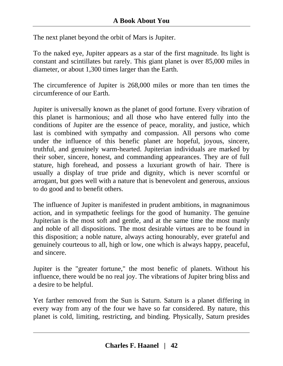The next planet beyond the orbit of Mars is Jupiter.

To the naked eye, Jupiter appears as a star of the first magnitude. Its light is constant and scintillates but rarely. This giant planet is over 85,000 miles in diameter, or about 1,300 times larger than the Earth.

The circumference of Jupiter is 268,000 miles or more than ten times the circumference of our Earth.

Jupiter is universally known as the planet of good fortune. Every vibration of this planet is harmonious; and all those who have entered fully into the conditions of Jupiter are the essence of peace, morality, and justice, which last is combined with sympathy and compassion. All persons who come under the influence of this benefic planet are hopeful, joyous, sincere, truthful, and genuinely warm-hearted. Jupiterian individuals are marked by their sober, sincere, honest, and commanding appearances. They are of full stature, high forehead, and possess a luxuriant growth of hair. There is usually a display of true pride and dignity, which is never scornful or arrogant, but goes well with a nature that is benevolent and generous, anxious to do good and to benefit others.

The influence of Jupiter is manifested in prudent ambitions, in magnanimous action, and in sympathetic feelings for the good of humanity. The genuine Jupiterian is the most soft and gentle, and at the same time the most manly and noble of all dispositions. The most desirable virtues are to be found in this disposition; a noble nature, always acting honourably, ever grateful and genuinely courteous to all, high or low, one which is always happy, peaceful, and sincere.

Jupiter is the "greater fortune," the most benefic of planets. Without his influence, there would be no real joy. The vibrations of Jupiter bring bliss and a desire to be helpful.

Yet farther removed from the Sun is Saturn. Saturn is a planet differing in every way from any of the four we have so far considered. By nature, this planet is cold, limiting, restricting, and binding. Physically, Saturn presides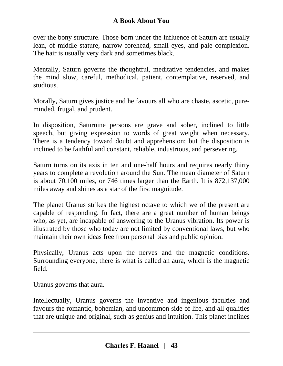over the bony structure. Those born under the influence of Saturn are usually lean, of middle stature, narrow forehead, small eyes, and pale complexion. The hair is usually very dark and sometimes black.

Mentally, Saturn governs the thoughtful, meditative tendencies, and makes the mind slow, careful, methodical, patient, contemplative, reserved, and studious.

Morally, Saturn gives justice and he favours all who are chaste, ascetic, pureminded, frugal, and prudent.

In disposition, Saturnine persons are grave and sober, inclined to little speech, but giving expression to words of great weight when necessary. There is a tendency toward doubt and apprehension; but the disposition is inclined to be faithful and constant, reliable, industrious, and persevering.

Saturn turns on its axis in ten and one-half hours and requires nearly thirty years to complete a revolution around the Sun. The mean diameter of Saturn is about 70,100 miles, or 746 times larger than the Earth. It is 872,137,000 miles away and shines as a star of the first magnitude.

The planet Uranus strikes the highest octave to which we of the present are capable of responding. In fact, there are a great number of human beings who, as yet, are incapable of answering to the Uranus vibration. Its power is illustrated by those who today are not limited by conventional laws, but who maintain their own ideas free from personal bias and public opinion.

Physically, Uranus acts upon the nerves and the magnetic conditions. Surrounding everyone, there is what is called an aura, which is the magnetic field.

Uranus governs that aura.

Intellectually, Uranus governs the inventive and ingenious faculties and favours the romantic, bohemian, and uncommon side of life, and all qualities that are unique and original, such as genius and intuition. This planet inclines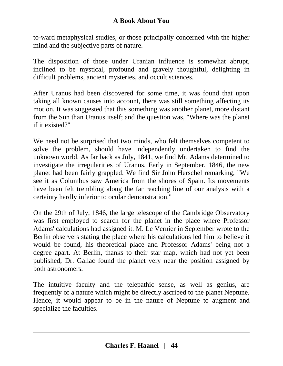to-ward metaphysical studies, or those principally concerned with the higher mind and the subjective parts of nature.

The disposition of those under Uranian influence is somewhat abrupt, inclined to be mystical, profound and gravely thoughtful, delighting in difficult problems, ancient mysteries, and occult sciences.

After Uranus had been discovered for some time, it was found that upon taking all known causes into account, there was still something affecting its motion. It was suggested that this something was another planet, more distant from the Sun than Uranus itself; and the question was, "Where was the planet if it existed?"

We need not be surprised that two minds, who felt themselves competent to solve the problem, should have independently undertaken to find the unknown world. As far back as July, 1841, we find Mr. Adams determined to investigate the irregularities of Uranus. Early in September, 1846, the new planet had been fairly grappled. We find Sir John Herschel remarking, "We see it as Columbus saw America from the shores of Spain. Its movements have been felt trembling along the far reaching line of our analysis with a certainty hardly inferior to ocular demonstration."

On the 29th of July, 1846, the large telescope of the Cambridge Observatory was first employed to search for the planet in the place where Professor Adams' calculations had assigned it. M. Le Vernier in September wrote to the Berlin observers stating the place where his calculations led him to believe it would be found, his theoretical place and Professor Adams' being not a degree apart. At Berlin, thanks to their star map, which had not yet been published, Dr. Gallac found the planet very near the position assigned by both astronomers.

The intuitive faculty and the telepathic sense, as well as genius, are frequently of a nature which might be directly ascribed to the planet Neptune. Hence, it would appear to be in the nature of Neptune to augment and specialize the faculties.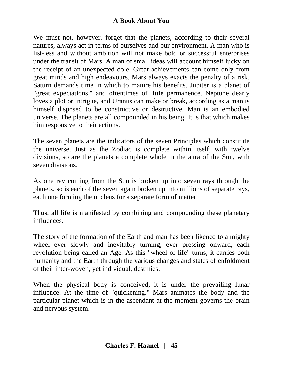We must not, however, forget that the planets, according to their several natures, always act in terms of ourselves and our environment. A man who is list-less and without ambition will not make bold or successful enterprises under the transit of Mars. A man of small ideas will account himself lucky on the receipt of an unexpected dole. Great achievements can come only from great minds and high endeavours. Mars always exacts the penalty of a risk. Saturn demands time in which to mature his benefits. Jupiter is a planet of "great expectations," and oftentimes of little permanence. Neptune dearly loves a plot or intrigue, and Uranus can make or break, according as a man is himself disposed to be constructive or destructive. Man is an embodied universe. The planets are all compounded in his being. It is that which makes him responsive to their actions.

The seven planets are the indicators of the seven Principles which constitute the universe. Just as the Zodiac is complete within itself, with twelve divisions, so are the planets a complete whole in the aura of the Sun, with seven divisions.

As one ray coming from the Sun is broken up into seven rays through the planets, so is each of the seven again broken up into millions of separate rays, each one forming the nucleus for a separate form of matter.

Thus, all life is manifested by combining and compounding these planetary influences.

The story of the formation of the Earth and man has been likened to a mighty wheel ever slowly and inevitably turning, ever pressing onward, each revolution being called an Age. As this "wheel of life" turns, it carries both humanity and the Earth through the various changes and states of enfoldment of their inter-woven, yet individual, destinies.

When the physical body is conceived, it is under the prevailing lunar influence. At the time of "quickening," Mars animates the body and the particular planet which is in the ascendant at the moment governs the brain and nervous system.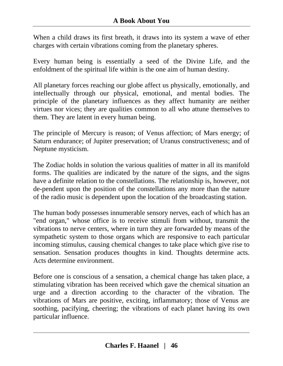When a child draws its first breath, it draws into its system a wave of ether charges with certain vibrations coming from the planetary spheres.

Every human being is essentially a seed of the Divine Life, and the enfoldment of the spiritual life within is the one aim of human destiny.

All planetary forces reaching our globe affect us physically, emotionally, and intellectually through our physical, emotional, and mental bodies. The principle of the planetary influences as they affect humanity are neither virtues nor vices; they are qualities common to all who attune themselves to them. They are latent in every human being.

The principle of Mercury is reason; of Venus affection; of Mars energy; of Saturn endurance; of Jupiter preservation; of Uranus constructiveness; and of Neptune mysticism.

The Zodiac holds in solution the various qualities of matter in all its manifold forms. The qualities are indicated by the nature of the signs, and the signs have a definite relation to the constellations. The relationship is, however, not de-pendent upon the position of the constellations any more than the nature of the radio music is dependent upon the location of the broadcasting station.

The human body possesses innumerable sensory nerves, each of which has an "end organ," whose office is to receive stimuli from without, transmit the vibrations to nerve centers, where in turn they are forwarded by means of the sympathetic system to those organs which are responsive to each particular incoming stimulus, causing chemical changes to take place which give rise to sensation. Sensation produces thoughts in kind. Thoughts determine acts. Acts determine environment.

Before one is conscious of a sensation, a chemical change has taken place, a stimulating vibration has been received which gave the chemical situation an urge and a direction according to the character of the vibration. The vibrations of Mars are positive, exciting, inflammatory; those of Venus are soothing, pacifying, cheering; the vibrations of each planet having its own particular influence.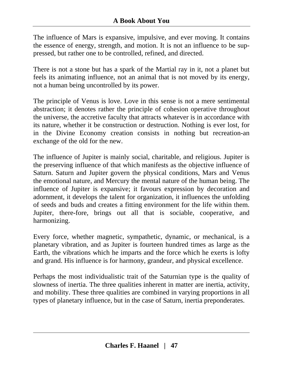The influence of Mars is expansive, impulsive, and ever moving. It contains the essence of energy, strength, and motion. It is not an influence to be suppressed, but rather one to be controlled, refined, and directed.

There is not a stone but has a spark of the Martial ray in it, not a planet but feels its animating influence, not an animal that is not moved by its energy, not a human being uncontrolled by its power.

The principle of Venus is love. Love in this sense is not a mere sentimental abstraction; it denotes rather the principle of cohesion operative throughout the universe, the accretive faculty that attracts whatever is in accordance with its nature, whether it be construction or destruction. Nothing is ever lost, for in the Divine Economy creation consists in nothing but recreation-an exchange of the old for the new.

The influence of Jupiter is mainly social, charitable, and religious. Jupiter is the preserving influence of that which manifests as the objective influence of Saturn. Saturn and Jupiter govern the physical conditions, Mars and Venus the emotional nature, and Mercury the mental nature of the human being. The influence of Jupiter is expansive; it favours expression by decoration and adornment, it develops the talent for organization, it influences the unfolding of seeds and buds and creates a fitting environment for the life within them. Jupiter, there-fore, brings out all that is sociable, cooperative, and harmonizing.

Every force, whether magnetic, sympathetic, dynamic, or mechanical, is a planetary vibration, and as Jupiter is fourteen hundred times as large as the Earth, the vibrations which he imparts and the force which he exerts is lofty and grand. His influence is for harmony, grandeur, and physical excellence.

Perhaps the most individualistic trait of the Saturnian type is the quality of slowness of inertia. The three qualities inherent in matter are inertia, activity, and mobility. These three qualities are combined in varying proportions in all types of planetary influence, but in the case of Saturn, inertia preponderates.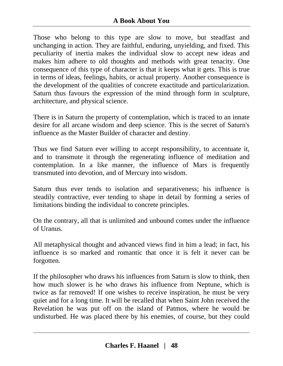Those who belong to this type are slow to move, but steadfast and unchanging in action. They are faithful, enduring, unyielding, and fixed. This peculiarity of inertia makes the individual slow to accept new ideas and makes him adhere to old thoughts and methods with great tenacity. One consequence of this type of character is that it keeps what it gets. This is true in terms of ideas, feelings, habits, or actual property. Another consequence is the development of the qualities of concrete exactitude and particularization. Saturn thus favours the expression of the mind through form in sculpture, architecture, and physical science.

There is in Saturn the property of contemplation, which is traced to an innate desire for all arcane wisdom and deep science. This is the secret of Saturn's influence as the Master Builder of character and destiny.

Thus we find Saturn ever willing to accept responsibility, to accentuate it, and to transmute it through the regenerating influence of meditation and contemplation. In a like manner, the influence of Mars is frequently transmuted into devotion, and of Mercury into wisdom.

Saturn thus ever tends to isolation and separativeness; his influence is steadily contractive, ever tending to shape in detail by forming a series of limitations binding the individual to concrete principles.

On the contrary, all that is unlimited and unbound comes under the influence of Uranus.

All metaphysical thought and advanced views find in him a lead; in fact, his influence is so marked and romantic that once it is felt it never can be forgotten.

If the philosopher who draws his influences from Saturn is slow to think, then how much slower is he who draws his influence from Neptune, which is twice as far removed! If one wishes to receive inspiration, he must be very quiet and for a long time. It will be recalled that when Saint John received the Revelation he was put off on the island of Patmos, where he would be undisturbed. He was placed there by his enemies, of course, but they could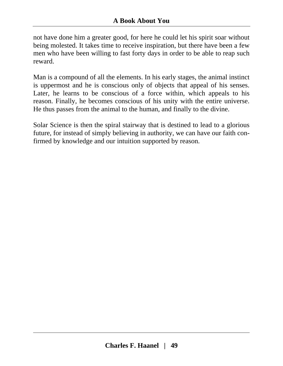not have done him a greater good, for here he could let his spirit soar without being molested. It takes time to receive inspiration, but there have been a few men who have been willing to fast forty days in order to be able to reap such reward.

Man is a compound of all the elements. In his early stages, the animal instinct is uppermost and he is conscious only of objects that appeal of his senses. Later, he learns to be conscious of a force within, which appeals to his reason. Finally, he becomes conscious of his unity with the entire universe. He thus passes from the animal to the human, and finally to the divine.

Solar Science is then the spiral stairway that is destined to lead to a glorious future, for instead of simply believing in authority, we can have our faith confirmed by knowledge and our intuition supported by reason.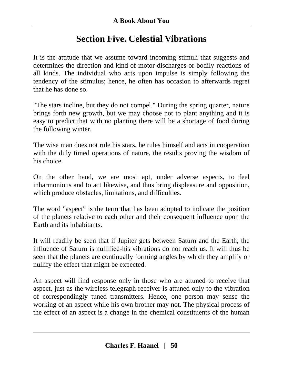# **Section Five. Celestial Vibrations**

It is the attitude that we assume toward incoming stimuli that suggests and determines the direction and kind of motor discharges or bodily reactions of all kinds. The individual who acts upon impulse is simply following the tendency of the stimulus; hence, he often has occasion to afterwards regret that he has done so.

"The stars incline, but they do not compel." During the spring quarter, nature brings forth new growth, but we may choose not to plant anything and it is easy to predict that with no planting there will be a shortage of food during the following winter.

The wise man does not rule his stars, he rules himself and acts in cooperation with the duly timed operations of nature, the results proving the wisdom of his choice.

On the other hand, we are most apt, under adverse aspects, to feel inharmonious and to act likewise, and thus bring displeasure and opposition, which produce obstacles, limitations, and difficulties.

The word "aspect" is the term that has been adopted to indicate the position of the planets relative to each other and their consequent influence upon the Earth and its inhabitants.

It will readily be seen that if Jupiter gets between Saturn and the Earth, the influence of Saturn is nullified-his vibrations do not reach us. It will thus be seen that the planets are continually forming angles by which they amplify or nullify the effect that might be expected.

An aspect will find response only in those who are attuned to receive that aspect, just as the wireless telegraph receiver is attuned only to the vibration of correspondingly tuned transmitters. Hence, one person may sense the working of an aspect while his own brother may not. The physical process of the effect of an aspect is a change in the chemical constituents of the human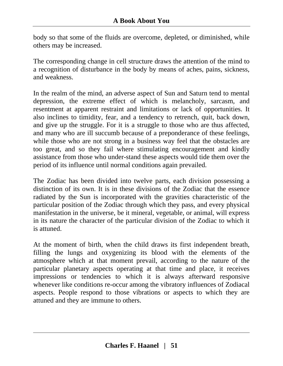body so that some of the fluids are overcome, depleted, or diminished, while others may be increased.

The corresponding change in cell structure draws the attention of the mind to a recognition of disturbance in the body by means of aches, pains, sickness, and weakness.

In the realm of the mind, an adverse aspect of Sun and Saturn tend to mental depression, the extreme effect of which is melancholy, sarcasm, and resentment at apparent restraint and limitations or lack of opportunities. It also inclines to timidity, fear, and a tendency to retrench, quit, back down, and give up the struggle. For it is a struggle to those who are thus affected, and many who are ill succumb because of a preponderance of these feelings, while those who are not strong in a business way feel that the obstacles are too great, and so they fail where stimulating encouragement and kindly assistance from those who under-stand these aspects would tide them over the period of its influence until normal conditions again prevailed.

The Zodiac has been divided into twelve parts, each division possessing a distinction of its own. It is in these divisions of the Zodiac that the essence radiated by the Sun is incorporated with the gravities characteristic of the particular position of the Zodiac through which they pass, and every physical manifestation in the universe, be it mineral, vegetable, or animal, will express in its nature the character of the particular division of the Zodiac to which it is attuned.

At the moment of birth, when the child draws its first independent breath, filling the lungs and oxygenizing its blood with the elements of the atmosphere which at that moment prevail, according to the nature of the particular planetary aspects operating at that time and place, it receives impressions or tendencies to which it is always afterward responsive whenever like conditions re-occur among the vibratory influences of Zodiacal aspects. People respond to those vibrations or aspects to which they are attuned and they are immune to others.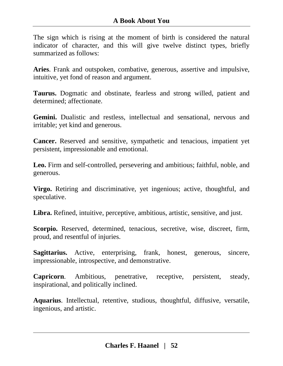The sign which is rising at the moment of birth is considered the natural indicator of character, and this will give twelve distinct types, briefly summarized as follows:

**Aries**. Frank and outspoken, combative, generous, assertive and impulsive, intuitive, yet fond of reason and argument.

**Taurus.** Dogmatic and obstinate, fearless and strong willed, patient and determined; affectionate.

**Gemini.** Dualistic and restless, intellectual and sensational, nervous and irritable; yet kind and generous.

**Cancer.** Reserved and sensitive, sympathetic and tenacious, impatient yet persistent, impressionable and emotional.

**Leo.** Firm and self-controlled, persevering and ambitious; faithful, noble, and generous.

**Virgo.** Retiring and discriminative, yet ingenious; active, thoughtful, and speculative.

Libra. Refined, intuitive, perceptive, ambitious, artistic, sensitive, and just.

**Scorpio.** Reserved, determined, tenacious, secretive, wise, discreet, firm, proud, and resentful of injuries.

**Sagittarius.** Active, enterprising, frank, honest, generous, sincere, impressionable, introspective, and demonstrative.

**Capricorn.** Ambitious, penetrative, receptive, persistent, steady, inspirational, and politically inclined.

**Aquarius**. Intellectual, retentive, studious, thoughtful, diffusive, versatile, ingenious, and artistic.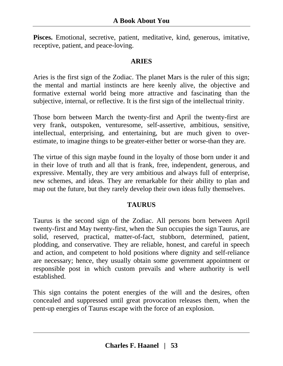Pisces. Emotional, secretive, patient, meditative, kind, generous, imitative, receptive, patient, and peace-loving.

#### **ARIES**

Aries is the first sign of the Zodiac. The planet Mars is the ruler of this sign; the mental and martial instincts are here keenly alive, the objective and formative external world being more attractive and fascinating than the subjective, internal, or reflective. It is the first sign of the intellectual trinity.

Those born between March the twenty-first and April the twenty-first are very frank, outspoken, venturesome, self-assertive, ambitious, sensitive, intellectual, enterprising, and entertaining, but are much given to overestimate, to imagine things to be greater-either better or worse-than they are.

The virtue of this sign maybe found in the loyalty of those born under it and in their love of truth and all that is frank, free, independent, generous, and expressive. Mentally, they are very ambitious and always full of enterprise, new schemes, and ideas. They are remarkable for their ability to plan and map out the future, but they rarely develop their own ideas fully themselves.

#### **TAURUS**

Taurus is the second sign of the Zodiac. All persons born between April twenty-first and May twenty-first, when the Sun occupies the sign Taurus, are solid, reserved, practical, matter-of-fact, stubborn, determined, patient, plodding, and conservative. They are reliable, honest, and careful in speech and action, and competent to hold positions where dignity and self-reliance are necessary; hence, they usually obtain some government appointment or responsible post in which custom prevails and where authority is well established.

This sign contains the potent energies of the will and the desires, often concealed and suppressed until great provocation releases them, when the pent-up energies of Taurus escape with the force of an explosion.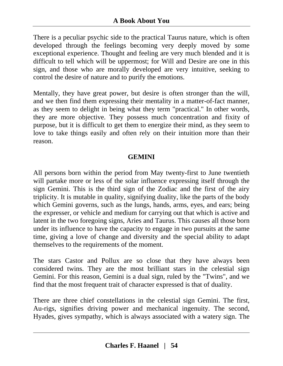There is a peculiar psychic side to the practical Taurus nature, which is often developed through the feelings becoming very deeply moved by some exceptional experience. Thought and feeling are very much blended and it is difficult to tell which will be uppermost; for Will and Desire are one in this sign, and those who are morally developed are very intuitive, seeking to control the desire of nature and to purify the emotions.

Mentally, they have great power, but desire is often stronger than the will, and we then find them expressing their mentality in a matter-of-fact manner, as they seem to delight in being what they term "practical." In other words, they are more objective. They possess much concentration and fixity of purpose, but it is difficult to get them to energize their mind, as they seem to love to take things easily and often rely on their intuition more than their reason.

#### **GEMINI**

All persons born within the period from May twenty-first to June twentieth will partake more or less of the solar influence expressing itself through the sign Gemini. This is the third sign of the Zodiac and the first of the airy triplicity. It is mutable in quality, signifying duality, like the parts of the body which Gemini governs, such as the lungs, hands, arms, eyes, and ears; being the expresser, or vehicle and medium for carrying out that which is active and latent in the two foregoing signs, Aries and Taurus. This causes all those born under its influence to have the capacity to engage in two pursuits at the same time, giving a love of change and diversity and the special ability to adapt themselves to the requirements of the moment.

The stars Castor and Pollux are so close that they have always been considered twins. They are the most brilliant stars in the celestial sign Gemini. For this reason, Gemini is a dual sign, ruled by the "Twins", and we find that the most frequent trait of character expressed is that of duality.

There are three chief constellations in the celestial sign Gemini. The first, Au-rigs, signifies driving power and mechanical ingenuity. The second, Hyades, gives sympathy, which is always associated with a watery sign. The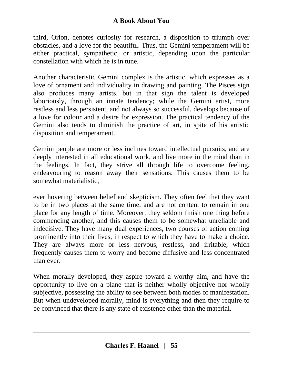third, Orion, denotes curiosity for research, a disposition to triumph over obstacles, and a love for the beautiful. Thus, the Gemini temperament will be either practical, sympathetic, or artistic, depending upon the particular constellation with which he is in tune.

Another characteristic Gemini complex is the artistic, which expresses as a love of ornament and individuality in drawing and painting. The Pisces sign also produces many artists, but in that sign the talent is developed laboriously, through an innate tendency; while the Gemini artist, more restless and less persistent, and not always so successful, develops because of a love for colour and a desire for expression. The practical tendency of the Gemini also tends to diminish the practice of art, in spite of his artistic disposition and temperament.

Gemini people are more or less inclines toward intellectual pursuits, and are deeply interested in all educational work, and live more in the mind than in the feelings. In fact, they strive all through life to overcome feeling, endeavouring to reason away their sensations. This causes them to be somewhat materialistic,

ever hovering between belief and skepticism. They often feel that they want to be in two places at the same time, and are not content to remain in one place for any length of time. Moreover, they seldom finish one thing before commencing another, and this causes them to be somewhat unreliable and indecisive. They have many dual experiences, two courses of action coming prominently into their lives, in respect to which they have to make a choice. They are always more or less nervous, restless, and irritable, which frequently causes them to worry and become diffusive and less concentrated than ever.

When morally developed, they aspire toward a worthy aim, and have the opportunity to live on a plane that is neither wholly objective nor wholly subjective, possessing the ability to see between both modes of manifestation. But when undeveloped morally, mind is everything and then they require to be convinced that there is any state of existence other than the material.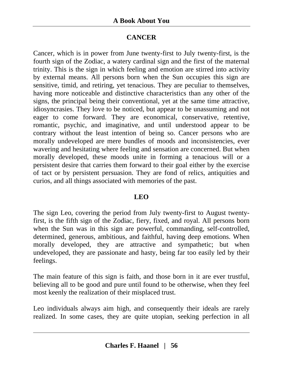# **CANCER**

Cancer, which is in power from June twenty-first to July twenty-first, is the fourth sign of the Zodiac, a watery cardinal sign and the first of the maternal trinity. This is the sign in which feeling and emotion are stirred into activity by external means. All persons born when the Sun occupies this sign are sensitive, timid, and retiring, yet tenacious. They are peculiar to themselves, having more noticeable and distinctive characteristics than any other of the signs, the principal being their conventional, yet at the same time attractive, idiosyncrasies. They love to be noticed, but appear to be unassuming and not eager to come forward. They are economical, conservative, retentive, romantic, psychic, and imaginative, and until understood appear to be contrary without the least intention of being so. Cancer persons who are morally undeveloped are mere bundles of moods and inconsistencies, ever wavering and hesitating where feeling and sensation are concerned. But when morally developed, these moods unite in forming a tenacious will or a persistent desire that carries them forward to their goal either by the exercise of tact or by persistent persuasion. They are fond of relics, antiquities and curios, and all things associated with memories of the past.

### **LEO**

The sign Leo, covering the period from July twenty-first to August twentyfirst, is the fifth sign of the Zodiac, fiery, fixed, and royal. All persons born when the Sun was in this sign are powerful, commanding, self-controlled, determined, generous, ambitious, and faithful, having deep emotions. When morally developed, they are attractive and sympathetic; but when undeveloped, they are passionate and hasty, being far too easily led by their feelings.

The main feature of this sign is faith, and those born in it are ever trustful, believing all to be good and pure until found to be otherwise, when they feel most keenly the realization of their misplaced trust.

Leo individuals always aim high, and consequently their ideals are rarely realized. In some cases, they are quite utopian, seeking perfection in all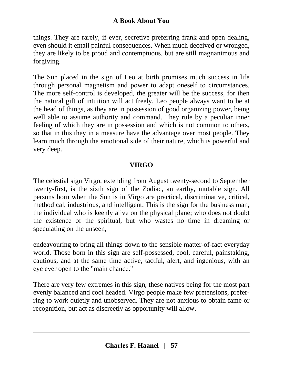things. They are rarely, if ever, secretive preferring frank and open dealing, even should it entail painful consequences. When much deceived or wronged, they are likely to be proud and contemptuous, but are still magnanimous and forgiving.

The Sun placed in the sign of Leo at birth promises much success in life through personal magnetism and power to adapt oneself to circumstances. The more self-control is developed, the greater will be the success, for then the natural gift of intuition will act freely. Leo people always want to be at the head of things, as they are in possession of good organizing power, being well able to assume authority and command. They rule by a peculiar inner feeling of which they are in possession and which is not common to others, so that in this they in a measure have the advantage over most people. They learn much through the emotional side of their nature, which is powerful and very deep.

#### **VIRGO**

The celestial sign Virgo, extending from August twenty-second to September twenty-first, is the sixth sign of the Zodiac, an earthy, mutable sign. All persons born when the Sun is in Virgo are practical, discriminative, critical, methodical, industrious, and intelligent. This is the sign for the business man, the individual who is keenly alive on the physical plane; who does not doubt the existence of the spiritual, but who wastes no time in dreaming or speculating on the unseen,

endeavouring to bring all things down to the sensible matter-of-fact everyday world. Those born in this sign are self-possessed, cool, careful, painstaking, cautious, and at the same time active, tactful, alert, and ingenious, with an eye ever open to the "main chance."

There are very few extremes in this sign, these natives being for the most part evenly balanced and cool headed. Virgo people make few pretensions, preferring to work quietly and unobserved. They are not anxious to obtain fame or recognition, but act as discreetly as opportunity will allow.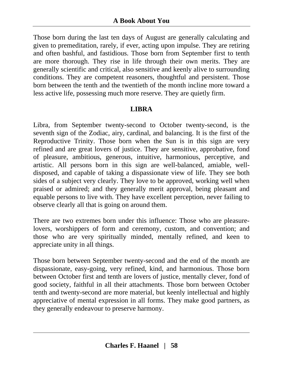Those born during the last ten days of August are generally calculating and given to premeditation, rarely, if ever, acting upon impulse. They are retiring and often bashful, and fastidious. Those born from September first to tenth are more thorough. They rise in life through their own merits. They are generally scientific and critical, also sensitive and keenly alive to surrounding conditions. They are competent reasoners, thoughtful and persistent. Those born between the tenth and the twentieth of the month incline more toward a less active life, possessing much more reserve. They are quietly firm.

#### **LIBRA**

Libra, from September twenty-second to October twenty-second, is the seventh sign of the Zodiac, airy, cardinal, and balancing. It is the first of the Reproductive Trinity. Those born when the Sun is in this sign are very refined and are great lovers of justice. They are sensitive, approbative, fond of pleasure, ambitious, generous, intuitive, harmonious, perceptive, and artistic. All persons born in this sign are well-balanced, amiable, welldisposed, and capable of taking a dispassionate view of life. They see both sides of a subject very clearly. They love to be approved, working well when praised or admired; and they generally merit approval, being pleasant and equable persons to live with. They have excellent perception, never failing to observe clearly all that is going on around them.

There are two extremes born under this influence: Those who are pleasurelovers, worshippers of form and ceremony, custom, and convention; and those who are very spiritually minded, mentally refined, and keen to appreciate unity in all things.

Those born between September twenty-second and the end of the month are dispassionate, easy-going, very refined, kind, and harmonious. Those born between October first and tenth are lovers of justice, mentally clever, fond of good society, faithful in all their attachments. Those born between October tenth and twenty-second are more material, but keenly intellectual and highly appreciative of mental expression in all forms. They make good partners, as they generally endeavour to preserve harmony.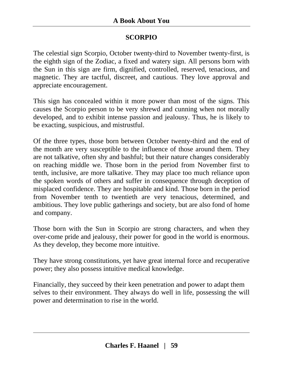# **SCORPIO**

The celestial sign Scorpio, October twenty-third to November twenty-first, is the eighth sign of the Zodiac, a fixed and watery sign. All persons born with the Sun in this sign are firm, dignified, controlled, reserved, tenacious, and magnetic. They are tactful, discreet, and cautious. They love approval and appreciate encouragement.

This sign has concealed within it more power than most of the signs. This causes the Scorpio person to be very shrewd and cunning when not morally developed, and to exhibit intense passion and jealousy. Thus, he is likely to be exacting, suspicious, and mistrustful.

Of the three types, those born between October twenty-third and the end of the month are very susceptible to the influence of those around them. They are not talkative, often shy and bashful; but their nature changes considerably on reaching middle we. Those born in the period from November first to tenth, inclusive, are more talkative. They may place too much reliance upon the spoken words of others and suffer in consequence through deception of misplaced confidence. They are hospitable and kind. Those born in the period from November tenth to twentieth are very tenacious, determined, and ambitious. They love public gatherings and society, but are also fond of home and company.

Those born with the Sun in Scorpio are strong characters, and when they over-come pride and jealousy, their power for good in the world is enormous. As they develop, they become more intuitive.

They have strong constitutions, yet have great internal force and recuperative power; they also possess intuitive medical knowledge.

Financially, they succeed by their keen penetration and power to adapt them selves to their environment. They always do well in life, possessing the will power and determination to rise in the world.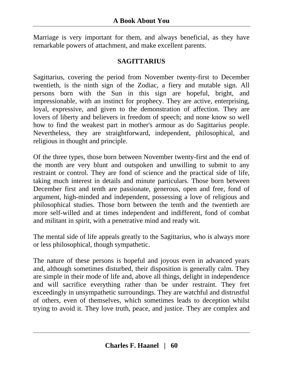Marriage is very important for them, and always beneficial, as they have remarkable powers of attachment, and make excellent parents.

#### **SAGITTARIUS**

Sagittarius, covering the period from November twenty-first to December twentieth, is the ninth sign of the Zodiac, a fiery and mutable sign. All persons born with the Sun in this sign are hopeful, bright, and impressionable, with an instinct for prophecy. They are active, enterprising, loyal, expressive, and given to the demonstration of affection. They are lovers of liberty and believers in freedom of speech; and none know so well how to find the weakest part in mother's armour as do Sagittarius people. Nevertheless, they are straightforward, independent, philosophical, and religious in thought and principle.

Of the three types, those born between November twenty-first and the end of the month are very blunt and outspoken and unwilling to submit to any restraint or control. They are fond of science and the practical side of life, taking much interest in details and minute particulars. Those born between December first and tenth are passionate, generous, open and free, fond of argument, high-minded and independent, possessing a love of religious and philosophical studies. Those born between the tenth and the twentieth are more self-willed and at times independent and indifferent, fond of combat and militant in spirit, with a penetrative mind and ready wit.

The mental side of life appeals greatly to the Sagittarius, who is always more or less philosophical, though sympathetic.

The nature of these persons is hopeful and joyous even in advanced years and, although sometimes disturbed, their disposition is generally calm. They are simple in their mode of life and, above all things, delight in independence and will sacrifice everything rather than be under restraint. They fret exceedingly in unsympathetic surroundings. They are watchful and distrustful of others, even of themselves, which sometimes leads to deception whilst trying to avoid it. They love truth, peace, and justice. They are complex and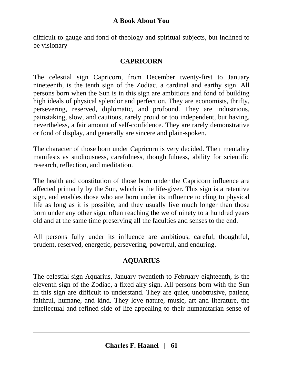difficult to gauge and fond of theology and spiritual subjects, but inclined to be visionary

### **CAPRICORN**

The celestial sign Capricorn, from December twenty-first to January nineteenth, is the tenth sign of the Zodiac, a cardinal and earthy sign. All persons born when the Sun is in this sign are ambitious and fond of building high ideals of physical splendor and perfection. They are economists, thrifty, persevering, reserved, diplomatic, and profound. They are industrious, painstaking, slow, and cautious, rarely proud or too independent, but having, nevertheless, a fair amount of self-confidence. They are rarely demonstrative or fond of display, and generally are sincere and plain-spoken.

The character of those born under Capricorn is very decided. Their mentality manifests as studiousness, carefulness, thoughtfulness, ability for scientific research, reflection, and meditation.

The health and constitution of those born under the Capricorn influence are affected primarily by the Sun, which is the life-giver. This sign is a retentive sign, and enables those who are born under its influence to cling to physical life as long as it is possible, and they usually live much longer than those born under any other sign, often reaching the we of ninety to a hundred years old and at the same time preserving all the faculties and senses to the end.

All persons fully under its influence are ambitious, careful, thoughtful, prudent, reserved, energetic, persevering, powerful, and enduring.

### **AQUARIUS**

The celestial sign Aquarius, January twentieth to February eighteenth, is the eleventh sign of the Zodiac, a fixed airy sign. All persons born with the Sun in this sign are difficult to understand. They are quiet, unobtrusive, patient, faithful, humane, and kind. They love nature, music, art and literature, the intellectual and refined side of life appealing to their humanitarian sense of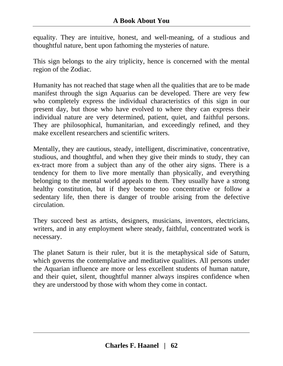equality. They are intuitive, honest, and well-meaning, of a studious and thoughtful nature, bent upon fathoming the mysteries of nature.

This sign belongs to the airy triplicity, hence is concerned with the mental region of the Zodiac.

Humanity has not reached that stage when all the qualities that are to be made manifest through the sign Aquarius can be developed. There are very few who completely express the individual characteristics of this sign in our present day, but those who have evolved to where they can express their individual nature are very determined, patient, quiet, and faithful persons. They are philosophical, humanitarian, and exceedingly refined, and they make excellent researchers and scientific writers.

Mentally, they are cautious, steady, intelligent, discriminative, concentrative, studious, and thoughtful, and when they give their minds to study, they can ex-tract more from a subject than any of the other airy signs. There is a tendency for them to live more mentally than physically, and everything belonging to the mental world appeals to them. They usually have a strong healthy constitution, but if they become too concentrative or follow a sedentary life, then there is danger of trouble arising from the defective circulation.

They succeed best as artists, designers, musicians, inventors, electricians, writers, and in any employment where steady, faithful, concentrated work is necessary.

The planet Saturn is their ruler, but it is the metaphysical side of Saturn, which governs the contemplative and meditative qualities. All persons under the Aquarian influence are more or less excellent students of human nature, and their quiet, silent, thoughtful manner always inspires confidence when they are understood by those with whom they come in contact.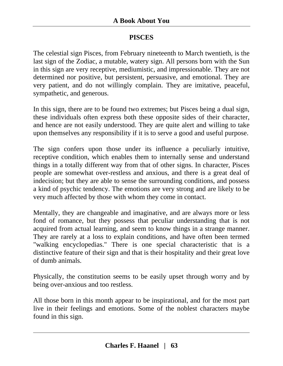## **PISCES**

The celestial sign Pisces, from February nineteenth to March twentieth, is the last sign of the Zodiac, a mutable, watery sign. All persons born with the Sun in this sign are very receptive, mediumistic, and impressionable. They are not determined nor positive, but persistent, persuasive, and emotional. They are very patient, and do not willingly complain. They are imitative, peaceful, sympathetic, and generous.

In this sign, there are to be found two extremes; but Pisces being a dual sign, these individuals often express both these opposite sides of their character, and hence are not easily understood. They are quite alert and willing to take upon themselves any responsibility if it is to serve a good and useful purpose.

The sign confers upon those under its influence a peculiarly intuitive, receptive condition, which enables them to internally sense and understand things in a totally different way from that of other signs. In character, Pisces people are somewhat over-restless and anxious, and there is a great deal of indecision; but they are able to sense the surrounding conditions, and possess a kind of psychic tendency. The emotions are very strong and are likely to be very much affected by those with whom they come in contact.

Mentally, they are changeable and imaginative, and are always more or less fond of romance, but they possess that peculiar understanding that is not acquired from actual learning, and seem to know things in a strange manner. They are rarely at a loss to explain conditions, and have often been termed "walking encyclopedias." There is one special characteristic that is a distinctive feature of their sign and that is their hospitality and their great love of dumb animals.

Physically, the constitution seems to be easily upset through worry and by being over-anxious and too restless.

All those born in this month appear to be inspirational, and for the most part live in their feelings and emotions. Some of the noblest characters maybe found in this sign.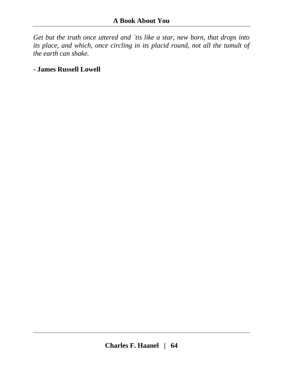*Get but the truth once uttered and `tis like a star, new born, that drops into its place, and which, once circling in its placid round, not all the tumult of the earth can shake.* 

**- James Russell Lowell**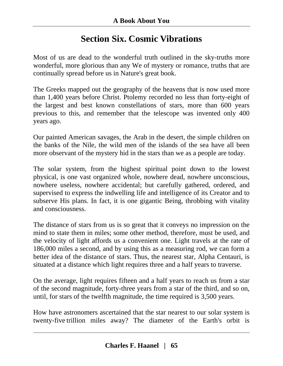# **Section Six. Cosmic Vibrations**

Most of us are dead to the wonderful truth outlined in the sky-truths more wonderful, more glorious than any We of mystery or romance, truths that are continually spread before us in Nature's great book.

The Greeks mapped out the geography of the heavens that is now used more than 1,400 years before Christ. Ptolemy recorded no less than forty-eight of the largest and best known constellations of stars, more than 600 years previous to this, and remember that the telescope was invented only 400 years ago.

Our painted American savages, the Arab in the desert, the simple children on the banks of the Nile, the wild men of the islands of the sea have all been more observant of the mystery hid in the stars than we as a people are today.

The solar system, from the highest spiritual point down to the lowest physical, is one vast organized whole, nowhere dead, nowhere unconscious, nowhere useless, nowhere accidental; but carefully gathered, ordered, and supervised to express the indwelling life and intelligence of its Creator and to subserve His plans. In fact, it is one gigantic Being, throbbing with vitality and consciousness.

The distance of stars from us is so great that it conveys no impression on the mind to state them in miles; some other method, therefore, must be used, and the velocity of light affords us a convenient one. Light travels at the rate of 186,000 miles a second, and by using this as a measuring rod, we can form a better idea of the distance of stars. Thus, the nearest star, Alpha Centauri, is situated at a distance which light requires three and a half years to traverse.

On the average, light requires fifteen and a half years to reach us from a star of the second magnitude, forty-three years from a star of the third, and so on, until, for stars of the twelfth magnitude, the time required is 3,500 years.

How have astronomers ascertained that the star nearest to our solar system is twenty-five trillion miles away? The diameter of the Earth's orbit is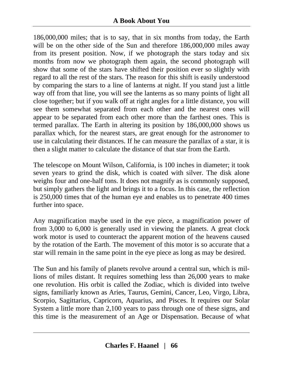186,000,000 miles; that is to say, that in six months from today, the Earth will be on the other side of the Sun and therefore 186,000,000 miles away from its present position. Now, if we photograph the stars today and six months from now we photograph them again, the second photograph will show that some of the stars have shifted their position ever so slightly with regard to all the rest of the stars. The reason for this shift is easily understood by comparing the stars to a line of lanterns at night. If you stand just a little way off from that line, you will see the lanterns as so many points of light all close together; but if you walk off at right angles for a little distance, you will see them somewhat separated from each other and the nearest ones will appear to be separated from each other more than the farthest ones. This is termed parallax. The Earth in altering its position by 186,000,000 shows us parallax which, for the nearest stars, are great enough for the astronomer to use in calculating their distances. If he can measure the parallax of a star, it is then a slight matter to calculate the distance of that star from the Earth.

The telescope on Mount Wilson, California, is 100 inches in diameter; it took seven years to grind the disk, which is coated with silver. The disk alone weighs four and one-half tons. It does not magnify as is commonly supposed, but simply gathers the light and brings it to a focus. In this case, the reflection is 250,000 times that of the human eye and enables us to penetrate 400 times further into space.

Any magnification maybe used in the eye piece, a magnification power of from 3,000 to 6,000 is generally used in viewing the planets. A great clock work motor is used to counteract the apparent motion of the heavens caused by the rotation of the Earth. The movement of this motor is so accurate that a star will remain in the same point in the eye piece as long as may be desired.

The Sun and his family of planets revolve around a central sun, which is millions of miles distant. It requires something less than 26,000 years to make one revolution. His orbit is called the Zodiac, which is divided into twelve signs, familiarly known as Aries, Taurus, Gemini, Cancer, Leo, Virgo, Libra, Scorpio, Sagittarius, Capricorn, Aquarius, and Pisces. It requires our Solar System a little more than 2,100 years to pass through one of these signs, and this time is the measurement of an Age or Dispensation. Because of what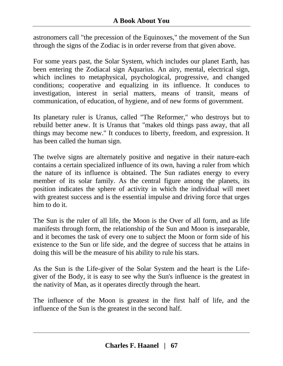astronomers call "the precession of the Equinoxes," the movement of the Sun through the signs of the Zodiac is in order reverse from that given above.

For some years past, the Solar System, which includes our planet Earth, has been entering the Zodiacal sign Aquarius. An airy, mental, electrical sign, which inclines to metaphysical, psychological, progressive, and changed conditions; cooperative and equalizing in its influence. It conduces to investigation, interest in serial matters, means of transit, means of communication, of education, of hygiene, and of new forms of government.

Its planetary ruler is Uranus, called "The Reformer," who destroys but to rebuild better anew. It is Uranus that "makes old things pass away, that all things may become new." It conduces to liberty, freedom, and expression. It has been called the human sign.

The twelve signs are alternately positive and negative in their nature-each contains a certain specialized influence of its own, having a ruler from which the nature of its influence is obtained. The Sun radiates energy to every member of its solar family. As the central figure among the planets, its position indicates the sphere of activity in which the individual will meet with greatest success and is the essential impulse and driving force that urges him to do it.

The Sun is the ruler of all life, the Moon is the Over of all form, and as life manifests through form, the relationship of the Sun and Moon is inseparable, and it becomes the task of every one to subject the Moon or form side of his existence to the Sun or life side, and the degree of success that he attains in doing this will be the measure of his ability to rule his stars.

As the Sun is the Life-giver of the Solar System and the heart is the Lifegiver of the Body, it is easy to see why the Sun's influence is the greatest in the nativity of Man, as it operates directly through the heart.

The influence of the Moon is greatest in the first half of life, and the influence of the Sun is the greatest in the second half.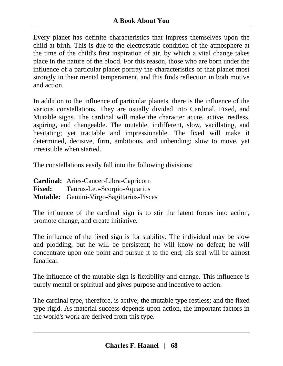Every planet has definite characteristics that impress themselves upon the child at birth. This is due to the electrostatic condition of the atmosphere at the time of the child's first inspiration of air, by which a vital change takes place in the nature of the blood. For this reason, those who are born under the influence of a particular planet portray the characteristics of that planet most strongly in their mental temperament, and this finds reflection in both motive and action.

In addition to the influence of particular planets, there is the influence of the various constellations. They are usually divided into Cardinal, Fixed, and Mutable signs. The cardinal will make the character acute, active, restless, aspiring, and changeable. The mutable, indifferent, slow, vacillating, and hesitating; yet tractable and impressionable. The fixed will make it determined, decisive, firm, ambitious, and unbending; slow to move, yet irresistible when started.

The constellations easily fall into the following divisions:

| Cardinal: Aries-Cancer-Libra-Capricorn          |
|-------------------------------------------------|
| <b>Fixed:</b> Taurus-Leo-Scorpio-Aquarius       |
| <b>Mutable:</b> Gemini-Virgo-Sagittarius-Pisces |

The influence of the cardinal sign is to stir the latent forces into action, promote change, and create initiative.

The influence of the fixed sign is for stability. The individual may be slow and plodding, but he will be persistent; he will know no defeat; he will concentrate upon one point and pursue it to the end; his seal will be almost fanatical.

The influence of the mutable sign is flexibility and change. This influence is purely mental or spiritual and gives purpose and incentive to action.

The cardinal type, therefore, is active; the mutable type restless; and the fixed type rigid. As material success depends upon action, the important factors in the world's work are derived from this type.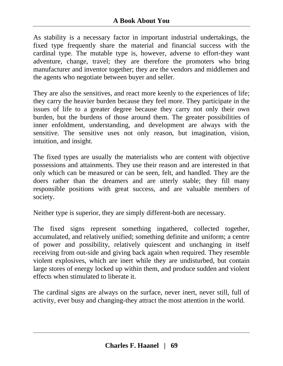As stability is a necessary factor in important industrial undertakings, the fixed type frequently share the material and financial success with the cardinal type. The mutable type is, however, adverse to effort-they want adventure, change, travel; they are therefore the promoters who bring manufacturer and inventor together; they are the vendors and middlemen and the agents who negotiate between buyer and seller.

They are also the sensitives, and react more keenly to the experiences of life; they carry the heavier burden because they feel more. They participate in the issues of life to a greater degree because they carry not only their own burden, but the burdens of those around them. The greater possibilities of inner enfoldment, understanding, and development are always with the sensitive. The sensitive uses not only reason, but imagination, vision, intuition, and insight.

The fixed types are usually the materialists who are content with objective possessions and attainments. They use their reason and are interested in that only which can be measured or can be seen, felt, and handled. They are the doers rather than the dreamers and are utterly stable; they fill many responsible positions with great success, and are valuable members of society.

Neither type is superior, they are simply different-both are necessary.

The fixed signs represent something ingathered, collected together, accumulated, and relatively unified; something definite and uniform; a centre of power and possibility, relatively quiescent and unchanging in itself receiving from out-side and giving back again when required. They resemble violent explosives, which are inert while they are undisturbed, but contain large stores of energy locked up within them, and produce sudden and violent effects when stimulated to liberate it.

The cardinal signs are always on the surface, never inert, never still, full of activity, ever busy and changing-they attract the most attention in the world.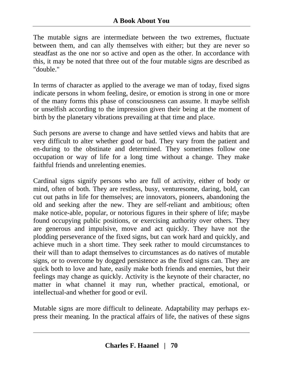The mutable signs are intermediate between the two extremes, fluctuate between them, and can ally themselves with either; but they are never so steadfast as the one nor so active and open as the other. In accordance with this, it may be noted that three out of the four mutable signs are described as "double."

In terms of character as applied to the average we man of today, fixed signs indicate persons in whom feeling, desire, or emotion is strong in one or more of the many forms this phase of consciousness can assume. It maybe selfish or unselfish according to the impression given their being at the moment of birth by the planetary vibrations prevailing at that time and place.

Such persons are averse to change and have settled views and habits that are very difficult to alter whether good or bad. They vary from the patient and en-during to the obstinate and determined. They sometimes follow one occupation or way of life for a long time without a change. They make faithful friends and unrelenting enemies.

Cardinal signs signify persons who are full of activity, either of body or mind, often of both. They are restless, busy, venturesome, daring, bold, can cut out paths in life for themselves; are innovators, pioneers, abandoning the old and seeking after the new. They are self-reliant and ambitious; often make notice-able, popular, or notorious figures in their sphere of life; maybe found occupying public positions, or exercising authority over others. They are generous and impulsive, move and act quickly. They have not the plodding perseverance of the fixed signs, but can work hard and quickly, and achieve much in a short time. They seek rather to mould circumstances to their will than to adapt themselves to circumstances as do natives of mutable signs, or to overcome by dogged persistence as the fixed signs can. They are quick both to love and hate, easily make both friends and enemies, but their feelings may change as quickly. Activity is the keynote of their character, no matter in what channel it may run, whether practical, emotional, or intellectual-and whether for good or evil.

Mutable signs are more difficult to delineate. Adaptability may perhaps express their meaning. In the practical affairs of life, the natives of these signs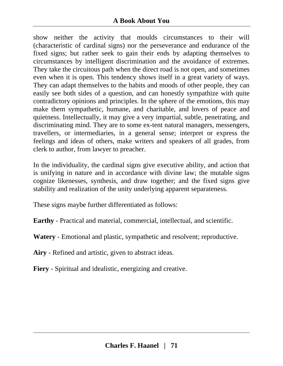show neither the activity that moulds circumstances to their will (characteristic of cardinal signs) nor the perseverance and endurance of the fixed signs; but rather seek to gain their ends by adapting themselves to circumstances by intelligent discrimination and the avoidance of extremes. They take the circuitous path when the direct road is not open, and sometimes even when it is open. This tendency shows itself in a great variety of ways. They can adapt themselves to the habits and moods of other people, they can easily see both sides of a question, and can honestly sympathize with quite contradictory opinions and principles. In the sphere of the emotions, this may make them sympathetic, humane, and charitable, and lovers of peace and quietness. Intellectually, it may give a very impartial, subtle, penetrating, and discriminating mind. They are to some ex-tent natural managers, messengers, travellers, or intermediaries, in a general sense; interpret or express the feelings and ideas of others, make writers and speakers of all grades, from clerk to author, from lawyer to preacher.

In the individuality, the cardinal signs give executive ability, and action that is unifying in nature and in accordance with divine law; the mutable signs cognize likenesses, synthesis, and draw together; and the fixed signs give stability and realization of the unity underlying apparent separateness.

These signs maybe further differentiated as follows:

**Earthy** - Practical and material, commercial, intellectual, and scientific.

**Watery** - Emotional and plastic, sympathetic and resolvent; reproductive.

**Airy** - Refined and artistic, given to abstract ideas.

**Fiery** - Spiritual and idealistic, energizing and creative.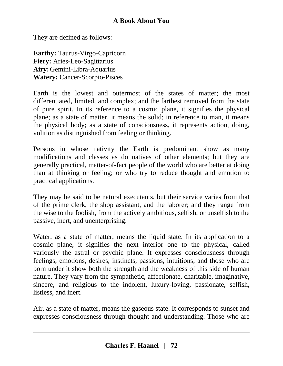They are defined as follows:

**Earthy:** Taurus-Virgo-Capricorn **Fiery:** Aries-Leo-Sagittarius **Airy:** Gemini-Libra-Aquarius **Watery:** Cancer-Scorpio-Pisces

Earth is the lowest and outermost of the states of matter; the most differentiated, limited, and complex; and the farthest removed from the state of pure spirit. In its reference to a cosmic plane, it signifies the physical plane; as a state of matter, it means the solid; in reference to man, it means the physical body; as a state of consciousness, it represents action, doing, volition as distinguished from feeling or thinking.

Persons in whose nativity the Earth is predominant show as many modifications and classes as do natives of other elements; but they are generally practical, matter-of-fact people of the world who are better at doing than at thinking or feeling; or who try to reduce thought and emotion to practical applications.

They may be said to be natural executants, but their service varies from that of the prime clerk, the shop assistant, and the laborer; and they range from the wise to the foolish, from the actively ambitious, selfish, or unselfish to the passive, inert, and unenterprising.

Water, as a state of matter, means the liquid state. In its application to a cosmic plane, it signifies the next interior one to the physical, called variously the astral or psychic plane. It expresses consciousness through feelings, emotions, desires, instincts, passions, intuitions; and those who are born under it show both the strength and the weakness of this side of human nature. They vary from the sympathetic, affectionate, charitable, imaginative, sincere, and religious to the indolent, luxury-loving, passionate, selfish, listless, and inert.

Air, as a state of matter, means the gaseous state. It corresponds to sunset and expresses consciousness through thought and understanding. Those who are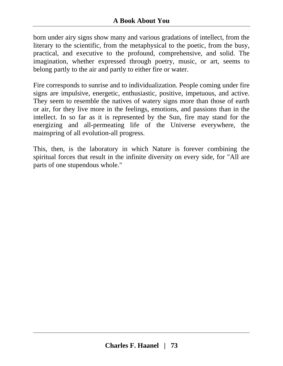born under airy signs show many and various gradations of intellect, from the literary to the scientific, from the metaphysical to the poetic, from the busy, practical, and executive to the profound, comprehensive, and solid. The imagination, whether expressed through poetry, music, or art, seems to belong partly to the air and partly to either fire or water.

Fire corresponds to sunrise and to individualization. People coming under fire signs are impulsive, energetic, enthusiastic, positive, impetuous, and active. They seem to resemble the natives of watery signs more than those of earth or air, for they live more in the feelings, emotions, and passions than in the intellect. In so far as it is represented by the Sun, fire may stand for the energizing and all-permeating life of the Universe everywhere, the mainspring of all evolution-all progress.

This, then, is the laboratory in which Nature is forever combining the spiritual forces that result in the infinite diversity on every side, for "All are parts of one stupendous whole."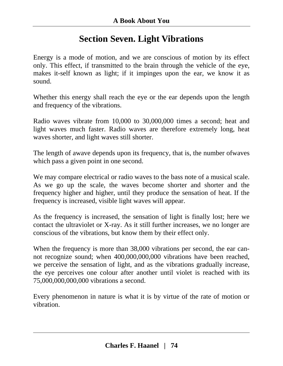# **Section Seven. Light Vibrations**

Energy is a mode of motion, and we are conscious of motion by its effect only. This effect, if transmitted to the brain through the vehicle of the eye, makes it-self known as light; if it impinges upon the ear, we know it as sound.

Whether this energy shall reach the eye or the ear depends upon the length and frequency of the vibrations.

Radio waves vibrate from 10,000 to 30,000,000 times a second; heat and light waves much faster. Radio waves are therefore extremely long, heat waves shorter, and light waves still shorter.

The length of awave depends upon its frequency, that is, the number ofwaves which pass a given point in one second.

We may compare electrical or radio waves to the bass note of a musical scale. As we go up the scale, the waves become shorter and shorter and the frequency higher and higher, until they produce the sensation of heat. If the frequency is increased, visible light waves will appear.

As the frequency is increased, the sensation of light is finally lost; here we contact the ultraviolet or X-ray. As it still further increases, we no longer are conscious of the vibrations, but know them by their effect only.

When the frequency is more than 38,000 vibrations per second, the ear cannot recognize sound; when 400,000,000,000 vibrations have been reached, we perceive the sensation of light, and as the vibrations gradually increase, the eye perceives one colour after another until violet is reached with its 75,000,000,000,000 vibrations a second.

Every phenomenon in nature is what it is by virtue of the rate of motion or vibration.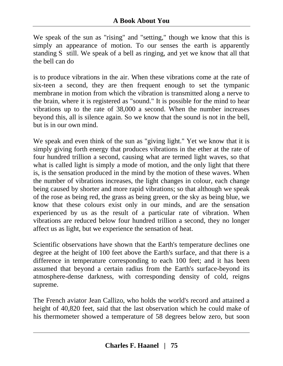We speak of the sun as "rising" and "setting," though we know that this is simply an appearance of motion. To our senses the earth is apparently standing S still. We speak of a bell as ringing, and yet we know that all that the bell can do

is to produce vibrations in the air. When these vibrations come at the rate of six-teen a second, they are then frequent enough to set the tympanic membrane in motion from which the vibration is transmitted along a nerve to the brain, where it is registered as "sound." It is possible for the mind to hear vibrations up to the rate of 38,000 a second. When the number increases beyond this, all is silence again. So we know that the sound is not in the bell, but is in our own mind.

We speak and even think of the sun as "giving light." Yet we know that it is simply giving forth energy that produces vibrations in the ether at the rate of four hundred trillion a second, causing what are termed light waves, so that what is called light is simply a mode of motion, and the only light that there is, is the sensation produced in the mind by the motion of these waves. When the number of vibrations increases, the light changes in colour, each change being caused by shorter and more rapid vibrations; so that although we speak of the rose as being red, the grass as being green, or the sky as being blue, we know that these colours exist only in our minds, and are the sensation experienced by us as the result of a particular rate of vibration. When vibrations are reduced below four hundred trillion a second, they no longer affect us as light, but we experience the sensation of heat.

Scientific observations have shown that the Earth's temperature declines one degree at the height of 100 feet above the Earth's surface, and that there is a difference in temperature corresponding to each 100 feet; and it has been assumed that beyond a certain radius from the Earth's surface-beyond its atmosphere-dense darkness, with corresponding density of cold, reigns supreme.

The French aviator Jean Callizo, who holds the world's record and attained a height of 40,820 feet, said that the last observation which he could make of his thermometer showed a temperature of 58 degrees below zero, but soon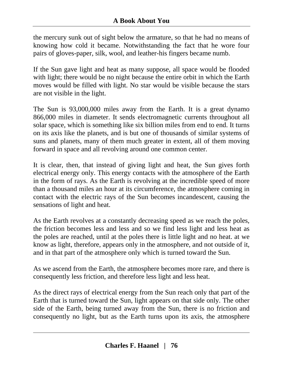the mercury sunk out of sight below the armature, so that he had no means of knowing how cold it became. Notwithstanding the fact that he wore four pairs of gloves-paper, silk, wool, and leather-his fingers became numb.

If the Sun gave light and heat as many suppose, all space would be flooded with light; there would be no night because the entire orbit in which the Earth moves would be filled with light. No star would be visible because the stars are not visible in the light.

The Sun is 93,000,000 miles away from the Earth. It is a great dynamo 866,000 miles in diameter. It sends electromagnetic currents throughout all solar space, which is something like six billion miles from end to end. It turns on its axis like the planets, and is but one of thousands of similar systems of suns and planets, many of them much greater in extent, all of them moving forward in space and all revolving around one common center.

It is clear, then, that instead of giving light and heat, the Sun gives forth electrical energy only. This energy contacts with the atmosphere of the Earth in the form of rays. As the Earth is revolving at the incredible speed of more than a thousand miles an hour at its circumference, the atmosphere coming in contact with the electric rays of the Sun becomes incandescent, causing the sensations of light and heat.

As the Earth revolves at a constantly decreasing speed as we reach the poles, the friction becomes less and less and so we find less light and less heat as the poles are reached, until at the poles there is little light and no heat. at we know as light, therefore, appears only in the atmosphere, and not outside of it, and in that part of the atmosphere only which is turned toward the Sun.

As we ascend from the Earth, the atmosphere becomes more rare, and there is consequently less friction, and therefore less light and less heat.

As the direct rays of electrical energy from the Sun reach only that part of the Earth that is turned toward the Sun, light appears on that side only. The other side of the Earth, being turned away from the Sun, there is no friction and consequently no light, but as the Earth turns upon its axis, the atmosphere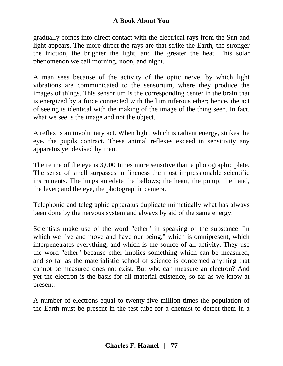gradually comes into direct contact with the electrical rays from the Sun and light appears. The more direct the rays are that strike the Earth, the stronger the friction, the brighter the light, and the greater the heat. This solar phenomenon we call morning, noon, and night.

A man sees because of the activity of the optic nerve, by which light vibrations are communicated to the sensorium, where they produce the images of things. This sensorium is the corresponding center in the brain that is energized by a force connected with the luminiferous ether; hence, the act of seeing is identical with the making of the image of the thing seen. In fact, what we see is the image and not the object.

A reflex is an involuntary act. When light, which is radiant energy, strikes the eye, the pupils contract. These animal reflexes exceed in sensitivity any apparatus yet devised by man.

The retina of the eye is 3,000 times more sensitive than a photographic plate. The sense of smell surpasses in fineness the most impressionable scientific instruments. The lungs antedate the bellows; the heart, the pump; the hand, the lever; and the eye, the photographic camera.

Telephonic and telegraphic apparatus duplicate mimetically what has always been done by the nervous system and always by aid of the same energy.

Scientists make use of the word "ether" in speaking of the substance "in which we live and move and have our being;" which is omnipresent, which interpenetrates everything, and which is the source of all activity. They use the word "ether" because ether implies something which can be measured, and so far as the materialistic school of science is concerned anything that cannot be measured does not exist. But who can measure an electron? And yet the electron is the basis for all material existence, so far as we know at present.

A number of electrons equal to twenty-five million times the population of the Earth must be present in the test tube for a chemist to detect them in a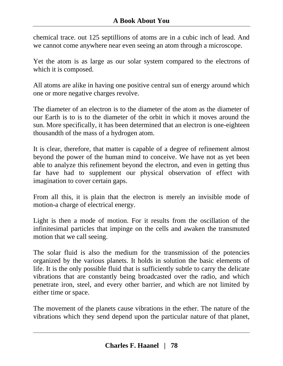chemical trace. out 125 septillions of atoms are in a cubic inch of lead. And we cannot come anywhere near even seeing an atom through a microscope.

Yet the atom is as large as our solar system compared to the electrons of which it is composed.

All atoms are alike in having one positive central sun of energy around which one or more negative charges revolve.

The diameter of an electron is to the diameter of the atom as the diameter of our Earth is to is to the diameter of the orbit in which it moves around the sun. More specifically, it has been determined that an electron is one-eighteen thousandth of the mass of a hydrogen atom.

It is clear, therefore, that matter is capable of a degree of refinement almost beyond the power of the human mind to conceive. We have not as yet been able to analyze this refinement beyond the electron, and even in getting thus far have had to supplement our physical observation of effect with imagination to cover certain gaps.

From all this, it is plain that the electron is merely an invisible mode of motion-a charge of electrical energy.

Light is then a mode of motion. For it results from the oscillation of the infinitesimal particles that impinge on the cells and awaken the transmuted motion that we call seeing.

The solar fluid is also the medium for the transmission of the potencies organized by the various planets. It holds in solution the basic elements of life. It is the only possible fluid that is sufficiently subtle to carry the delicate vibrations that are constantly being broadcasted over the radio, and which penetrate iron, steel, and every other barrier, and which are not limited by either time or space.

The movement of the planets cause vibrations in the ether. The nature of the vibrations which they send depend upon the particular nature of that planet,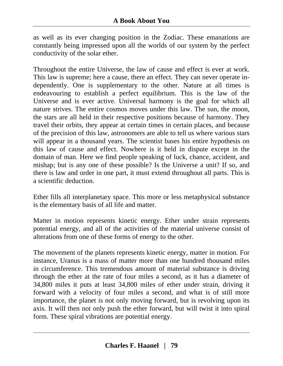as well as its ever changing position in the Zodiac. These emanations are constantly being impressed upon all the worlds of our system by the perfect conductivity of the solar ether.

Throughout the entire Universe, the law of cause and effect is ever at work. This law is supreme; here a cause, there an effect. They can never operate independently. One is supplementary to the other. Nature at all times is endeavouring to establish a perfect equilibrium. This is the law of the Universe and is ever active. Universal harmony is the goal for which all nature strives. The entire cosmos moves under this law. The sun, the moon, the stars are all held in their respective positions because of harmony. They travel their orbits, they appear at certain times in certain places, and because of the precision of this law, astronomers are able to tell us where various stars will appear in a thousand years. The scientist bases his entire hypothesis on this law of cause and effect. Nowhere is it held in dispute except in the domain of man. Here we find people speaking of luck, chance, accident, and mishap; but is any one of these possible? Is the Universe a unit? If so, and there is law and order in one part, it must extend throughout all parts. This is a scientific deduction.

Ether fills all interplanetary space. This more or less metaphysical substance is the elementary basis of all life and matter.

Matter in motion represents kinetic energy. Ether under strain represents potential energy, and all of the activities of the material universe consist of alterations from one of these forms of energy to the other.

The movement of the planets represents kinetic energy, matter in motion. For instance, Uranus is a mass of matter more than one hundred thousand miles in circumference. This tremendous amount of material substance is driving through the ether at the rate of four miles a second, as it has a diameter of 34,800 miles it puts at least 34,800 miles of ether under strain, driving it forward with a velocity of four miles a second, and what is of still more importance, the planet is not only moving forward, but is revolving upon its axis. It will then not only push the ether forward, but will twist it into spiral form. These spiral vibrations are potential energy.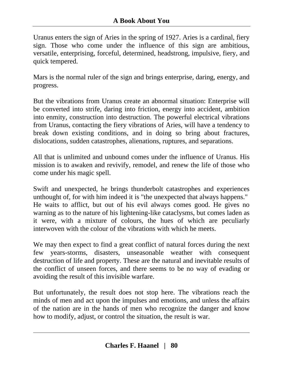Uranus enters the sign of Aries in the spring of 1927. Aries is a cardinal, fiery sign. Those who come under the influence of this sign are ambitious, versatile, enterprising, forceful, determined, headstrong, impulsive, fiery, and quick tempered.

Mars is the normal ruler of the sign and brings enterprise, daring, energy, and progress.

But the vibrations from Uranus create an abnormal situation: Enterprise will be converted into strife, daring into friction, energy into accident, ambition into enmity, construction into destruction. The powerful electrical vibrations from Uranus, contacting the fiery vibrations of Aries, will have a tendency to break down existing conditions, and in doing so bring about fractures, dislocations, sudden catastrophes, alienations, ruptures, and separations.

All that is unlimited and unbound comes under the influence of Uranus. His mission is to awaken and revivify, remodel, and renew the life of those who come under his magic spell.

Swift and unexpected, he brings thunderbolt catastrophes and experiences unthought of, for with him indeed it is "the unexpected that always happens." He waits to afflict, but out of his evil always comes good. He gives no warning as to the nature of his lightening-like cataclysms, but comes laden as it were, with a mixture of colours, the hues of which are peculiarly interwoven with the colour of the vibrations with which he meets.

We may then expect to find a great conflict of natural forces during the next few years-storms, disasters, unseasonable weather with consequent destruction of life and property. These are the natural and inevitable results of the conflict of unseen forces, and there seems to be no way of evading or avoiding the result of this invisible warfare.

But unfortunately, the result does not stop here. The vibrations reach the minds of men and act upon the impulses and emotions, and unless the affairs of the nation are in the hands of men who recognize the danger and know how to modify, adjust, or control the situation, the result is war.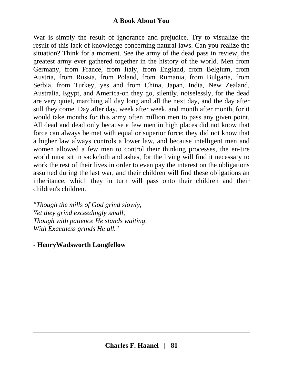War is simply the result of ignorance and prejudice. Try to visualize the result of this lack of knowledge concerning natural laws. Can you realize the situation? Think for a moment. See the army of the dead pass in review, the greatest army ever gathered together in the history of the world. Men from Germany, from France, from Italy, from England, from Belgium, from Austria, from Russia, from Poland, from Rumania, from Bulgaria, from Serbia, from Turkey, yes and from China, Japan, India, New Zealand, Australia, Egypt, and America-on they go, silently, noiselessly, for the dead are very quiet, marching all day long and all the next day, and the day after still they come. Day after day, week after week, and month after month, for it would take months for this army often million men to pass any given point. All dead and dead only because a few men in high places did not know that force can always be met with equal or superior force; they did not know that a higher law always controls a lower law, and because intelligent men and women allowed a few men to control their thinking processes, the en-tire world must sit in sackcloth and ashes, for the living will find it necessary to work the rest of their lives in order to even pay the interest on the obligations assumed during the last war, and their children will find these obligations an inheritance, which they in turn will pass onto their children and their children's children.

*"Though the mills of God grind slowly, Yet they grind exceedingly small, Though with patience He stands waiting, With Exactness grinds He all."* 

**- HenryWadsworth Longfellow**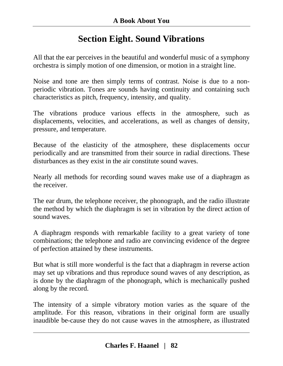# **Section Eight. Sound Vibrations**

All that the ear perceives in the beautiful and wonderful music of a symphony orchestra is simply motion of one dimension, or motion in a straight line.

Noise and tone are then simply terms of contrast. Noise is due to a nonperiodic vibration. Tones are sounds having continuity and containing such characteristics as pitch, frequency, intensity, and quality.

The vibrations produce various effects in the atmosphere, such as displacements, velocities, and accelerations, as well as changes of density, pressure, and temperature.

Because of the elasticity of the atmosphere, these displacements occur periodically and are transmitted from their source in radial directions. These disturbances as they exist in the air constitute sound waves.

Nearly all methods for recording sound waves make use of a diaphragm as the receiver.

The ear drum, the telephone receiver, the phonograph, and the radio illustrate the method by which the diaphragm is set in vibration by the direct action of sound waves.

A diaphragm responds with remarkable facility to a great variety of tone combinations; the telephone and radio are convincing evidence of the degree of perfection attained by these instruments.

But what is still more wonderful is the fact that a diaphragm in reverse action may set up vibrations and thus reproduce sound waves of any description, as is done by the diaphragm of the phonograph, which is mechanically pushed along by the record.

The intensity of a simple vibratory motion varies as the square of the amplitude. For this reason, vibrations in their original form are usually inaudible be-cause they do not cause waves in the atmosphere, as illustrated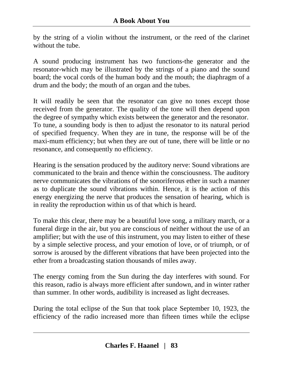by the string of a violin without the instrument, or the reed of the clarinet without the tube.

A sound producing instrument has two functions-the generator and the resonator-which may be illustrated by the strings of a piano and the sound board; the vocal cords of the human body and the mouth; the diaphragm of a drum and the body; the mouth of an organ and the tubes.

It will readily be seen that the resonator can give no tones except those received from the generator. The quality of the tone will then depend upon the degree of sympathy which exists between the generator and the resonator. To tune, a sounding body is then to adjust the resonator to its natural period of specified frequency. When they are in tune, the response will be of the maxi-mum efficiency; but when they are out of tune, there will be little or no resonance, and consequently no efficiency.

Hearing is the sensation produced by the auditory nerve: Sound vibrations are communicated to the brain and thence within the consciousness. The auditory nerve communicates the vibrations of the sonoriferous ether in such a manner as to duplicate the sound vibrations within. Hence, it is the action of this energy energizing the nerve that produces the sensation of hearing, which is in reality the reproduction within us of that which is heard.

To make this clear, there may be a beautiful love song, a military march, or a funeral dirge in the air, but you are conscious of neither without the use of an amplifier; but with the use of this instrument, you may listen to either of these by a simple selective process, and your emotion of love, or of triumph, or of sorrow is aroused by the different vibrations that have been projected into the ether from a broadcasting station thousands of miles away.

The energy coming from the Sun during the day interferes with sound. For this reason, radio is always more efficient after sundown, and in winter rather than summer. In other words, audibility is increased as light decreases.

During the total eclipse of the Sun that took place September 10, 1923, the efficiency of the radio increased more than fifteen times while the eclipse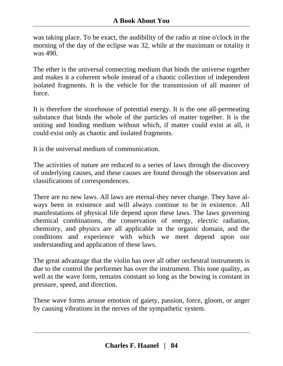was taking place. To be exact, the audibility of the radio at nine o'clock in the morning of the day of the eclipse was 32, while at the maximum or totality it was 490.

The ether is the universal connecting medium that binds the universe together and makes it a coherent whole instead of a chaotic collection of independent isolated fragments. It is the vehicle for the transmission of all manner of force.

It is therefore the storehouse of potential energy. It is the one all-permeating substance that binds the whole of the particles of matter together. It is the uniting and binding medium without which, if matter could exist at all, it could exist only as chaotic and isolated fragments.

It is the universal medium of communication.

The activities of nature are reduced to a series of laws through the discovery of underlying causes, and these causes are found through the observation and classifications of correspondences.

There are no new laws. All laws are eternal-they never change. They have always been in existence and will always continue to be in existence. All manifestations of physical life depend upon these laws. The laws governing chemical combinations, the conservation of energy, electric radiation, chemistry, and physics are all applicable in the organic domain, and the conditions and experience with which we meet depend upon our understanding and application of these laws.

The great advantage that the violin has over all other orchestral instruments is due to the control the performer has over the instrument. This tone quality, as well as the wave form, remains constant so long as the bowing is constant in pressure, speed, and direction.

These wave forms arouse emotion of gaiety, passion, force, gloom, or anger by causing vibrations in the nerves of the sympathetic system.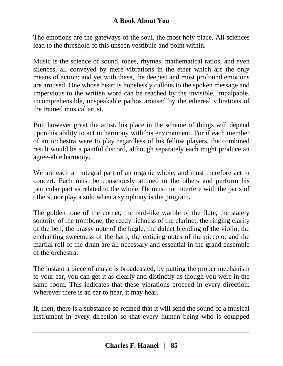The emotions are the gateways of the soul, the most holy place. All sciences lead to the threshold of this unseen vestibule and point within.

Music is the science of sound, tones, rhymes, mathematical ratios, and even silences, all conveyed by mere vibrations in the ether which are the only means of action; and yet with these, the deepest and most profound emotions are aroused. One whose heart is hopelessly callous to the spoken message and impervious to the written word can be reached by the invisible, impalpable, incomprehensible, unspeakable pathos aroused by the ethereal vibrations of the trained musical artist.

But, however great the artist, his place in the scheme of things will depend upon his ability to act in harmony with his environment. For if each member of an orchestra were to play regardless of his fellow players, the combined result would be a painful discord, although separately each might produce an agree-able harmony.

We are each an integral part of an organic whole, and must therefore act in concert. Each must be consciously attuned to the others and perform his particular part as related to the whole. He must not interfere with the parts of others, nor play a solo when a symphony is the program.

The golden tone of the cornet, the bird-like warble of the flute, the stately sonority of the trombone, the reedy richness of the clarinet, the ringing clarity of the bell, the brassy note of the bugle, the dulcet blending of the violin, the enchanting sweetness of the harp, the enticing notes of the piccolo, and the martial roll of the drum are all necessary and essential in the grand ensemble of the orchestra.

The instant a piece of music is broadcasted, by putting the proper mechanism to your ear, you can get it as clearly and distinctly as though you were in the same room. This indicates that these vibrations proceed in every direction. Wherever there is an ear to hear, it may hear.

If, then, there is a substance so refined that it will send the sound of a musical instrument in every direction so that every human being who is equipped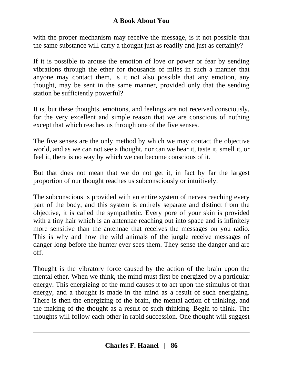with the proper mechanism may receive the message, is it not possible that the same substance will carry a thought just as readily and just as certainly?

If it is possible to arouse the emotion of love or power or fear by sending vibrations through the ether for thousands of miles in such a manner that anyone may contact them, is it not also possible that any emotion, any thought, may be sent in the same manner, provided only that the sending station be sufficiently powerful?

It is, but these thoughts, emotions, and feelings are not received consciously, for the very excellent and simple reason that we are conscious of nothing except that which reaches us through one of the five senses.

The five senses are the only method by which we may contact the objective world, and as we can not see a thought, nor can we hear it, taste it, smell it, or feel it, there is no way by which we can become conscious of it.

But that does not mean that we do not get it, in fact by far the largest proportion of our thought reaches us subconsciously or intuitively.

The subconscious is provided with an entire system of nerves reaching every part of the body, and this system is entirely separate and distinct from the objective, it is called the sympathetic. Every pore of your skin is provided with a tiny hair which is an antennae reaching out into space and is infinitely more sensitive than the antennae that receives the messages on you radio. This is why and how the wild animals of the jungle receive messages of danger long before the hunter ever sees them. They sense the danger and are off.

Thought is the vibratory force caused by the action of the brain upon the mental ether. When we think, the mind must first be energized by a particular energy. This energizing of the mind causes it to act upon the stimulus of that energy, and a thought is made in the mind as a result of such energizing. There is then the energizing of the brain, the mental action of thinking, and the making of the thought as a result of such thinking. Begin to think. The thoughts will follow each other in rapid succession. One thought will suggest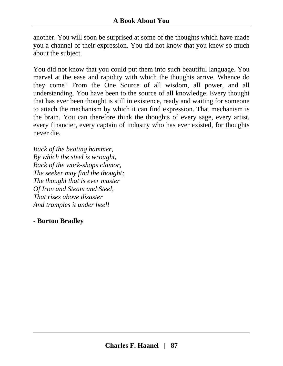another. You will soon be surprised at some of the thoughts which have made you a channel of their expression. You did not know that you knew so much about the subject.

You did not know that you could put them into such beautiful language. You marvel at the ease and rapidity with which the thoughts arrive. Whence do they come? From the One Source of all wisdom, all power, and all understanding. You have been to the source of all knowledge. Every thought that has ever been thought is still in existence, ready and waiting for someone to attach the mechanism by which it can find expression. That mechanism is the brain. You can therefore think the thoughts of every sage, every artist, every financier, every captain of industry who has ever existed, for thoughts never die.

*Back of the beating hammer, By which the steel is wrought, Back of the work-shops clamor, The seeker may find the thought; The thought that is ever master Of Iron and Steam and Steel, That rises above disaster And tramples it under heel!* 

**- Burton Bradley**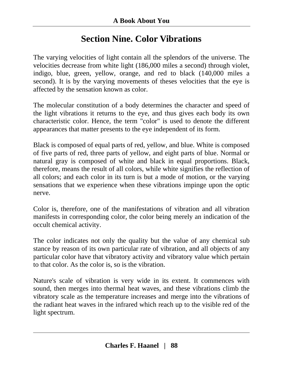#### **Section Nine. Color Vibrations**

The varying velocities of light contain all the splendors of the universe. The velocities decrease from white light (186,000 miles a second) through violet, indigo, blue, green, yellow, orange, and red to black (140,000 miles a second). It is by the varying movements of theses velocities that the eye is affected by the sensation known as color.

The molecular constitution of a body determines the character and speed of the light vibrations it returns to the eye, and thus gives each body its own characteristic color. Hence, the term "color" is used to denote the different appearances that matter presents to the eye independent of its form.

Black is composed of equal parts of red, yellow, and blue. White is composed of five parts of red, three parts of yellow, and eight parts of blue. Normal or natural gray is composed of white and black in equal proportions. Black, therefore, means the result of all colors, while white signifies the reflection of all colors; and each color in its turn is but a mode of motion, or the varying sensations that we experience when these vibrations impinge upon the optic nerve.

Color is, therefore, one of the manifestations of vibration and all vibration manifests in corresponding color, the color being merely an indication of the occult chemical activity.

The color indicates not only the quality but the value of any chemical sub stance by reason of its own particular rate of vibration, and all objects of any particular color have that vibratory activity and vibratory value which pertain to that color. As the color is, so is the vibration.

Nature's scale of vibration is very wide in its extent. It commences with sound, then merges into thermal heat waves, and these vibrations climb the vibratory scale as the temperature increases and merge into the vibrations of the radiant heat waves in the infrared which reach up to the visible red of the light spectrum.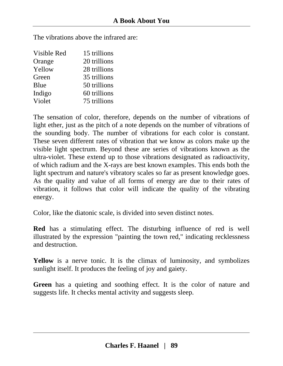The vibrations above the infrared are:

| Visible Red | 15 trillions |
|-------------|--------------|
| Orange      | 20 trillions |
| Yellow      | 28 trillions |
| Green       | 35 trillions |
| Blue        | 50 trillions |
| Indigo      | 60 trillions |
| Violet      | 75 trillions |
|             |              |

The sensation of color, therefore, depends on the number of vibrations of light ether, just as the pitch of a note depends on the number of vibrations of the sounding body. The number of vibrations for each color is constant. These seven different rates of vibration that we know as colors make up the visible light spectrum. Beyond these are series of vibrations known as the ultra-violet. These extend up to those vibrations designated as radioactivity, of which radium and the X-rays are best known examples. This ends both the light spectrum and nature's vibratory scales so far as present knowledge goes. As the quality and value of all forms of energy are due to their rates of vibration, it follows that color will indicate the quality of the vibrating energy.

Color, like the diatonic scale, is divided into seven distinct notes.

**Red** has a stimulating effect. The disturbing influence of red is well illustrated by the expression "painting the town red," indicating recklessness and destruction.

Yellow is a nerve tonic. It is the climax of luminosity, and symbolizes sunlight itself. It produces the feeling of joy and gaiety.

Green has a quieting and soothing effect. It is the color of nature and suggests life. It checks mental activity and suggests sleep.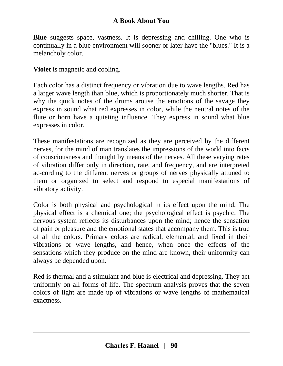**Blue** suggests space, vastness. It is depressing and chilling. One who is continually in a blue environment will sooner or later have the "blues." It is a melancholy color.

**Violet** is magnetic and cooling.

Each color has a distinct frequency or vibration due to wave lengths. Red has a larger wave length than blue, which is proportionately much shorter. That is why the quick notes of the drums arouse the emotions of the savage they express in sound what red expresses in color, while the neutral notes of the flute or horn have a quieting influence. They express in sound what blue expresses in color.

These manifestations are recognized as they are perceived by the different nerves, for the mind of man translates the impressions of the world into facts of consciousness and thought by means of the nerves. All these varying rates of vibration differ only in direction, rate, and frequency, and are interpreted ac-cording to the different nerves or groups of nerves physically attuned to them or organized to select and respond to especial manifestations of vibratory activity.

Color is both physical and psychological in its effect upon the mind. The physical effect is a chemical one; the psychological effect is psychic. The nervous system reflects its disturbances upon the mind; hence the sensation of pain or pleasure and the emotional states that accompany them. This is true of all the colors. Primary colors are radical, elemental, and fixed in their vibrations or wave lengths, and hence, when once the effects of the sensations which they produce on the mind are known, their uniformity can always be depended upon.

Red is thermal and a stimulant and blue is electrical and depressing. They act uniformly on all forms of life. The spectrum analysis proves that the seven colors of light are made up of vibrations or wave lengths of mathematical exactness.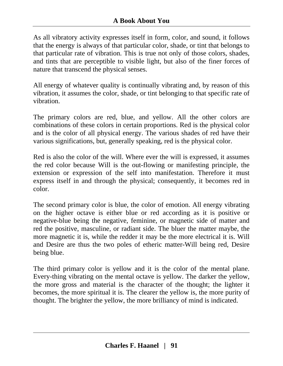As all vibratory activity expresses itself in form, color, and sound, it follows that the energy is always of that particular color, shade, or tint that belongs to that particular rate of vibration. This is true not only of those colors, shades, and tints that are perceptible to visible light, but also of the finer forces of nature that transcend the physical senses.

All energy of whatever quality is continually vibrating and, by reason of this vibration, it assumes the color, shade, or tint belonging to that specific rate of vibration.

The primary colors are red, blue, and yellow. All the other colors are combinations of these colors in certain proportions. Red is the physical color and is the color of all physical energy. The various shades of red have their various significations, but, generally speaking, red is the physical color.

Red is also the color of the will. Where ever the will is expressed, it assumes the red color because Will is the out-flowing or manifesting principle, the extension or expression of the self into manifestation. Therefore it must express itself in and through the physical; consequently, it becomes red in color.

The second primary color is blue, the color of emotion. All energy vibrating on the higher octave is either blue or red according as it is positive or negative-blue being the negative, feminine, or magnetic side of matter and red the positive, masculine, or radiant side. The bluer the matter maybe, the more magnetic it is, while the redder it may be the more electrical it is. Will and Desire are thus the two poles of etheric matter-Will being red, Desire being blue.

The third primary color is yellow and it is the color of the mental plane. Every-thing vibrating on the mental octave is yellow. The darker the yellow, the more gross and material is the character of the thought; the lighter it becomes, the more spiritual it is. The clearer the yellow is, the more purity of thought. The brighter the yellow, the more brilliancy of mind is indicated.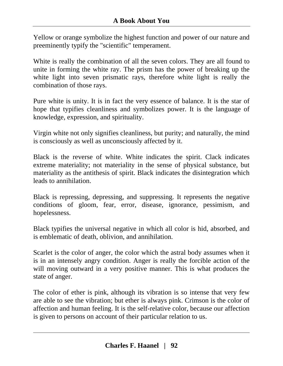Yellow or orange symbolize the highest function and power of our nature and preeminently typify the "scientific" temperament.

White is really the combination of all the seven colors. They are all found to unite in forming the white ray. The prism has the power of breaking up the white light into seven prismatic rays, therefore white light is really the combination of those rays.

Pure white is unity. It is in fact the very essence of balance. It is the star of hope that typifies cleanliness and symbolizes power. It is the language of knowledge, expression, and spirituality.

Virgin white not only signifies cleanliness, but purity; and naturally, the mind is consciously as well as unconsciously affected by it.

Black is the reverse of white. White indicates the spirit. Clack indicates extreme materiality; not materiality in the sense of physical substance, but materiality as the antithesis of spirit. Black indicates the disintegration which leads to annihilation.

Black is repressing, depressing, and suppressing. It represents the negative conditions of gloom, fear, error, disease, ignorance, pessimism, and hopelessness.

Black typifies the universal negative in which all color is hid, absorbed, and is emblematic of death, oblivion, and annihilation.

Scarlet is the color of anger, the color which the astral body assumes when it is in an intensely angry condition. Anger is really the forcible action of the will moving outward in a very positive manner. This is what produces the state of anger.

The color of ether is pink, although its vibration is so intense that very few are able to see the vibration; but ether is always pink. Crimson is the color of affection and human feeling. It is the self-relative color, because our affection is given to persons on account of their particular relation to us.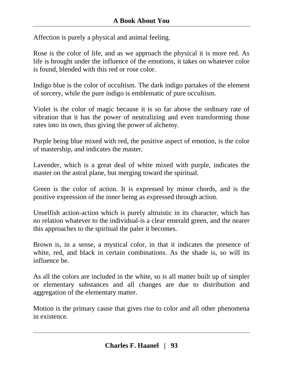Affection is purely a physical and animal feeling.

Rose is the color of life, and as we approach the physical it is more red. As life is brought under the influence of the emotions, it takes on whatever color is found, blended with this red or rose color.

Indigo blue is the color of occultism. The dark indigo partakes of the element of sorcery, while the pure indigo is emblematic of pure occultism.

Violet is the color of magic because it is so far above the ordinary rate of vibration that it has the power of neutralizing and even transforming those rates into its own, thus giving the power of alchemy.

Purple being blue mixed with red, the positive aspect of emotion, is the color of mastership, and indicates the master.

Lavender, which is a great deal of white mixed with purple, indicates the master on the astral plane, but merging toward the spiritual.

Green is the color of action. It is expressed by minor chords, and is the positive expression of the inner being as expressed through action.

Unselfish action-action which is purely altruistic in its character, which has no relation whatever to the individual-is a clear emerald green, and the nearer this approaches to the spiritual the paler it becomes.

Brown is, in a sense, a mystical color, in that it indicates the presence of white, red, and black in certain combinations. As the shade is, so will its influence be.

As all the colors are included in the white, so is all matter built up of simpler or elementary substances and all changes are due to distribution and aggregation of the elementary matter.

Motion is the primary cause that gives rise to color and all other phenomena in existence.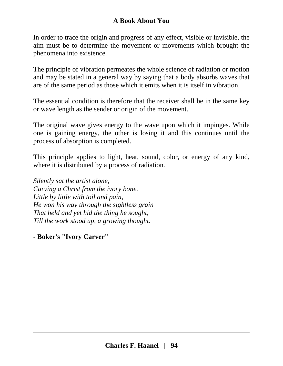In order to trace the origin and progress of any effect, visible or invisible, the aim must be to determine the movement or movements which brought the phenomena into existence.

The principle of vibration permeates the whole science of radiation or motion and may be stated in a general way by saying that a body absorbs waves that are of the same period as those which it emits when it is itself in vibration.

The essential condition is therefore that the receiver shall be in the same key or wave length as the sender or origin of the movement.

The original wave gives energy to the wave upon which it impinges. While one is gaining energy, the other is losing it and this continues until the process of absorption is completed.

This principle applies to light, heat, sound, color, or energy of any kind, where it is distributed by a process of radiation.

*Silently sat the artist alone, Carving a Christ from the ivory bone. Little by little with toil and pain, He won his way through the sightless grain That held and yet hid the thing he sought, Till the work stood up, a growing thought.* 

**- Boker's "Ivory Carver"**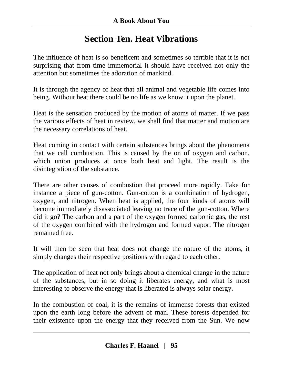### **Section Ten. Heat Vibrations**

The influence of heat is so beneficent and sometimes so terrible that it is not surprising that from time immemorial it should have received not only the attention but sometimes the adoration of mankind.

It is through the agency of heat that all animal and vegetable life comes into being. Without heat there could be no life as we know it upon the planet.

Heat is the sensation produced by the motion of atoms of matter. If we pass the various effects of heat in review, we shall find that matter and motion are the necessary correlations of heat.

Heat coming in contact with certain substances brings about the phenomena that we call combustion. This is caused by the on of oxygen and carbon, which union produces at once both heat and light. The result is the disintegration of the substance.

There are other causes of combustion that proceed more rapidly. Take for instance a piece of gun-cotton. Gun-cotton is a combination of hydrogen, oxygen, and nitrogen. When heat is applied, the four kinds of atoms will become immediately disassociated leaving no trace of the gun-cotton. Where did it go? The carbon and a part of the oxygen formed carbonic gas, the rest of the oxygen combined with the hydrogen and formed vapor. The nitrogen remained free.

It will then be seen that heat does not change the nature of the atoms, it simply changes their respective positions with regard to each other.

The application of heat not only brings about a chemical change in the nature of the substances, but in so doing it liberates energy, and what is most interesting to observe the energy that is liberated is always solar energy.

In the combustion of coal, it is the remains of immense forests that existed upon the earth long before the advent of man. These forests depended for their existence upon the energy that they received from the Sun. We now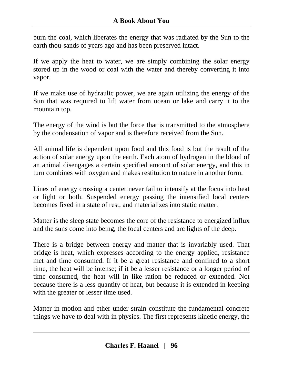burn the coal, which liberates the energy that was radiated by the Sun to the earth thou-sands of years ago and has been preserved intact.

If we apply the heat to water, we are simply combining the solar energy stored up in the wood or coal with the water and thereby converting it into vapor.

If we make use of hydraulic power, we are again utilizing the energy of the Sun that was required to lift water from ocean or lake and carry it to the mountain top.

The energy of the wind is but the force that is transmitted to the atmosphere by the condensation of vapor and is therefore received from the Sun.

All animal life is dependent upon food and this food is but the result of the action of solar energy upon the earth. Each atom of hydrogen in the blood of an animal disengages a certain specified amount of solar energy, and this in turn combines with oxygen and makes restitution to nature in another form.

Lines of energy crossing a center never fail to intensify at the focus into heat or light or both. Suspended energy passing the intensified local centers becomes fixed in a state of rest, and materializes into static matter.

Matter is the sleep state becomes the core of the resistance to energized influx and the suns come into being, the focal centers and arc lights of the deep.

There is a bridge between energy and matter that is invariably used. That bridge is heat, which expresses according to the energy applied, resistance met and time consumed. If it be a great resistance and confined to a short time, the heat will be intense; if it be a lesser resistance or a longer period of time consumed, the heat will in like ration be reduced or extended. Not because there is a less quantity of heat, but because it is extended in keeping with the greater or lesser time used.

Matter in motion and ether under strain constitute the fundamental concrete things we have to deal with in physics. The first represents kinetic energy, the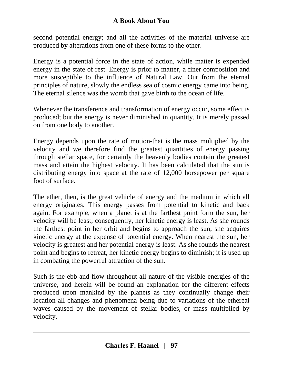second potential energy; and all the activities of the material universe are produced by alterations from one of these forms to the other.

Energy is a potential force in the state of action, while matter is expended energy in the state of rest. Energy is prior to matter, a finer composition and more susceptible to the influence of Natural Law. Out from the eternal principles of nature, slowly the endless sea of cosmic energy came into being. The eternal silence was the womb that gave birth to the ocean of life.

Whenever the transference and transformation of energy occur, some effect is produced; but the energy is never diminished in quantity. It is merely passed on from one body to another.

Energy depends upon the rate of motion-that is the mass multiplied by the velocity and we therefore find the greatest quantities of energy passing through stellar space, for certainly the heavenly bodies contain the greatest mass and attain the highest velocity. It has been calculated that the sun is distributing energy into space at the rate of 12,000 horsepower per square foot of surface.

The ether, then, is the great vehicle of energy and the medium in which all energy originates. This energy passes from potential to kinetic and back again. For example, when a planet is at the farthest point form the sun, her velocity will be least; consequently, her kinetic energy is least. As she rounds the farthest point in her orbit and begins to approach the sun, she acquires kinetic energy at the expense of potential energy. When nearest the sun, her velocity is greatest and her potential energy is least. As she rounds the nearest point and begins to retreat, her kinetic energy begins to diminish; it is used up in combating the powerful attraction of the sun.

Such is the ebb and flow throughout all nature of the visible energies of the universe, and herein will be found an explanation for the different effects produced upon mankind by the planets as they continually change their location-all changes and phenomena being due to variations of the ethereal waves caused by the movement of stellar bodies, or mass multiplied by velocity.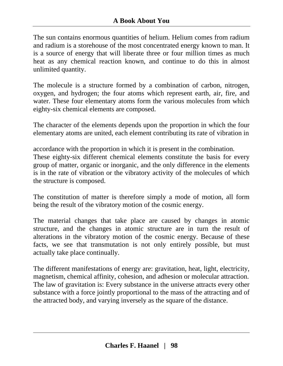The sun contains enormous quantities of helium. Helium comes from radium and radium is a storehouse of the most concentrated energy known to man. It is a source of energy that will liberate three or four million times as much heat as any chemical reaction known, and continue to do this in almost unlimited quantity.

The molecule is a structure formed by a combination of carbon, nitrogen, oxygen, and hydrogen; the four atoms which represent earth, air, fire, and water. These four elementary atoms form the various molecules from which eighty-six chemical elements are composed.

The character of the elements depends upon the proportion in which the four elementary atoms are united, each element contributing its rate of vibration in

accordance with the proportion in which it is present in the combination. These eighty-six different chemical elements constitute the basis for every group of matter, organic or inorganic, and the only difference in the elements is in the rate of vibration or the vibratory activity of the molecules of which the structure is composed.

The constitution of matter is therefore simply a mode of motion, all form being the result of the vibratory motion of the cosmic energy.

The material changes that take place are caused by changes in atomic structure, and the changes in atomic structure are in turn the result of alterations in the vibratory motion of the cosmic energy. Because of these facts, we see that transmutation is not only entirely possible, but must actually take place continually.

The different manifestations of energy are: gravitation, heat, light, electricity, magnetism, chemical affinity, cohesion, and adhesion or molecular attraction. The law of gravitation is: Every substance in the universe attracts every other substance with a force jointly proportional to the mass of the attracting and of the attracted body, and varying inversely as the square of the distance.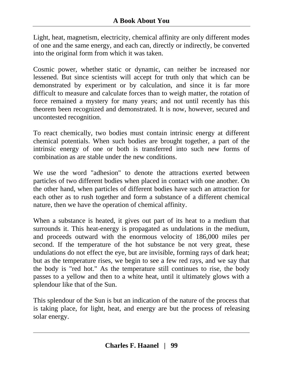Light, heat, magnetism, electricity, chemical affinity are only different modes of one and the same energy, and each can, directly or indirectly, be converted into the original form from which it was taken.

Cosmic power, whether static or dynamic, can neither be increased nor lessened. But since scientists will accept for truth only that which can be demonstrated by experiment or by calculation, and since it is far more difficult to measure and calculate forces than to weigh matter, the rotation of force remained a mystery for many years; and not until recently has this theorem been recognized and demonstrated. It is now, however, secured and uncontested recognition.

To react chemically, two bodies must contain intrinsic energy at different chemical potentials. When such bodies are brought together, a part of the intrinsic energy of one or both is transferred into such new forms of combination as are stable under the new conditions.

We use the word "adhesion" to denote the attractions exerted between particles of two different bodies when placed in contact with one another. On the other hand, when particles of different bodies have such an attraction for each other as to rush together and form a substance of a different chemical nature, then we have the operation of chemical affinity.

When a substance is heated, it gives out part of its heat to a medium that surrounds it. This heat-energy is propagated as undulations in the medium, and proceeds outward with the enormous velocity of 186,000 miles per second. If the temperature of the hot substance be not very great, these undulations do not effect the eye, but are invisible, forming rays of dark heat; but as the temperature rises, we begin to see a few red rays, and we say that the body is "red hot." As the temperature still continues to rise, the body passes to a yellow and then to a white heat, until it ultimately glows with a splendour like that of the Sun.

This splendour of the Sun is but an indication of the nature of the process that is taking place, for light, heat, and energy are but the process of releasing solar energy.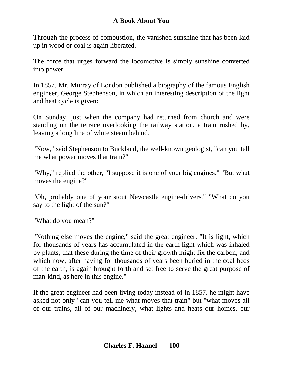Through the process of combustion, the vanished sunshine that has been laid up in wood or coal is again liberated.

The force that urges forward the locomotive is simply sunshine converted into power.

In 1857, Mr. Murray of London published a biography of the famous English engineer, George Stephenson, in which an interesting description of the light and heat cycle is given:

On Sunday, just when the company had returned from church and were standing on the terrace overlooking the railway station, a train rushed by, leaving a long line of white steam behind.

"Now," said Stephenson to Buckland, the well-known geologist, "can you tell me what power moves that train?"

"Why," replied the other, "I suppose it is one of your big engines." "But what moves the engine?"

"Oh, probably one of your stout Newcastle engine-drivers." "What do you say to the light of the sun?"

"What do you mean?"

"Nothing else moves the engine," said the great engineer. "It is light, which for thousands of years has accumulated in the earth-light which was inhaled by plants, that these during the time of their growth might fix the carbon, and which now, after having for thousands of years been buried in the coal beds of the earth, is again brought forth and set free to serve the great purpose of man-kind, as here in this engine."

If the great engineer had been living today instead of in 1857, he might have asked not only "can you tell me what moves that train" but "what moves all of our trains, all of our machinery, what lights and heats our homes, our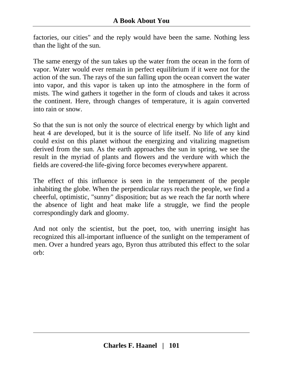factories, our cities" and the reply would have been the same. Nothing less than the light of the sun.

The same energy of the sun takes up the water from the ocean in the form of vapor. Water would ever remain in perfect equilibrium if it were not for the action of the sun. The rays of the sun falling upon the ocean convert the water into vapor, and this vapor is taken up into the atmosphere in the form of mists. The wind gathers it together in the form of clouds and takes it across the continent. Here, through changes of temperature, it is again converted into rain or snow.

So that the sun is not only the source of electrical energy by which light and heat 4 are developed, but it is the source of life itself. No life of any kind could exist on this planet without the energizing and vitalizing magnetism derived from the sun. As the earth approaches the sun in spring, we see the result in the myriad of plants and flowers and the verdure with which the fields are covered-the life-giving force becomes everywhere apparent.

The effect of this influence is seen in the temperament of the people inhabiting the globe. When the perpendicular rays reach the people, we find a cheerful, optimistic, "sunny" disposition; but as we reach the far north where the absence of light and heat make life a struggle, we find the people correspondingly dark and gloomy.

And not only the scientist, but the poet, too, with unerring insight has recognized this all-important influence of the sunlight on the temperament of men. Over a hundred years ago, Byron thus attributed this effect to the solar orb: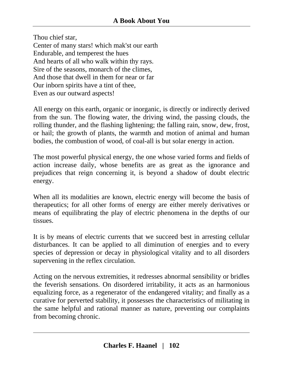Thou chief star, Center of many stars! which mak'st our earth Endurable, and temperest the hues And hearts of all who walk within thy rays. Sire of the seasons, monarch of the climes, And those that dwell in them for near or far Our inborn spirits have a tint of thee, Even as our outward aspects!

All energy on this earth, organic or inorganic, is directly or indirectly derived from the sun. The flowing water, the driving wind, the passing clouds, the rolling thunder, and the flashing lightening; the falling rain, snow, dew, frost, or hail; the growth of plants, the warmth and motion of animal and human bodies, the combustion of wood, of coal-all is but solar energy in action.

The most powerful physical energy, the one whose varied forms and fields of action increase daily, whose benefits are as great as the ignorance and prejudices that reign concerning it, is beyond a shadow of doubt electric energy.

When all its modalities are known, electric energy will become the basis of therapeutics; for all other forms of energy are either merely derivatives or means of equilibrating the play of electric phenomena in the depths of our tissues.

It is by means of electric currents that we succeed best in arresting cellular disturbances. It can be applied to all diminution of energies and to every species of depression or decay in physiological vitality and to all disorders supervening in the reflex circulation.

Acting on the nervous extremities, it redresses abnormal sensibility or bridles the feverish sensations. On disordered irritability, it acts as an harmonious equalizing force, as a regenerator of the endangered vitality; and finally as a curative for perverted stability, it possesses the characteristics of militating in the same helpful and rational manner as nature, preventing our complaints from becoming chronic.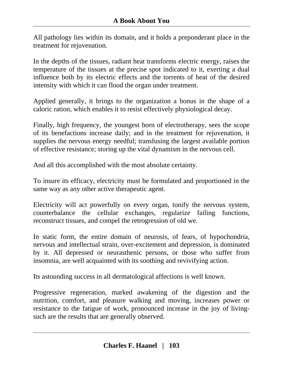All pathology lies within its domain, and it holds a preponderant place in the treatment for rejuvenation.

In the depths of the tissues, radiant heat transforms electric energy, raises the temperature of the tissues at the precise spot indicated to it, exerting a dual influence both by its electric effects and the torrents of heat of the desired intensity with which it can flood the organ under treatment.

Applied generally, it brings to the organization a bonus in the shape of a caloric ration, which enables it to resist effectively physiological decay.

Finally, high frequency, the youngest born of electrotherapy, sees the scope of its benefactions increase daily; and in the treatment for rejuvenation, it supplies the nervous energy needful; transfusing the largest available portion of effective resistance; storing up the vital dynamism in the nervous cell.

And all this accomplished with the most absolute certainty.

To insure its efficacy, electricity must be formulated and proportioned in the same way as any other active therapeutic agent.

Electricity will act powerfully on every organ, tonify the nervous system, counterbalance the cellular exchanges, regularize failing functions, reconstruct tissues, and compel the retrogression of old we.

In static form, the entire domain of neurosis, of fears, of hypochondria, nervous and intellectual strain, over-excitement and depression, is dominated by it. All depressed or neurasthenic persons, or those who suffer from insomnia, are well acquainted with its soothing and revivifying action.

Its astounding success in all dermatological affections is well known.

Progressive regeneration, marked awakening of the digestion and the nutrition, comfort, and pleasure walking and moving, increases power or resistance to the fatigue of work, pronounced increase in the joy of livingsuch are the results that are generally observed.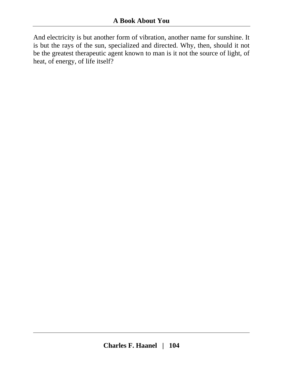And electricity is but another form of vibration, another name for sunshine. It is but the rays of the sun, specialized and directed. Why, then, should it not be the greatest therapeutic agent known to man is it not the source of light, of heat, of energy, of life itself?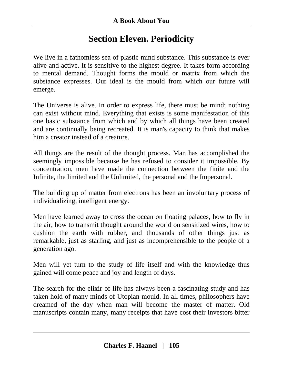### **Section Eleven. Periodicity**

We live in a fathomless sea of plastic mind substance. This substance is ever alive and active. It is sensitive to the highest degree. It takes form according to mental demand. Thought forms the mould or matrix from which the substance expresses. Our ideal is the mould from which our future will emerge.

The Universe is alive. In order to express life, there must be mind; nothing can exist without mind. Everything that exists is some manifestation of this one basic substance from which and by which all things have been created and are continually being recreated. It is man's capacity to think that makes him a creator instead of a creature.

All things are the result of the thought process. Man has accomplished the seemingly impossible because he has refused to consider it impossible. By concentration, men have made the connection between the finite and the Infinite, the limited and the Unlimited, the personal and the Impersonal.

The building up of matter from electrons has been an involuntary process of individualizing, intelligent energy.

Men have learned away to cross the ocean on floating palaces, how to fly in the air, how to transmit thought around the world on sensitized wires, how to cushion the earth with rubber, and thousands of other things just as remarkable, just as starling, and just as incomprehensible to the people of a generation ago.

Men will yet turn to the study of life itself and with the knowledge thus gained will come peace and joy and length of days.

The search for the elixir of life has always been a fascinating study and has taken hold of many minds of Utopian mould. In all times, philosophers have dreamed of the day when man will become the master of matter. Old manuscripts contain many, many receipts that have cost their investors bitter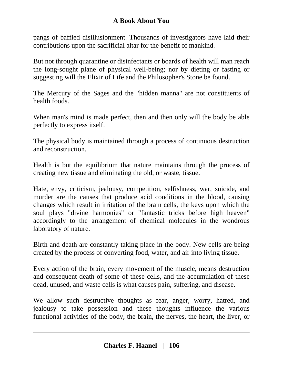pangs of baffled disillusionment. Thousands of investigators have laid their contributions upon the sacrificial altar for the benefit of mankind.

But not through quarantine or disinfectants or boards of health will man reach the long-sought plane of physical well-being; nor by dieting or fasting or suggesting will the Elixir of Life and the Philosopher's Stone be found.

The Mercury of the Sages and the "hidden manna" are not constituents of health foods.

When man's mind is made perfect, then and then only will the body be able perfectly to express itself.

The physical body is maintained through a process of continuous destruction and reconstruction.

Health is but the equilibrium that nature maintains through the process of creating new tissue and eliminating the old, or waste, tissue.

Hate, envy, criticism, jealousy, competition, selfishness, war, suicide, and murder are the causes that produce acid conditions in the blood, causing changes which result in irritation of the brain cells, the keys upon which the soul plays "divine harmonies" or "fantastic tricks before high heaven" accordingly to the arrangement of chemical molecules in the wondrous laboratory of nature.

Birth and death are constantly taking place in the body. New cells are being created by the process of converting food, water, and air into living tissue.

Every action of the brain, every movement of the muscle, means destruction and consequent death of some of these cells, and the accumulation of these dead, unused, and waste cells is what causes pain, suffering, and disease.

We allow such destructive thoughts as fear, anger, worry, hatred, and jealousy to take possession and these thoughts influence the various functional activities of the body, the brain, the nerves, the heart, the liver, or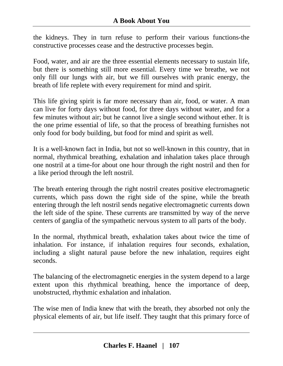the kidneys. They in turn refuse to perform their various functions-the constructive processes cease and the destructive processes begin.

Food, water, and air are the three essential elements necessary to sustain life, but there is something still more essential. Every time we breathe, we not only fill our lungs with air, but we fill ourselves with pranic energy, the breath of life replete with every requirement for mind and spirit.

This life giving spirit is far more necessary than air, food, or water. A man can live for forty days without food, for three days without water, and for a few minutes without air; but he cannot live a single second without ether. It is the one prime essential of life, so that the process of breathing furnishes not only food for body building, but food for mind and spirit as well.

It is a well-known fact in India, but not so well-known in this country, that in normal, rhythmical breathing, exhalation and inhalation takes place through one nostril at a time-for about one hour through the right nostril and then for a like period through the left nostril.

The breath entering through the right nostril creates positive electromagnetic currents, which pass down the right side of the spine, while the breath entering through the left nostril sends negative electromagnetic currents down the left side of the spine. These currents are transmitted by way of the nerve centers of ganglia of the sympathetic nervous system to all parts of the body.

In the normal, rhythmical breath, exhalation takes about twice the time of inhalation. For instance, if inhalation requires four seconds, exhalation, including a slight natural pause before the new inhalation, requires eight seconds.

The balancing of the electromagnetic energies in the system depend to a large extent upon this rhythmical breathing, hence the importance of deep, unobstructed, rhythmic exhalation and inhalation.

The wise men of India knew that with the breath, they absorbed not only the physical elements of air, but life itself. They taught that this primary force of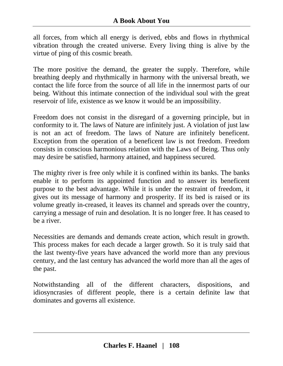all forces, from which all energy is derived, ebbs and flows in rhythmical vibration through the created universe. Every living thing is alive by the virtue of ping of this cosmic breath.

The more positive the demand, the greater the supply. Therefore, while breathing deeply and rhythmically in harmony with the universal breath, we contact the life force from the source of all life in the innermost parts of our being. Without this intimate connection of the individual soul with the great reservoir of life, existence as we know it would be an impossibility.

Freedom does not consist in the disregard of a governing principle, but in conformity to it. The laws of Nature are infinitely just. A violation of just law is not an act of freedom. The laws of Nature are infinitely beneficent. Exception from the operation of a beneficent law is not freedom. Freedom consists in conscious harmonious relation with the Laws of Being. Thus only may desire be satisfied, harmony attained, and happiness secured.

The mighty river is free only while it is confined within its banks. The banks enable it to perform its appointed function and to answer its beneficent purpose to the best advantage. While it is under the restraint of freedom, it gives out its message of harmony and prosperity. If its bed is raised or its volume greatly in-creased, it leaves its channel and spreads over the country, carrying a message of ruin and desolation. It is no longer free. It has ceased to be a river.

Necessities are demands and demands create action, which result in growth. This process makes for each decade a larger growth. So it is truly said that the last twenty-five years have advanced the world more than any previous century, and the last century has advanced the world more than all the ages of the past.

Notwithstanding all of the different characters, dispositions, and idiosyncrasies of different people, there is a certain definite law that dominates and governs all existence.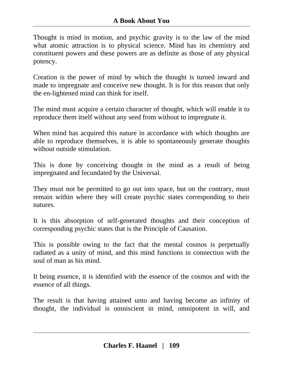Thought is mind in motion, and psychic gravity is to the law of the mind what atomic attraction is to physical science. Mind has its chemistry and constituent powers and these powers are as definite as those of any physical potency.

Creation is the power of mind by which the thought is turned inward and made to impregnate and conceive new thought. It is for this reason that only the en-lightened mind can think for itself.

The mind must acquire a certain character of thought, which will enable it to reproduce them itself without any seed from without to impregnate it.

When mind has acquired this nature in accordance with which thoughts are able to reproduce themselves, it is able to spontaneously generate thoughts without outside stimulation.

This is done by conceiving thought in the mind as a result of being impregnated and fecundated by the Universal.

They must not be permitted to go out into space, but on the contrary, must remain within where they will create psychic states corresponding to their natures.

It is this absorption of self-generated thoughts and their conception of corresponding psychic states that is the Principle of Causation.

This is possible owing to the fact that the mental cosmos is perpetually radiated as a unity of mind, and this mind functions in connection with the soul of man as his mind.

It being essence, it is identified with the essence of the cosmos and with the essence of all things.

The result is that having attained unto and having become an infinity of thought, the individual is omniscient in mind, omnipotent in will, and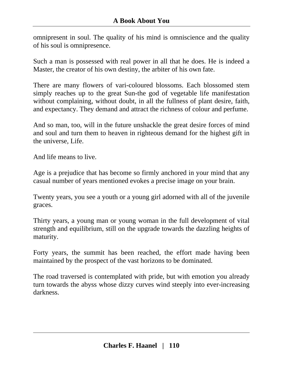omnipresent in soul. The quality of his mind is omniscience and the quality of his soul is omnipresence.

Such a man is possessed with real power in all that he does. He is indeed a Master, the creator of his own destiny, the arbiter of his own fate.

There are many flowers of vari-coloured blossoms. Each blossomed stem simply reaches up to the great Sun-the god of vegetable life manifestation without complaining, without doubt, in all the fullness of plant desire, faith, and expectancy. They demand and attract the richness of colour and perfume.

And so man, too, will in the future unshackle the great desire forces of mind and soul and turn them to heaven in righteous demand for the highest gift in the universe, Life.

And life means to live.

Age is a prejudice that has become so firmly anchored in your mind that any casual number of years mentioned evokes a precise image on your brain.

Twenty years, you see a youth or a young girl adorned with all of the juvenile graces.

Thirty years, a young man or young woman in the full development of vital strength and equilibrium, still on the upgrade towards the dazzling heights of maturity.

Forty years, the summit has been reached, the effort made having been maintained by the prospect of the vast horizons to be dominated.

The road traversed is contemplated with pride, but with emotion you already turn towards the abyss whose dizzy curves wind steeply into ever-increasing darkness.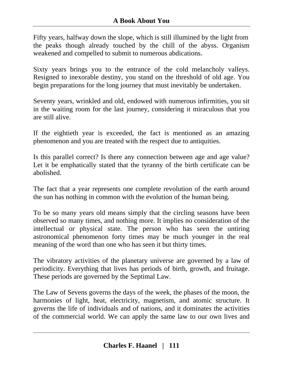Fifty years, halfway down the slope, which is still illumined by the light from the peaks though already touched by the chill of the abyss. Organism weakened and compelled to submit to numerous abdications.

Sixty years brings you to the entrance of the cold melancholy valleys. Resigned to inexorable destiny, you stand on the threshold of old age. You begin preparations for the long journey that must inevitably be undertaken.

Seventy years, wrinkled and old, endowed with numerous infirmities, you sit in the waiting room for the last journey, considering it miraculous that you are still alive.

If the eightieth year is exceeded, the fact is mentioned as an amazing phenomenon and you are treated with the respect due to antiquities.

Is this parallel correct? Is there any connection between age and age value? Let it be emphatically stated that the tyranny of the birth certificate can be abolished.

The fact that a year represents one complete revolution of the earth around the sun has nothing in common with the evolution of the human being.

To be so many years old means simply that the circling seasons have been observed so many times, and nothing more. It implies no consideration of the intellectual or physical state. The person who has seen the untiring astronomical phenomenon forty times may be much younger in the real meaning of the word than one who has seen it but thirty times.

The vibratory activities of the planetary universe are governed by a law of periodicity. Everything that lives has periods of birth, growth, and fruitage. These periods are governed by the Septimal Law.

The Law of Sevens governs the days of the week, the phases of the moon, the harmonies of light, heat, electricity, magnetism, and atomic structure. It governs the life of individuals and of nations, and it dominates the activities of the commercial world. We can apply the same law to our own lives and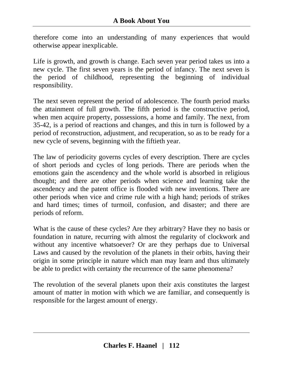therefore come into an understanding of many experiences that would otherwise appear inexplicable.

Life is growth, and growth is change. Each seven year period takes us into a new cycle. The first seven years is the period of infancy. The next seven is the period of childhood, representing the beginning of individual responsibility.

The next seven represent the period of adolescence. The fourth period marks the attainment of full growth. The fifth period is the constructive period, when men acquire property, possessions, a home and family. The next, from 35-42, is a period of reactions and changes, and this in turn is followed by a period of reconstruction, adjustment, and recuperation, so as to be ready for a new cycle of sevens, beginning with the fiftieth year.

The law of periodicity governs cycles of every description. There are cycles of short periods and cycles of long periods. There are periods when the emotions gain the ascendency and the whole world is absorbed in religious thought; and there are other periods when science and learning take the ascendency and the patent office is flooded with new inventions. There are other periods when vice and crime rule with a high hand; periods of strikes and hard times; times of turmoil, confusion, and disaster; and there are periods of reform.

What is the cause of these cycles? Are they arbitrary? Have they no basis or foundation in nature, recurring with almost the regularity of clockwork and without any incentive whatsoever? Or are they perhaps due to Universal Laws and caused by the revolution of the planets in their orbits, having their origin in some principle in nature which man may learn and thus ultimately be able to predict with certainty the recurrence of the same phenomena?

The revolution of the several planets upon their axis constitutes the largest amount of matter in motion with which we are familiar, and consequently is responsible for the largest amount of energy.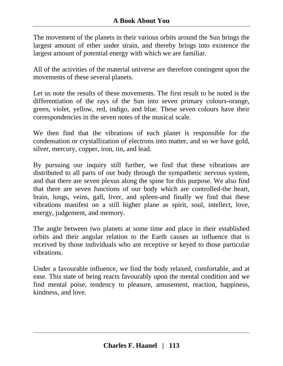The movement of the planets in their various orbits around the Sun brings the largest amount of ether under strain, and thereby brings into existence the largest amount of potential energy with which we are familiar.

All of the activities of the material universe are therefore contingent upon the movements of these several planets.

Let us note the results of these movements. The first result to be noted is the differentiation of the rays of the Sun into seven primary colours-orange, green, violet, yellow, red, indigo, and blue. These seven colours have their correspondencies in the seven notes of the musical scale.

We then find that the vibrations of each planet is responsible for the condensation or crystallization of electrons into matter, and so we have gold, silver, mercury, copper, iron, tin, and lead.

By pursuing our inquiry still further, we find that these vibrations are distributed to all parts of our body through the sympathetic nervous system, and that there are seven plexus along the spine for this purpose. We also find that there are seven functions of our body which are controlled-the heart, brain, lungs, veins, gall, liver, and spleen-and finally we find that these vibrations manifest on a still higher plane as spirit, soul, intellect, love, energy, judgement, and memory.

The angle between two planets at some time and place in their established orbits and their angular relation to the Earth causes an influence that is received by those individuals who are receptive or keyed to those particular vibrations.

Under a favourable influence, we find the body relaxed, comfortable, and at ease. This state of being reacts favourably upon the mental condition and we find mental poise, tendency to pleasure, amusement, reaction, happiness, kindness, and love.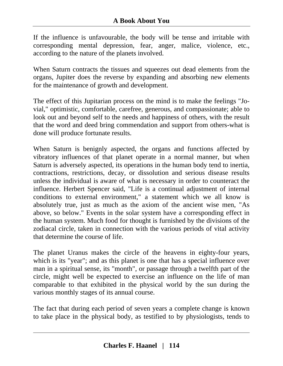If the influence is unfavourable, the body will be tense and irritable with corresponding mental depression, fear, anger, malice, violence, etc., according to the nature of the planets involved.

When Saturn contracts the tissues and squeezes out dead elements from the organs, Jupiter does the reverse by expanding and absorbing new elements for the maintenance of growth and development.

The effect of this Jupitarian process on the mind is to make the feelings "Jovial," optimistic, comfortable, carefree, generous, and compassionate; able to look out and beyond self to the needs and happiness of others, with the result that the word and deed bring commendation and support from others-what is done will produce fortunate results.

When Saturn is benignly aspected, the organs and functions affected by vibratory influences of that planet operate in a normal manner, but when Saturn is adversely aspected, its operations in the human body tend to inertia, contractions, restrictions, decay, or dissolution and serious disease results unless the individual is aware of what is necessary in order to counteract the influence. Herbert Spencer said, "Life is a continual adjustment of internal conditions to external environment," a statement which we all know is absolutely true, just as much as the axiom of the ancient wise men, "As above, so below." Events in the solar system have a corresponding effect in the human system. Much food for thought is furnished by the divisions of the zodiacal circle, taken in connection with the various periods of vital activity that determine the course of life.

The planet Uranus makes the circle of the heavens in eighty-four years, which is its "year"; and as this planet is one that has a special influence over man in a spiritual sense, its "month", or passage through a twelfth part of the circle, might well be expected to exercise an influence on the life of man comparable to that exhibited in the physical world by the sun during the various monthly stages of its annual course.

The fact that during each period of seven years a complete change is known to take place in the physical body, as testified to by physiologists, tends to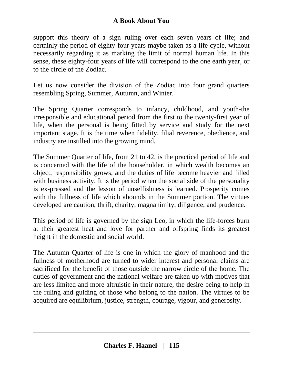support this theory of a sign ruling over each seven years of life; and certainly the period of eighty-four years maybe taken as a life cycle, without necessarily regarding it as marking the limit of normal human life. In this sense, these eighty-four years of life will correspond to the one earth year, or to the circle of the Zodiac.

Let us now consider the division of the Zodiac into four grand quarters resembling Spring, Summer, Autumn, and Winter.

The Spring Quarter corresponds to infancy, childhood, and youth-the irresponsible and educational period from the first to the twenty-first year of life, when the personal is being fitted by service and study for the next important stage. It is the time when fidelity, filial reverence, obedience, and industry are instilled into the growing mind.

The Summer Quarter of life, from 21 to 42, is the practical period of life and is concerned with the life of the householder, in which wealth becomes an object, responsibility grows, and the duties of life become heavier and filled with business activity. It is the period when the social side of the personality is ex-pressed and the lesson of unselfishness is learned. Prosperity comes with the fullness of life which abounds in the Summer portion. The virtues developed are caution, thrift, charity, magnanimity, diligence, and prudence.

This period of life is governed by the sign Leo, in which the life-forces burn at their greatest heat and love for partner and offspring finds its greatest height in the domestic and social world.

The Autumn Quarter of life is one in which the glory of manhood and the fullness of motherhood are turned to wider interest and personal claims are sacrificed for the benefit of those outside the narrow circle of the home. The duties of government and the national welfare are taken up with motives that are less limited and more altruistic in their nature, the desire being to help in the ruling and guiding of those who belong to the nation. The virtues to be acquired are equilibrium, justice, strength, courage, vigour, and generosity.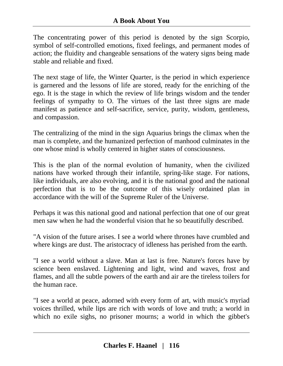The concentrating power of this period is denoted by the sign Scorpio, symbol of self-controlled emotions, fixed feelings, and permanent modes of action; the fluidity and changeable sensations of the watery signs being made stable and reliable and fixed.

The next stage of life, the Winter Quarter, is the period in which experience is garnered and the lessons of life are stored, ready for the enriching of the ego. It is the stage in which the review of life brings wisdom and the tender feelings of sympathy to O. The virtues of the last three signs are made manifest as patience and self-sacrifice, service, purity, wisdom, gentleness, and compassion.

The centralizing of the mind in the sign Aquarius brings the climax when the man is complete, and the humanized perfection of manhood culminates in the one whose mind is wholly centered in higher states of consciousness.

This is the plan of the normal evolution of humanity, when the civilized nations have worked through their infantile, spring-like stage. For nations, like individuals, are also evolving, and it is the national good and the national perfection that is to be the outcome of this wisely ordained plan in accordance with the will of the Supreme Ruler of the Universe.

Perhaps it was this national good and national perfection that one of our great men saw when he had the wonderful vision that he so beautifully described.

"A vision of the future arises. I see a world where thrones have crumbled and where kings are dust. The aristocracy of idleness has perished from the earth.

"I see a world without a slave. Man at last is free. Nature's forces have by science been enslaved. Lightening and light, wind and waves, frost and flames, and all the subtle powers of the earth and air are the tireless toilers for the human race.

"I see a world at peace, adorned with every form of art, with music's myriad voices thrilled, while lips are rich with words of love and truth; a world in which no exile sighs, no prisoner mourns; a world in which the gibbet's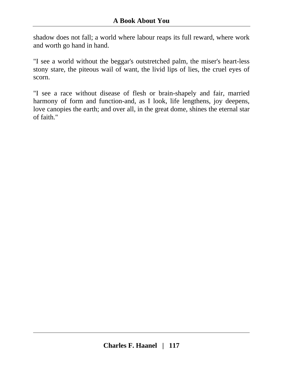shadow does not fall; a world where labour reaps its full reward, where work and worth go hand in hand.

"I see a world without the beggar's outstretched palm, the miser's heart-less stony stare, the piteous wail of want, the livid lips of lies, the cruel eyes of scorn.

"I see a race without disease of flesh or brain-shapely and fair, married harmony of form and function-and, as I look, life lengthens, joy deepens, love canopies the earth; and over all, in the great dome, shines the eternal star of faith."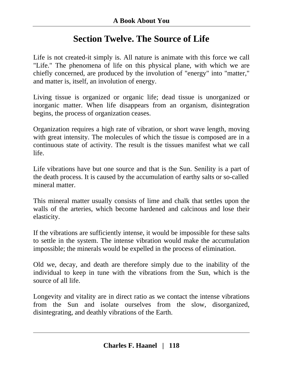## **Section Twelve. The Source of Life**

Life is not created-it simply is. All nature is animate with this force we call "Life." The phenomena of life on this physical plane, with which we are chiefly concerned, are produced by the involution of "energy" into "matter," and matter is, itself, an involution of energy.

Living tissue is organized or organic life; dead tissue is unorganized or inorganic matter. When life disappears from an organism, disintegration begins, the process of organization ceases.

Organization requires a high rate of vibration, or short wave length, moving with great intensity. The molecules of which the tissue is composed are in a continuous state of activity. The result is the tissues manifest what we call life.

Life vibrations have but one source and that is the Sun. Senility is a part of the death process. It is caused by the accumulation of earthy salts or so-called mineral matter.

This mineral matter usually consists of lime and chalk that settles upon the walls of the arteries, which become hardened and calcinous and lose their elasticity.

If the vibrations are sufficiently intense, it would be impossible for these salts to settle in the system. The intense vibration would make the accumulation impossible; the minerals would be expelled in the process of elimination.

Old we, decay, and death are therefore simply due to the inability of the individual to keep in tune with the vibrations from the Sun, which is the source of all life.

Longevity and vitality are in direct ratio as we contact the intense vibrations from the Sun and isolate ourselves from the slow, disorganized, disintegrating, and deathly vibrations of the Earth.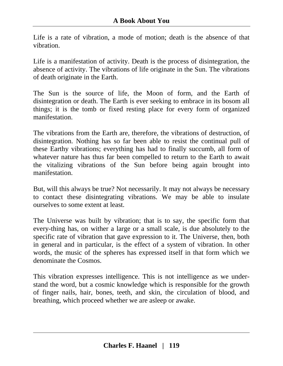Life is a rate of vibration, a mode of motion; death is the absence of that vibration.

Life is a manifestation of activity. Death is the process of disintegration, the absence of activity. The vibrations of life originate in the Sun. The vibrations of death originate in the Earth.

The Sun is the source of life, the Moon of form, and the Earth of disintegration or death. The Earth is ever seeking to embrace in its bosom all things; it is the tomb or fixed resting place for every form of organized manifestation.

The vibrations from the Earth are, therefore, the vibrations of destruction, of disintegration. Nothing has so far been able to resist the continual pull of these Earthy vibrations; everything has had to finally succumb, all form of whatever nature has thus far been compelled to return to the Earth to await the vitalizing vibrations of the Sun before being again brought into manifestation.

But, will this always be true? Not necessarily. It may not always be necessary to contact these disintegrating vibrations. We may be able to insulate ourselves to some extent at least.

The Universe was built by vibration; that is to say, the specific form that every-thing has, on wither a large or a small scale, is due absolutely to the specific rate of vibration that gave expression to it. The Universe, then, both in general and in particular, is the effect of a system of vibration. In other words, the music of the spheres has expressed itself in that form which we denominate the Cosmos.

This vibration expresses intelligence. This is not intelligence as we understand the word, but a cosmic knowledge which is responsible for the growth of finger nails, hair, bones, teeth, and skin, the circulation of blood, and breathing, which proceed whether we are asleep or awake.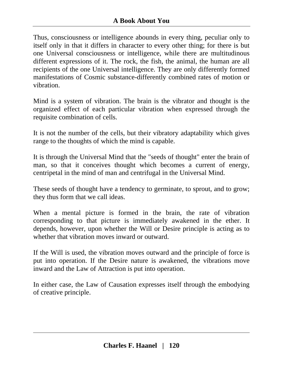Thus, consciousness or intelligence abounds in every thing, peculiar only to itself only in that it differs in character to every other thing; for there is but one Universal consciousness or intelligence, while there are multitudinous different expressions of it. The rock, the fish, the animal, the human are all recipients of the one Universal intelligence. They are only differently formed manifestations of Cosmic substance-differently combined rates of motion or vibration.

Mind is a system of vibration. The brain is the vibrator and thought is the organized effect of each particular vibration when expressed through the requisite combination of cells.

It is not the number of the cells, but their vibratory adaptability which gives range to the thoughts of which the mind is capable.

It is through the Universal Mind that the "seeds of thought" enter the brain of man, so that it conceives thought which becomes a current of energy, centripetal in the mind of man and centrifugal in the Universal Mind.

These seeds of thought have a tendency to germinate, to sprout, and to grow; they thus form that we call ideas.

When a mental picture is formed in the brain, the rate of vibration corresponding to that picture is immediately awakened in the ether. It depends, however, upon whether the Will or Desire principle is acting as to whether that vibration moves inward or outward.

If the Will is used, the vibration moves outward and the principle of force is put into operation. If the Desire nature is awakened, the vibrations move inward and the Law of Attraction is put into operation.

In either case, the Law of Causation expresses itself through the embodying of creative principle.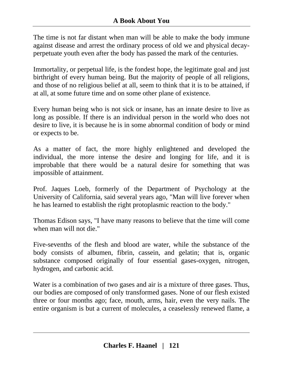The time is not far distant when man will be able to make the body immune against disease and arrest the ordinary process of old we and physical decayperpetuate youth even after the body has passed the mark of the centuries.

Immortality, or perpetual life, is the fondest hope, the legitimate goal and just birthright of every human being. But the majority of people of all religions, and those of no religious belief at all, seem to think that it is to be attained, if at all, at some future time and on some other plane of existence.

Every human being who is not sick or insane, has an innate desire to live as long as possible. If there is an individual person in the world who does not desire to live, it is because he is in some abnormal condition of body or mind or expects to be.

As a matter of fact, the more highly enlightened and developed the individual, the more intense the desire and longing for life, and it is improbable that there would be a natural desire for something that was impossible of attainment.

Prof. Jaques Loeb, formerly of the Department of Psychology at the University of California, said several years ago, "Man will live forever when he has learned to establish the right protoplasmic reaction to the body."

Thomas Edison says, "I have many reasons to believe that the time will come when man will not die."

Five-sevenths of the flesh and blood are water, while the substance of the body consists of albumen, fibrin, cassein, and gelatin; that is, organic substance composed originally of four essential gases-oxygen, nitrogen, hydrogen, and carbonic acid.

Water is a combination of two gases and air is a mixture of three gases. Thus, our bodies are composed of only transformed gases. None of our flesh existed three or four months ago; face, mouth, arms, hair, even the very nails. The entire organism is but a current of molecules, a ceaselessly renewed flame, a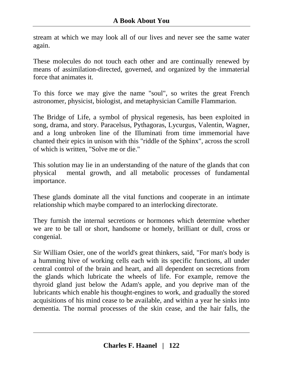stream at which we may look all of our lives and never see the same water again.

These molecules do not touch each other and are continually renewed by means of assimilation-directed, governed, and organized by the immaterial force that animates it.

To this force we may give the name "soul", so writes the great French astronomer, physicist, biologist, and metaphysician Camille Flammarion.

The Bridge of Life, a symbol of physical regenesis, has been exploited in song, drama, and story. Paracelsus, Pythagoras, Lycurgus, Valentin, Wagner, and a long unbroken line of the Illuminati from time immemorial have chanted their epics in unison with this "riddle of the Sphinx", across the scroll of which is written, "Solve me or die."

This solution may lie in an understanding of the nature of the glands that con physical mental growth, and all metabolic processes of fundamental importance.

These glands dominate all the vital functions and cooperate in an intimate relationship which maybe compared to an interlocking directorate.

They furnish the internal secretions or hormones which determine whether we are to be tall or short, handsome or homely, brilliant or dull, cross or congenial.

Sir William Osier, one of the world's great thinkers, said, "For man's body is a humming hive of working cells each with its specific functions, all under central control of the brain and heart, and all dependent on secretions from the glands which lubricate the wheels of life. For example, remove the thyroid gland just below the Adam's apple, and you deprive man of the lubricants which enable his thought-engines to work, and gradually the stored acquisitions of his mind cease to be available, and within a year he sinks into dementia. The normal processes of the skin cease, and the hair falls, the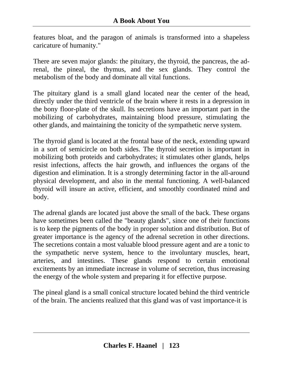features bloat, and the paragon of animals is transformed into a shapeless caricature of humanity."

There are seven major glands: the pituitary, the thyroid, the pancreas, the adrenal, the pineal, the thymus, and the sex glands. They control the metabolism of the body and dominate all vital functions.

The pituitary gland is a small gland located near the center of the head, directly under the third ventricle of the brain where it rests in a depression in the bony floor-plate of the skull. Its secretions have an important part in the mobilizing of carbohydrates, maintaining blood pressure, stimulating the other glands, and maintaining the tonicity of the sympathetic nerve system.

The thyroid gland is located at the frontal base of the neck, extending upward in a sort of semicircle on both sides. The thyroid secretion is important in mobilizing both proteids and carbohydrates; it stimulates other glands, helps resist infections, affects the hair growth, and influences the organs of the digestion and elimination. It is a strongly determining factor in the all-around physical development, and also in the mental functioning. A well-balanced thyroid will insure an active, efficient, and smoothly coordinated mind and body.

The adrenal glands are located just above the small of the back. These organs have sometimes been called the "beauty glands", since one of their functions is to keep the pigments of the body in proper solution and distribution. But of greater importance is the agency of the adrenal secretion in other directions. The secretions contain a most valuable blood pressure agent and are a tonic to the sympathetic nerve system, hence to the involuntary muscles, heart, arteries, and intestines. These glands respond to certain emotional excitements by an immediate increase in volume of secretion, thus increasing the energy of the whole system and preparing it for effective purpose.

The pineal gland is a small conical structure located behind the third ventricle of the brain. The ancients realized that this gland was of vast importance-it is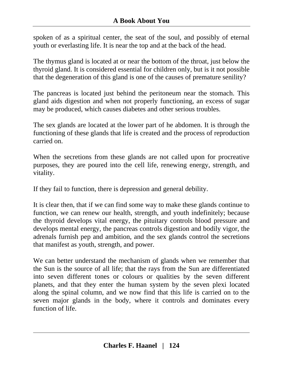spoken of as a spiritual center, the seat of the soul, and possibly of eternal youth or everlasting life. It is near the top and at the back of the head.

The thymus gland is located at or near the bottom of the throat, just below the thyroid gland. It is considered essential for children only, but is it not possible that the degeneration of this gland is one of the causes of premature senility?

The pancreas is located just behind the peritoneum near the stomach. This gland aids digestion and when not properly functioning, an excess of sugar may be produced, which causes diabetes and other serious troubles.

The sex glands are located at the lower part of he abdomen. It is through the functioning of these glands that life is created and the process of reproduction carried on.

When the secretions from these glands are not called upon for procreative purposes, they are poured into the cell life, renewing energy, strength, and vitality.

If they fail to function, there is depression and general debility.

It is clear then, that if we can find some way to make these glands continue to function, we can renew our health, strength, and youth indefinitely; because the thyroid develops vital energy, the pituitary controls blood pressure and develops mental energy, the pancreas controls digestion and bodily vigor, the adrenals furnish pep and ambition, and the sex glands control the secretions that manifest as youth, strength, and power.

We can better understand the mechanism of glands when we remember that the Sun is the source of all life; that the rays from the Sun are differentiated into seven different tones or colours or qualities by the seven different planets, and that they enter the human system by the seven plexi located along the spinal column, and we now find that this life is carried on to the seven major glands in the body, where it controls and dominates every function of life.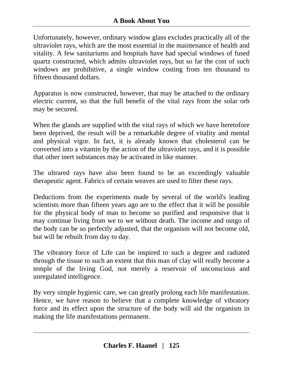Unfortunately, however, ordinary window glass excludes practically all of the ultraviolet rays, which are the most essential in the maintenance of health and vitality. A few sanitariums and hospitals have had special windows of fused quartz constructed, which admits ultraviolet rays, but so far the cost of such windows are prohibitive, a single window costing from ten thousand to fifteen thousand dollars.

Apparatus is now constructed, however, that may be attached to the ordinary electric current, so that the full benefit of the vital rays from the solar orb may be secured.

When the glands are supplied with the vital rays of which we have heretofore been deprived, the result will be a remarkable degree of vitality and mental and physical vigor. In fact, it is already known that cholesterol can be converted into a vitamin by the action of the ultraviolet rays, and it is possible that other inert substances may be activated in like manner.

The ultrared rays have also been found to be an exceedingly valuable therapeutic agent. Fabrics of certain weaves are used to filter these rays.

Deductions from the experiments made by several of the world's leading scientists more than fifteen years ago are to the effect that it will be possible for the physical body of man to become so purified and responsive that it may continue living from we to we without death. The income and outgo of the body can be so perfectly adjusted, that the organism will not become old, but will be rebuilt from day to day.

The vibratory force of Life can be inspired to such a degree and radiated through the tissue to such an extent that this man of clay will really become a temple of the living God, not merely a reservoir of unconscious and unregulated intelligence.

By very simple hygienic care, we can greatly prolong each life manifestation. Hence, we have reason to believe that a complete knowledge of vibratory force and its effect upon the structure of the body will aid the organism in making the life manifestations permanent.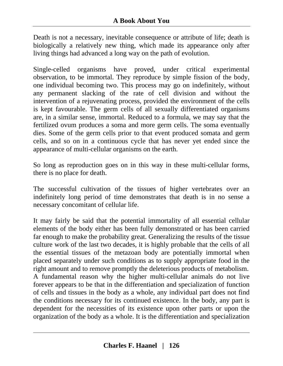Death is not a necessary, inevitable consequence or attribute of life; death is biologically a relatively new thing, which made its appearance only after living things had advanced a long way on the path of evolution.

Single-celled organisms have proved, under critical experimental observation, to be immortal. They reproduce by simple fission of the body, one individual becoming two. This process may go on indefinitely, without any permanent slacking of the rate of cell division and without the intervention of a rejuvenating process, provided the environment of the cells is kept favourable. The germ cells of all sexually differentiated organisms are, in a similar sense, immortal. Reduced to a formula, we may say that the fertilized ovum produces a soma and more germ cells. The soma eventually dies. Some of the germ cells prior to that event produced somata and germ cells, and so on in a continuous cycle that has never yet ended since the appearance of multi-cellular organisms on the earth.

So long as reproduction goes on in this way in these multi-cellular forms, there is no place for death.

The successful cultivation of the tissues of higher vertebrates over an indefinitely long period of time demonstrates that death is in no sense a necessary concomitant of cellular life.

It may fairly be said that the potential immortality of all essential cellular elements of the body either has been fully demonstrated or has been carried far enough to make the probability great. Generalizing the results of the tissue culture work of the last two decades, it is highly probable that the cells of all the essential tissues of the metazoan body are potentially immortal when placed separately under such conditions as to supply appropriate food in the right amount and to remove promptly the deleterious products of metabolism. A fundamental reason why the higher multi-cellular animals do not live forever appears to be that in the differentiation and specialization of function of cells and tissues in the body as a whole, any individual part does not find the conditions necessary for its continued existence. In the body, any part is dependent for the necessities of its existence upon other parts or upon the organization of the body as a whole. It is the differentiation and specialization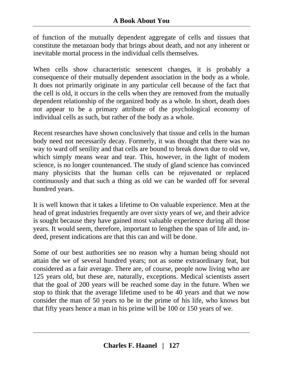of function of the mutually dependent aggregate of cells and tissues that constitute the metazoan body that brings about death, and not any inherent or inevitable mortal process in the individual cells themselves.

When cells show characteristic senescent changes, it is probably a consequence of their mutually dependent association in the body as a whole. It does not primarily originate in any particular cell because of the fact that the cell is old, it occurs in the cells when they are removed from the mutually dependent relationship of the organized body as a whole. In short, death does not appear to be a primary attribute of the psychological economy of individual cells as such, but rather of the body as a whole.

Recent researches have shown conclusively that tissue and cells in the human body need not necessarily decay. Formerly, it was thought that there was no way to ward off senility and that cells are bound to break down due to old we, which simply means wear and tear. This, however, in the light of modem science, is no longer countenanced. The study of gland science has convinced many physicists that the human cells can be rejuvenated or replaced continuously and that such a thing as old we can be warded off for several hundred years.

It is well known that it takes a lifetime to On valuable experience. Men at the head of great industries frequently are over sixty years of we, and their advice is sought because they have gained most valuable experience during all those years. It would seem, therefore, important to lengthen the span of life and, indeed, present indications are that this can and will be done.

Some of our best authorities see no reason why a human being should not attain the we of several hundred years; not as some extraordinary feat, but considered as a fair average. There are, of course, people now living who are 125 years old, but these are, naturally, exceptions. Medical scientists assert that the goal of 200 years will be reached some day in the future. When we stop to think that the average lifetime used to be 40 years and that we now consider the man of 50 years to be in the prime of his life, who knows but that fifty years hence a man in his prime will be 100 or 150 years of we.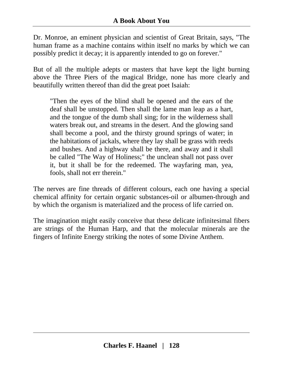Dr. Monroe, an eminent physician and scientist of Great Britain, says, "The human frame as a machine contains within itself no marks by which we can possibly predict it decay; it is apparently intended to go on forever."

But of all the multiple adepts or masters that have kept the light burning above the Three Piers of the magical Bridge, none has more clearly and beautifully written thereof than did the great poet Isaiah:

"Then the eyes of the blind shall be opened and the ears of the deaf shall be unstopped. Then shall the lame man leap as a hart, and the tongue of the dumb shall sing; for in the wilderness shall waters break out, and streams in the desert. And the glowing sand shall become a pool, and the thirsty ground springs of water; in the habitations of jackals, where they lay shall be grass with reeds and bushes. And a highway shall be there, and away and it shall be called "The Way of Holiness;" the unclean shall not pass over it, but it shall be for the redeemed. The wayfaring man, yea, fools, shall not err therein."

The nerves are fine threads of different colours, each one having a special chemical affinity for certain organic substances-oil or albumen-through and by which the organism is materialized and the process of life carried on.

The imagination might easily conceive that these delicate infinitesimal fibers are strings of the Human Harp, and that the molecular minerals are the fingers of Infinite Energy striking the notes of some Divine Anthem.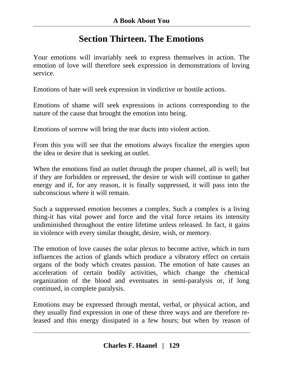## **Section Thirteen. The Emotions**

Your emotions will invariably seek to express themselves in action. The emotion of love will therefore seek expression in demonstrations of loving service.

Emotions of hate will seek expression in vindictive or hostile actions.

Emotions of shame will seek expressions in actions corresponding to the nature of the cause that brought the emotion into being.

Emotions of sorrow will bring the tear ducts into violent action.

From this you will see that the emotions always focalize the energies upon the idea or desire that is seeking an outlet.

When the emotions find an outlet through the proper channel, all is well; but if they are forbidden or repressed, the desire or wish will continue to gather energy and if, for any reason, it is finally suppressed, it will pass into the subconscious where it will remain.

Such a suppressed emotion becomes a complex. Such a complex is a living thing-it has vital power and force and the vital force retains its intensity undiminished throughout the entire lifetime unless released. In fact, it gains in violence with every similar thought, desire, wish, or memory.

The emotion of love causes the solar plexus to become active, which in turn influences the action of glands which produce a vibratory effect on certain organs of the body which creates passion. The emotion of hate causes an acceleration of certain bodily activities, which change the chemical organization of the blood and eventuates in semi-paralysis or, if long continued, in complete paralysis.

Emotions may be expressed through mental, verbal, or physical action, and they usually find expression in one of these three ways and are therefore released and this energy dissipated in a few hours; but when by reason of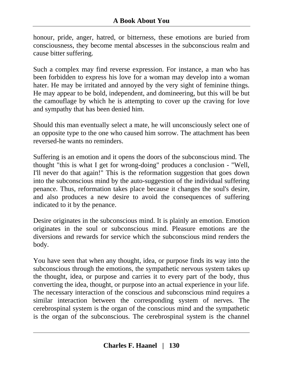honour, pride, anger, hatred, or bitterness, these emotions are buried from consciousness, they become mental abscesses in the subconscious realm and cause bitter suffering.

Such a complex may find reverse expression. For instance, a man who has been forbidden to express his love for a woman may develop into a woman hater. He may be irritated and annoyed by the very sight of feminine things. He may appear to be bold, independent, and domineering, but this will be but the camouflage by which he is attempting to cover up the craving for love and sympathy that has been denied him.

Should this man eventually select a mate, he will unconsciously select one of an opposite type to the one who caused him sorrow. The attachment has been reversed-he wants no reminders.

Suffering is an emotion and it opens the doors of the subconscious mind. The thought "this is what I get for wrong-doing" produces a conclusion - "Well, I'll never do that again!" This is the reformation suggestion that goes down into the subconscious mind by the auto-suggestion of the individual suffering penance. Thus, reformation takes place because it changes the soul's desire, and also produces a new desire to avoid the consequences of suffering indicated to it by the penance.

Desire originates in the subconscious mind. It is plainly an emotion. Emotion originates in the soul or subconscious mind. Pleasure emotions are the diversions and rewards for service which the subconscious mind renders the body.

You have seen that when any thought, idea, or purpose finds its way into the subconscious through the emotions, the sympathetic nervous system takes up the thought, idea, or purpose and carries it to every part of the body, thus converting the idea, thought, or purpose into an actual experience in your life. The necessary interaction of the conscious and subconscious mind requires a similar interaction between the corresponding system of nerves. The cerebrospinal system is the organ of the conscious mind and the sympathetic is the organ of the subconscious. The cerebrospinal system is the channel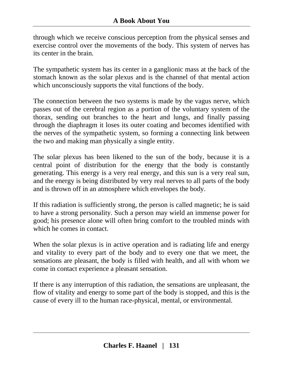through which we receive conscious perception from the physical senses and exercise control over the movements of the body. This system of nerves has its center in the brain.

The sympathetic system has its center in a ganglionic mass at the back of the stomach known as the solar plexus and is the channel of that mental action which unconsciously supports the vital functions of the body.

The connection between the two systems is made by the vagus nerve, which passes out of the cerebral region as a portion of the voluntary system of the thorax, sending out branches to the heart and lungs, and finally passing through the diaphragm it loses its outer coating and becomes identified with the nerves of the sympathetic system, so forming a connecting link between the two and making man physically a single entity.

The solar plexus has been likened to the sun of the body, because it is a central point of distribution for the energy that the body is constantly generating. This energy is a very real energy, and this sun is a very real sun, and the energy is being distributed by very real nerves to all parts of the body and is thrown off in an atmosphere which envelopes the body.

If this radiation is sufficiently strong, the person is called magnetic; he is said to have a strong personality. Such a person may wield an immense power for good; his presence alone will often bring comfort to the troubled minds with which he comes in contact.

When the solar plexus is in active operation and is radiating life and energy and vitality to every part of the body and to every one that we meet, the sensations are pleasant, the body is filled with health, and all with whom we come in contact experience a pleasant sensation.

If there is any interruption of this radiation, the sensations are unpleasant, the flow of vitality and energy to some part of the body is stopped, and this is the cause of every ill to the human race-physical, mental, or environmental.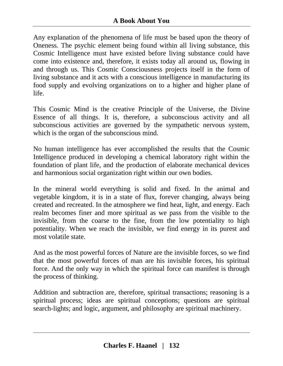Any explanation of the phenomena of life must be based upon the theory of Oneness. The psychic element being found within all living substance, this Cosmic Intelligence must have existed before living substance could have come into existence and, therefore, it exists today all around us, flowing in and through us. This Cosmic Consciousness projects itself in the form of living substance and it acts with a conscious intelligence in manufacturing its food supply and evolving organizations on to a higher and higher plane of life.

This Cosmic Mind is the creative Principle of the Universe, the Divine Essence of all things. It is, therefore, a subconscious activity and all subconscious activities are governed by the sympathetic nervous system, which is the organ of the subconscious mind.

No human intelligence has ever accomplished the results that the Cosmic Intelligence produced in developing a chemical laboratory right within the foundation of plant life, and the production of elaborate mechanical devices and harmonious social organization right within our own bodies.

In the mineral world everything is solid and fixed. In the animal and vegetable kingdom, it is in a state of flux, forever changing, always being created and recreated. In the atmosphere we find heat, light, and energy. Each realm becomes finer and more spiritual as we pass from the visible to the invisible, from the coarse to the fine, from the low potentiality to high potentiality. When we reach the invisible, we find energy in its purest and most volatile state.

And as the most powerful forces of Nature are the invisible forces, so we find that the most powerful forces of man are his invisible forces, his spiritual force. And the only way in which the spiritual force can manifest is through the process of thinking.

Addition and subtraction are, therefore, spiritual transactions; reasoning is a spiritual process; ideas are spiritual conceptions; questions are spiritual search-lights; and logic, argument, and philosophy are spiritual machinery.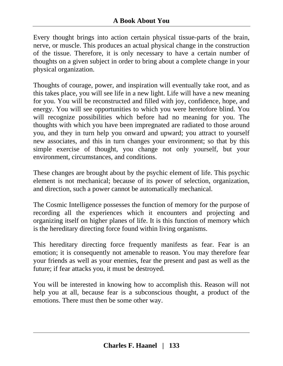Every thought brings into action certain physical tissue-parts of the brain, nerve, or muscle. This produces an actual physical change in the construction of the tissue. Therefore, it is only necessary to have a certain number of thoughts on a given subject in order to bring about a complete change in your physical organization.

Thoughts of courage, power, and inspiration will eventually take root, and as this takes place, you will see life in a new light. Life will have a new meaning for you. You will be reconstructed and filled with joy, confidence, hope, and energy. You will see opportunities to which you were heretofore blind. You will recognize possibilities which before had no meaning for you. The thoughts with which you have been impregnated are radiated to those around you, and they in turn help you onward and upward; you attract to yourself new associates, and this in turn changes your environment; so that by this simple exercise of thought, you change not only yourself, but your environment, circumstances, and conditions.

These changes are brought about by the psychic element of life. This psychic element is not mechanical; because of its power of selection, organization, and direction, such a power cannot be automatically mechanical.

The Cosmic Intelligence possesses the function of memory for the purpose of recording all the experiences which it encounters and projecting and organizing itself on higher planes of life. It is this function of memory which is the hereditary directing force found within living organisms.

This hereditary directing force frequently manifests as fear. Fear is an emotion; it is consequently not amenable to reason. You may therefore fear your friends as well as your enemies, fear the present and past as well as the future; if fear attacks you, it must be destroyed.

You will be interested in knowing how to accomplish this. Reason will not help you at all, because fear is a subconscious thought, a product of the emotions. There must then be some other way.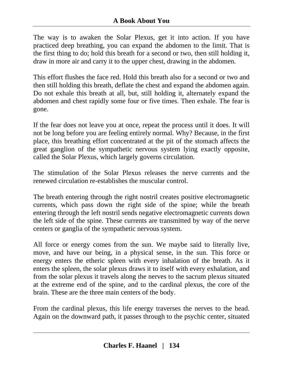The way is to awaken the Solar Plexus, get it into action. If you have practiced deep breathing, you can expand the abdomen to the limit. That is the first thing to do; hold this breath for a second or two, then still holding it, draw in more air and carry it to the upper chest, drawing in the abdomen.

This effort flushes the face red. Hold this breath also for a second or two and then still holding this breath, deflate the chest and expand the abdomen again. Do not exhale this breath at all, but, still holding it, alternately expand the abdomen and chest rapidly some four or five times. Then exhale. The fear is gone.

If the fear does not leave you at once, repeat the process until it does. It will not be long before you are feeling entirely normal. Why? Because, in the first place, this breathing effort concentrated at the pit of the stomach affects the great ganglion of the sympathetic nervous system lying exactly opposite, called the Solar Plexus, which largely governs circulation.

The stimulation of the Solar Plexus releases the nerve currents and the renewed circulation re-establishes the muscular control.

The breath entering through the right nostril creates positive electromagnetic currents, which pass down the right side of the spine; while the breath entering through the left nostril sends negative electromagnetic currents down the left side of the spine. These currents are transmitted by way of the nerve centers or ganglia of the sympathetic nervous system.

All force or energy comes from the sun. We maybe said to literally live, move, and have our being, in a physical sense, in the sun. This force or energy enters the etheric spleen with every inhalation of the breath. As it enters the spleen, the solar plexus draws it to itself with every exhalation, and from the solar plexus it travels along the nerves to the sacrum plexus situated at the extreme end of the spine, and to the cardinal plexus, the core of the brain. These are the three main centers of the body.

From the cardinal plexus, this life energy traverses the nerves to the head. Again on the downward path, it passes through to the psychic center, situated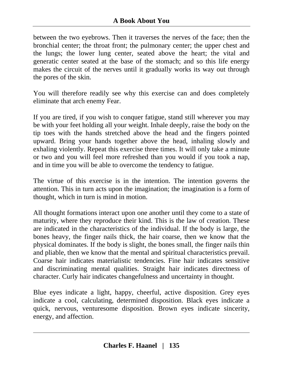between the two eyebrows. Then it traverses the nerves of the face; then the bronchial center; the throat front; the pulmonary center; the upper chest and the lungs; the lower lung center, seated above the heart; the vital and generatic center seated at the base of the stomach; and so this life energy makes the circuit of the nerves until it gradually works its way out through the pores of the skin.

You will therefore readily see why this exercise can and does completely eliminate that arch enemy Fear.

If you are tired, if you wish to conquer fatigue, stand still wherever you may be with your feet holding all your weight. Inhale deeply, raise the body on the tip toes with the hands stretched above the head and the fingers pointed upward. Bring your hands together above the head, inhaling slowly and exhaling violently. Repeat this exercise three times. It will only take a minute or two and you will feel more refreshed than you would if you took a nap, and in time you will be able to overcome the tendency to fatigue.

The virtue of this exercise is in the intention. The intention governs the attention. This in turn acts upon the imagination; the imagination is a form of thought, which in turn is mind in motion.

All thought formations interact upon one another until they come to a state of maturity, where they reproduce their kind. This is the law of creation. These are indicated in the characteristics of the individual. If the body is large, the bones heavy, the finger nails thick, the hair coarse, then we know that the physical dominates. If the body is slight, the bones small, the finger nails thin and pliable, then we know that the mental and spiritual characteristics prevail. Coarse hair indicates materialistic tendencies. Fine hair indicates sensitive and discriminating mental qualities. Straight hair indicates directness of character. Curly hair indicates changefulness and uncertainty in thought.

Blue eyes indicate a light, happy, cheerful, active disposition. Grey eyes indicate a cool, calculating, determined disposition. Black eyes indicate a quick, nervous, venturesome disposition. Brown eyes indicate sincerity, energy, and affection.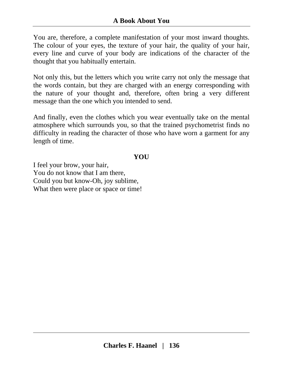You are, therefore, a complete manifestation of your most inward thoughts. The colour of your eyes, the texture of your hair, the quality of your hair, every line and curve of your body are indications of the character of the thought that you habitually entertain.

Not only this, but the letters which you write carry not only the message that the words contain, but they are charged with an energy corresponding with the nature of your thought and, therefore, often bring a very different message than the one which you intended to send.

And finally, even the clothes which you wear eventually take on the mental atmosphere which surrounds you, so that the trained psychometrist finds no difficulty in reading the character of those who have worn a garment for any length of time.

## **YOU**

I feel your brow, your hair, You do not know that I am there, Could you but know-Oh, joy sublime, What then were place or space or time!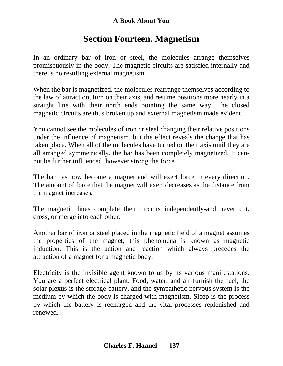## **Section Fourteen. Magnetism**

In an ordinary bar of iron or steel, the molecules arrange themselves promiscuously in the body. The magnetic circuits are satisfied internally and there is no resulting external magnetism.

When the bar is magnetized, the molecules rearrange themselves according to the law of attraction, turn on their axis, and resume positions more nearly in a straight line with their north ends pointing the same way. The closed magnetic circuits are thus broken up and external magnetism made evident.

You cannot see the molecules of iron or steel changing their relative positions under the influence of magnetism, but the effect reveals the change that has taken place. When all of the molecules have turned on their axis until they are all arranged symmetrically, the bar has been completely magnetized. It cannot be further influenced, however strong the force.

The bar has now become a magnet and will exert force in every direction. The amount of force that the magnet will exert decreases as the distance from the magnet increases.

The magnetic lines complete their circuits independently-and never cut, cross, or merge into each other.

Another bar of iron or steel placed in the magnetic field of a magnet assumes the properties of the magnet; this phenomena is known as magnetic induction. This is the action and reaction which always precedes the attraction of a magnet for a magnetic body.

Electricity is the invisible agent known to us by its various manifestations. You are a perfect electrical plant. Food, water, and air furnish the fuel, the solar plexus is the storage battery, and the sympathetic nervous system is the medium by which the body is charged with magnetism. Sleep is the process by which the battery is recharged and the vital processes replenished and renewed.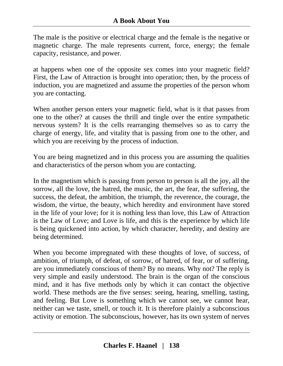The male is the positive or electrical charge and the female is the negative or magnetic charge. The male represents current, force, energy; the female capacity, resistance, and power.

at happens when one of the opposite sex comes into your magnetic field? First, the Law of Attraction is brought into operation; then, by the process of induction, you are magnetized and assume the properties of the person whom you are contacting.

When another person enters your magnetic field, what is it that passes from one to the other? at causes the thrill and tingle over the entire sympathetic nervous system? It is the cells rearranging themselves so as to carry the charge of energy, life, and vitality that is passing from one to the other, and which you are receiving by the process of induction.

You are being magnetized and in this process you are assuming the qualities and characteristics of the person whom you are contacting.

In the magnetism which is passing from person to person is all the joy, all the sorrow, all the love, the hatred, the music, the art, the fear, the suffering, the success, the defeat, the ambition, the triumph, the reverence, the courage, the wisdom, the virtue, the beauty, which heredity and environment have stored in the life of your love; for it is nothing less than love, this Law of Attraction is the Law of Love; and Love is life, and this is the experience by which life is being quickened into action, by which character, heredity, and destiny are being determined.

When you become impregnated with these thoughts of love, of success, of ambition, of triumph, of defeat, of sorrow, of hatred, of fear, or of suffering, are you immediately conscious of them? By no means. Why not? The reply is very simple and easily understood. The brain is the organ of the conscious mind, and it has five methods only by which it can contact the objective world. These methods are the five senses: seeing, hearing, smelling, tasting, and feeling. But Love is something which we cannot see, we cannot hear, neither can we taste, smell, or touch it. It is therefore plainly a subconscious activity or emotion. The subconscious, however, has its own system of nerves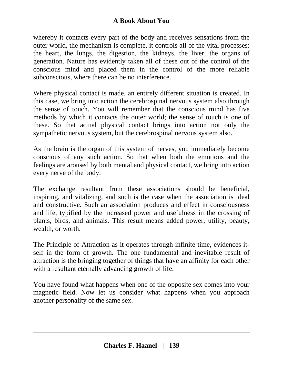whereby it contacts every part of the body and receives sensations from the outer world, the mechanism is complete, it controls all of the vital processes: the heart, the lungs, the digestion, the kidneys, the liver, the organs of generation. Nature has evidently taken all of these out of the control of the conscious mind and placed them in the control of the more reliable subconscious, where there can be no interference.

Where physical contact is made, an entirely different situation is created. In this case, we bring into action the cerebrospinal nervous system also through the sense of touch. You will remember that the conscious mind has five methods by which it contacts the outer world; the sense of touch is one of these. So that actual physical contact brings into action not only the sympathetic nervous system, but the cerebrospinal nervous system also.

As the brain is the organ of this system of nerves, you immediately become conscious of any such action. So that when both the emotions and the feelings are aroused by both mental and physical contact, we bring into action every nerve of the body.

The exchange resultant from these associations should be beneficial, inspiring, and vitalizing, and such is the case when the association is ideal and constructive. Such an association produces and effect in consciousness and life, typified by the increased power and usefulness in the crossing of plants, birds, and animals. This result means added power, utility, beauty, wealth, or worth.

The Principle of Attraction as it operates through infinite time, evidences itself in the form of growth. The one fundamental and inevitable result of attraction is the bringing together of things that have an affinity for each other with a resultant eternally advancing growth of life.

You have found what happens when one of the opposite sex comes into your magnetic field. Now let us consider what happens when you approach another personality of the same sex.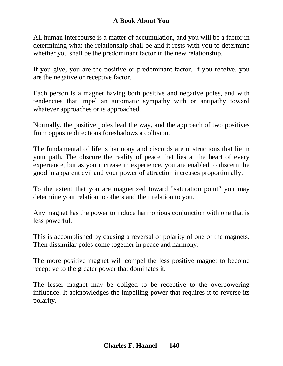All human intercourse is a matter of accumulation, and you will be a factor in determining what the relationship shall be and it rests with you to determine whether you shall be the predominant factor in the new relationship.

If you give, you are the positive or predominant factor. If you receive, you are the negative or receptive factor.

Each person is a magnet having both positive and negative poles, and with tendencies that impel an automatic sympathy with or antipathy toward whatever approaches or is approached.

Normally, the positive poles lead the way, and the approach of two positives from opposite directions foreshadows a collision.

The fundamental of life is harmony and discords are obstructions that lie in your path. The obscure the reality of peace that lies at the heart of every experience, but as you increase in experience, you are enabled to discern the good in apparent evil and your power of attraction increases proportionally.

To the extent that you are magnetized toward "saturation point" you may determine your relation to others and their relation to you.

Any magnet has the power to induce harmonious conjunction with one that is less powerful.

This is accomplished by causing a reversal of polarity of one of the magnets. Then dissimilar poles come together in peace and harmony.

The more positive magnet will compel the less positive magnet to become receptive to the greater power that dominates it.

The lesser magnet may be obliged to be receptive to the overpowering influence. It acknowledges the impelling power that requires it to reverse its polarity.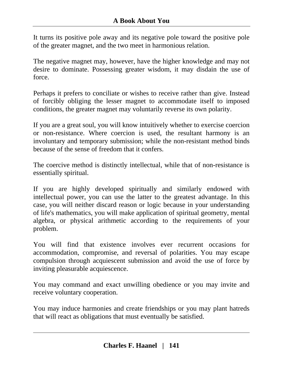It turns its positive pole away and its negative pole toward the positive pole of the greater magnet, and the two meet in harmonious relation.

The negative magnet may, however, have the higher knowledge and may not desire to dominate. Possessing greater wisdom, it may disdain the use of force.

Perhaps it prefers to conciliate or wishes to receive rather than give. Instead of forcibly obliging the lesser magnet to accommodate itself to imposed conditions, the greater magnet may voluntarily reverse its own polarity.

If you are a great soul, you will know intuitively whether to exercise coercion or non-resistance. Where coercion is used, the resultant harmony is an involuntary and temporary submission; while the non-resistant method binds because of the sense of freedom that it confers.

The coercive method is distinctly intellectual, while that of non-resistance is essentially spiritual.

If you are highly developed spiritually and similarly endowed with intellectual power, you can use the latter to the greatest advantage. In this case, you will neither discard reason or logic because in your understanding of life's mathematics, you will make application of spiritual geometry, mental algebra, or physical arithmetic according to the requirements of your problem.

You will find that existence involves ever recurrent occasions for accommodation, compromise, and reversal of polarities. You may escape compulsion through acquiescent submission and avoid the use of force by inviting pleasurable acquiescence.

You may command and exact unwilling obedience or you may invite and receive voluntary cooperation.

You may induce harmonies and create friendships or you may plant hatreds that will react as obligations that must eventually be satisfied.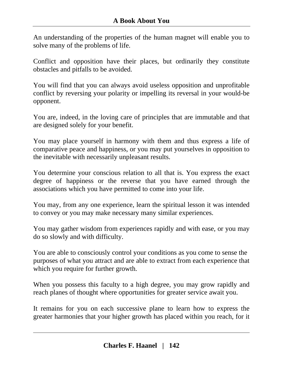An understanding of the properties of the human magnet will enable you to solve many of the problems of life.

Conflict and opposition have their places, but ordinarily they constitute obstacles and pitfalls to be avoided.

You will find that you can always avoid useless opposition and unprofitable conflict by reversing your polarity or impelling its reversal in your would-be opponent.

You are, indeed, in the loving care of principles that are immutable and that are designed solely for your benefit.

You may place yourself in harmony with them and thus express a life of comparative peace and happiness, or you may put yourselves in opposition to the inevitable with necessarily unpleasant results.

You determine your conscious relation to all that is. You express the exact degree of happiness or the reverse that you have earned through the associations which you have permitted to come into your life.

You may, from any one experience, learn the spiritual lesson it was intended to convey or you may make necessary many similar experiences.

You may gather wisdom from experiences rapidly and with ease, or you may do so slowly and with difficulty.

You are able to consciously control your conditions as you come to sense the purposes of what you attract and are able to extract from each experience that which you require for further growth.

When you possess this faculty to a high degree, you may grow rapidly and reach planes of thought where opportunities for greater service await you.

It remains for you on each successive plane to learn how to express the greater harmonies that your higher growth has placed within you reach, for it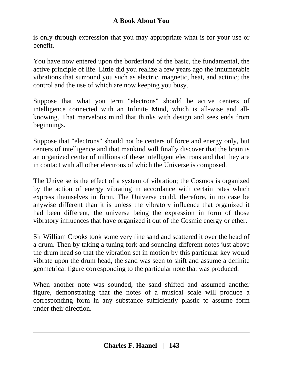is only through expression that you may appropriate what is for your use or benefit.

You have now entered upon the borderland of the basic, the fundamental, the active principle of life. Little did you realize a few years ago the innumerable vibrations that surround you such as electric, magnetic, heat, and actinic; the control and the use of which are now keeping you busy.

Suppose that what you term "electrons" should be active centers of intelligence connected with an Infinite Mind, which is all-wise and allknowing. That marvelous mind that thinks with design and sees ends from beginnings.

Suppose that "electrons" should not be centers of force and energy only, but centers of intelligence and that mankind will finally discover that the brain is an organized center of millions of these intelligent electrons and that they are in contact with all other electrons of which the Universe is composed.

The Universe is the effect of a system of vibration; the Cosmos is organized by the action of energy vibrating in accordance with certain rates which express themselves in form. The Universe could, therefore, in no case be anywise different than it is unless the vibratory influence that organized it had been different, the universe being the expression in form of those vibratory influences that have organized it out of the Cosmic energy or ether.

Sir William Crooks took some very fine sand and scattered it over the head of a drum. Then by taking a tuning fork and sounding different notes just above the drum head so that the vibration set in motion by this particular key would vibrate upon the drum head, the sand was seen to shift and assume a definite geometrical figure corresponding to the particular note that was produced.

When another note was sounded, the sand shifted and assumed another figure, demonstrating that the notes of a musical scale will produce a corresponding form in any substance sufficiently plastic to assume form under their direction.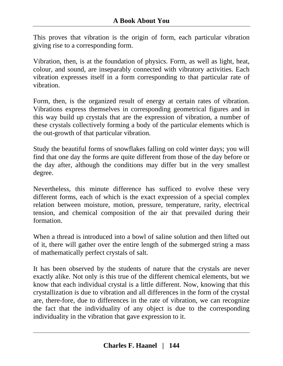This proves that vibration is the origin of form, each particular vibration giving rise to a corresponding form.

Vibration, then, is at the foundation of physics. Form, as well as light, heat, colour, and sound, are inseparably connected with vibratory activities. Each vibration expresses itself in a form corresponding to that particular rate of vibration.

Form, then, is the organized result of energy at certain rates of vibration. Vibrations express themselves in corresponding geometrical figures and in this way build up crystals that are the expression of vibration, a number of these crystals collectively forming a body of the particular elements which is the out-growth of that particular vibration.

Study the beautiful forms of snowflakes falling on cold winter days; you will find that one day the forms are quite different from those of the day before or the day after, although the conditions may differ but in the very smallest degree.

Nevertheless, this minute difference has sufficed to evolve these very different forms, each of which is the exact expression of a special complex relation between moisture, motion, pressure, temperature, rarity, electrical tension, and chemical composition of the air that prevailed during their formation.

When a thread is introduced into a bowl of saline solution and then lifted out of it, there will gather over the entire length of the submerged string a mass of mathematically perfect crystals of salt.

It has been observed by the students of nature that the crystals are never exactly alike. Not only is this true of the different chemical elements, but we know that each individual crystal is a little different. Now, knowing that this crystallization is due to vibration and all differences in the form of the crystal are, there-fore, due to differences in the rate of vibration, we can recognize the fact that the individuality of any object is due to the corresponding individuality in the vibration that gave expression to it.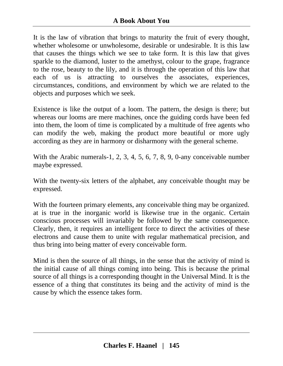It is the law of vibration that brings to maturity the fruit of every thought, whether wholesome or unwholesome, desirable or undesirable. It is this law that causes the things which we see to take form. It is this law that gives sparkle to the diamond, luster to the amethyst, colour to the grape, fragrance to the rose, beauty to the lily, and it is through the operation of this law that each of us is attracting to ourselves the associates, experiences, circumstances, conditions, and environment by which we are related to the objects and purposes which we seek.

Existence is like the output of a loom. The pattern, the design is there; but whereas our looms are mere machines, once the guiding cords have been fed into them, the loom of time is complicated by a multitude of free agents who can modify the web, making the product more beautiful or more ugly according as they are in harmony or disharmony with the general scheme.

With the Arabic numerals-1, 2, 3, 4, 5, 6, 7, 8, 9, 0-any conceivable number maybe expressed.

With the twenty-six letters of the alphabet, any conceivable thought may be expressed.

With the fourteen primary elements, any conceivable thing may be organized. at is true in the inorganic world is likewise true in the organic. Certain conscious processes will invariably be followed by the same consequence. Clearly, then, it requires an intelligent force to direct the activities of these electrons and cause them to unite with regular mathematical precision, and thus bring into being matter of every conceivable form.

Mind is then the source of all things, in the sense that the activity of mind is the initial cause of all things coming into being. This is because the primal source of all things is a corresponding thought in the Universal Mind. It is the essence of a thing that constitutes its being and the activity of mind is the cause by which the essence takes form.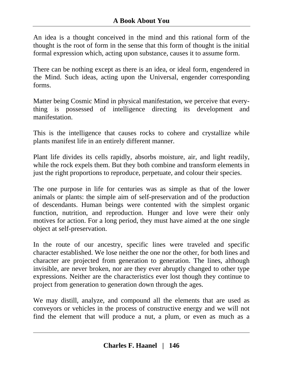An idea is a thought conceived in the mind and this rational form of the thought is the root of form in the sense that this form of thought is the initial formal expression which, acting upon substance, causes it to assume form.

There can be nothing except as there is an idea, or ideal form, engendered in the Mind. Such ideas, acting upon the Universal, engender corresponding forms.

Matter being Cosmic Mind in physical manifestation, we perceive that everything is possessed of intelligence directing its development and manifestation.

This is the intelligence that causes rocks to cohere and crystallize while plants manifest life in an entirely different manner.

Plant life divides its cells rapidly, absorbs moisture, air, and light readily, while the rock expels them. But they both combine and transform elements in just the right proportions to reproduce, perpetuate, and colour their species.

The one purpose in life for centuries was as simple as that of the lower animals or plants: the simple aim of self-preservation and of the production of descendants. Human beings were contented with the simplest organic function, nutrition, and reproduction. Hunger and love were their only motives for action. For a long period, they must have aimed at the one single object at self-preservation.

In the route of our ancestry, specific lines were traveled and specific character established. We lose neither the one nor the other, for both lines and character are projected from generation to generation. The lines, although invisible, are never broken, nor are they ever abruptly changed to other type expressions. Neither are the characteristics ever lost though they continue to project from generation to generation down through the ages.

We may distill, analyze, and compound all the elements that are used as conveyors or vehicles in the process of constructive energy and we will not find the element that will produce a nut, a plum, or even as much as a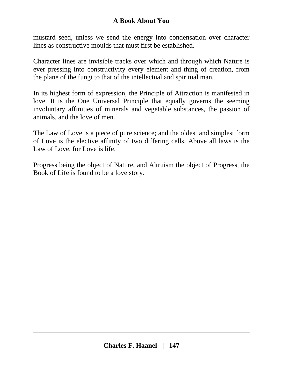mustard seed, unless we send the energy into condensation over character lines as constructive moulds that must first be established.

Character lines are invisible tracks over which and through which Nature is ever pressing into constructivity every element and thing of creation, from the plane of the fungi to that of the intellectual and spiritual man.

In its highest form of expression, the Principle of Attraction is manifested in love. It is the One Universal Principle that equally governs the seeming involuntary affinities of minerals and vegetable substances, the passion of animals, and the love of men.

The Law of Love is a piece of pure science; and the oldest and simplest form of Love is the elective affinity of two differing cells. Above all laws is the Law of Love, for Love is life.

Progress being the object of Nature, and Altruism the object of Progress, the Book of Life is found to be a love story.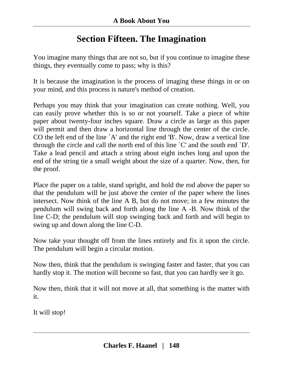#### **Section Fifteen. The Imagination**

You imagine many things that are not so, but if you continue to imagine these things, they eventually come to pass; why is this?

It is because the imagination is the process of imaging these things in or on your mind, and this process is nature's method of creation.

Perhaps you may think that your imagination can create nothing. Well, you can easily prove whether this is so or not yourself. Take a piece of white paper about twenty-four inches square. Draw a circle as large as this paper will permit and then draw a horizontal line through the center of the circle. CO the left end of the line `A' and the right end 'B'. Now, draw a vertical line through the circle and call the north end of this line `C' and the south end `D'. Take a lead pencil and attach a string about eight inches long and upon the end of the string tie a small weight about the size of a quarter. Now, then, for the proof.

Place the paper on a table, stand upright, and hold the rod above the paper so that the pendulum will be just above the center of the paper where the lines intersect. Now think of the line A B, but do not move; in a few minutes the pendulum will swing back and forth along the line A -B. Now think of the line C-D; the pendulum will stop swinging back and forth and will begin to swing up and down along the line C-D.

Now take your thought off from the lines entirely and fix it upon the circle. The pendulum will begin a circular motion.

Now then, think that the pendulum is swinging faster and faster, that you can hardly stop it. The motion will become so fast, that you can hardly see it go.

Now then, think that it will not move at all, that something is the matter with it.

It will stop!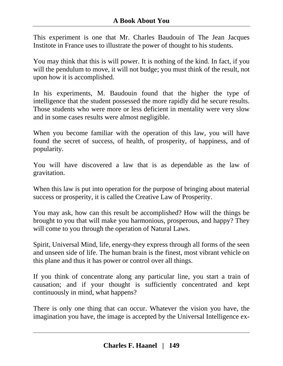This experiment is one that Mr. Charles Baudouin of The Jean Jacques Institote in France uses to illustrate the power of thought to his students.

You may think that this is will power. It is nothing of the kind. In fact, if you will the pendulum to move, it will not budge; you must think of the result, not upon how it is accomplished.

In his experiments, M. Baudouin found that the higher the type of intelligence that the student possessed the more rapidly did he secure results. Those students who were more or less deficient in mentality were very slow and in some cases results were almost negligible.

When you become familiar with the operation of this law, you will have found the secret of success, of health, of prosperity, of happiness, and of popularity.

You will have discovered a law that is as dependable as the law of gravitation.

When this law is put into operation for the purpose of bringing about material success or prosperity, it is called the Creative Law of Prosperity.

You may ask, how can this result be accomplished? How will the things be brought to you that will make you harmonious, prosperous, and happy? They will come to you through the operation of Natural Laws.

Spirit, Universal Mind, life, energy-they express through all forms of the seen and unseen side of life. The human brain is the finest, most vibrant vehicle on this plane and thus it has power or control over all things.

If you think of concentrate along any particular line, you start a train of causation; and if your thought is sufficiently concentrated and kept continuously in mind, what happens?

There is only one thing that can occur. Whatever the vision you have, the imagination you have, the image is accepted by the Universal Intelligence ex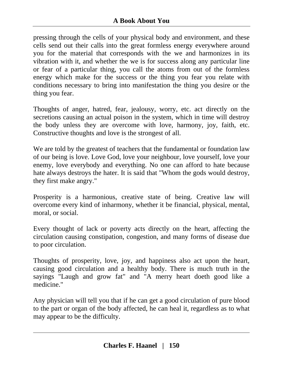pressing through the cells of your physical body and environment, and these cells send out their calls into the great formless energy everywhere around you for the material that corresponds with the we and harmonizes in its vibration with it, and whether the we is for success along any particular line or fear of a particular thing, you call the atoms from out of the formless energy which make for the success or the thing you fear you relate with conditions necessary to bring into manifestation the thing you desire or the thing you fear.

Thoughts of anger, hatred, fear, jealousy, worry, etc. act directly on the secretions causing an actual poison in the system, which in time will destroy the body unless they are overcome with love, harmony, joy, faith, etc. Constructive thoughts and love is the strongest of all.

We are told by the greatest of teachers that the fundamental or foundation law of our being is love. Love God, love your neighbour, love yourself, love your enemy, love everybody and everything. No one can afford to hate because hate always destroys the hater. It is said that "Whom the gods would destroy, they first make angry."

Prosperity is a harmonious, creative state of being. Creative law will overcome every kind of inharmony, whether it be financial, physical, mental, moral, or social.

Every thought of lack or poverty acts directly on the heart, affecting the circulation causing constipation, congestion, and many forms of disease due to poor circulation.

Thoughts of prosperity, love, joy, and happiness also act upon the heart, causing good circulation and a healthy body. There is much truth in the sayings "Laugh and grow fat" and "A merry heart doeth good like a medicine."

Any physician will tell you that if he can get a good circulation of pure blood to the part or organ of the body affected, he can heal it, regardless as to what may appear to be the difficulty.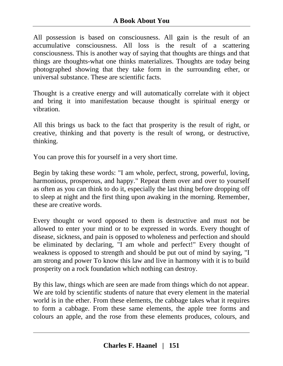All possession is based on consciousness. All gain is the result of an accumulative consciousness. All loss is the result of a scattering consciousness. This is another way of saying that thoughts are things and that things are thoughts-what one thinks materializes. Thoughts are today being photographed showing that they take form in the surrounding ether, or universal substance. These are scientific facts.

Thought is a creative energy and will automatically correlate with it object and bring it into manifestation because thought is spiritual energy or vibration.

All this brings us back to the fact that prosperity is the result of right, or creative, thinking and that poverty is the result of wrong, or destructive, thinking.

You can prove this for yourself in a very short time.

Begin by taking these words: "I am whole, perfect, strong, powerful, loving, harmonious, prosperous, and happy." Repeat them over and over to yourself as often as you can think to do it, especially the last thing before dropping off to sleep at night and the first thing upon awaking in the morning. Remember, these are creative words.

Every thought or word opposed to them is destructive and must not be allowed to enter your mind or to be expressed in words. Every thought of disease, sickness, and pain is opposed to wholeness and perfection and should be eliminated by declaring, "I am whole and perfect!" Every thought of weakness is opposed to strength and should be put out of mind by saying, "I am strong and power To know this law and live in harmony with it is to build prosperity on a rock foundation which nothing can destroy.

By this law, things which are seen are made from things which do not appear. We are told by scientific students of nature that every element in the material world is in the ether. From these elements, the cabbage takes what it requires to form a cabbage. From these same elements, the apple tree forms and colours an apple, and the rose from these elements produces, colours, and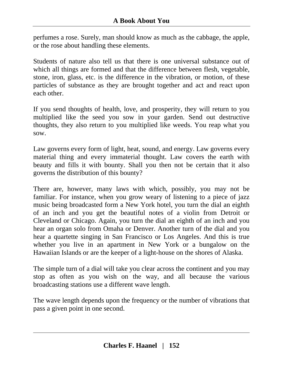perfumes a rose. Surely, man should know as much as the cabbage, the apple, or the rose about handling these elements.

Students of nature also tell us that there is one universal substance out of which all things are formed and that the difference between flesh, vegetable, stone, iron, glass, etc. is the difference in the vibration, or motion, of these particles of substance as they are brought together and act and react upon each other.

If you send thoughts of health, love, and prosperity, they will return to you multiplied like the seed you sow in your garden. Send out destructive thoughts, they also return to you multiplied like weeds. You reap what you sow.

Law governs every form of light, heat, sound, and energy. Law governs every material thing and every immaterial thought. Law covers the earth with beauty and fills it with bounty. Shall you then not be certain that it also governs the distribution of this bounty?

There are, however, many laws with which, possibly, you may not be familiar. For instance, when you grow weary of listening to a piece of jazz music being broadcasted form a New York hotel, you turn the dial an eighth of an inch and you get the beautiful notes of a violin from Detroit or Cleveland or Chicago. Again, you turn the dial an eighth of an inch and you hear an organ solo from Omaha or Denver. Another turn of the dial and you hear a quartette singing in San Francisco or Los Angeles. And this is true whether you live in an apartment in New York or a bungalow on the Hawaiian Islands or are the keeper of a light-house on the shores of Alaska.

The simple turn of a dial will take you clear across the continent and you may stop as often as you wish on the way, and all because the various broadcasting stations use a different wave length.

The wave length depends upon the frequency or the number of vibrations that pass a given point in one second.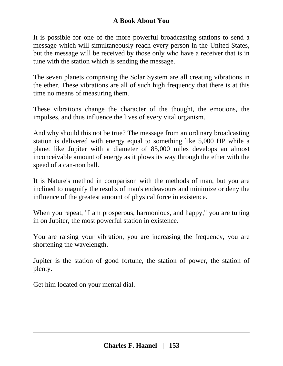It is possible for one of the more powerful broadcasting stations to send a message which will simultaneously reach every person in the United States, but the message will be received by those only who have a receiver that is in tune with the station which is sending the message.

The seven planets comprising the Solar System are all creating vibrations in the ether. These vibrations are all of such high frequency that there is at this time no means of measuring them.

These vibrations change the character of the thought, the emotions, the impulses, and thus influence the lives of every vital organism.

And why should this not be true? The message from an ordinary broadcasting station is delivered with energy equal to something like 5,000 HP while a planet like Jupiter with a diameter of 85,000 miles develops an almost inconceivable amount of energy as it plows its way through the ether with the speed of a can-non ball.

It is Nature's method in comparison with the methods of man, but you are inclined to magnify the results of man's endeavours and minimize or deny the influence of the greatest amount of physical force in existence.

When you repeat, "I am prosperous, harmonious, and happy," you are tuning in on Jupiter, the most powerful station in existence.

You are raising your vibration, you are increasing the frequency, you are shortening the wavelength.

Jupiter is the station of good fortune, the station of power, the station of plenty.

Get him located on your mental dial.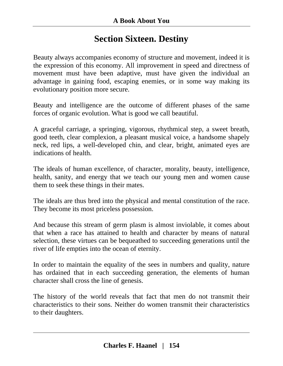#### **Section Sixteen. Destiny**

Beauty always accompanies economy of structure and movement, indeed it is the expression of this economy. All improvement in speed and directness of movement must have been adaptive, must have given the individual an advantage in gaining food, escaping enemies, or in some way making its evolutionary position more secure.

Beauty and intelligence are the outcome of different phases of the same forces of organic evolution. What is good we call beautiful.

A graceful carriage, a springing, vigorous, rhythmical step, a sweet breath, good teeth, clear complexion, a pleasant musical voice, a handsome shapely neck, red lips, a well-developed chin, and clear, bright, animated eyes are indications of health.

The ideals of human excellence, of character, morality, beauty, intelligence, health, sanity, and energy that we teach our young men and women cause them to seek these things in their mates.

The ideals are thus bred into the physical and mental constitution of the race. They become its most priceless possession.

And because this stream of germ plasm is almost inviolable, it comes about that when a race has attained to health and character by means of natural selection, these virtues can be bequeathed to succeeding generations until the river of life empties into the ocean of eternity.

In order to maintain the equality of the sees in numbers and quality, nature has ordained that in each succeeding generation, the elements of human character shall cross the line of genesis.

The history of the world reveals that fact that men do not transmit their characteristics to their sons. Neither do women transmit their characteristics to their daughters.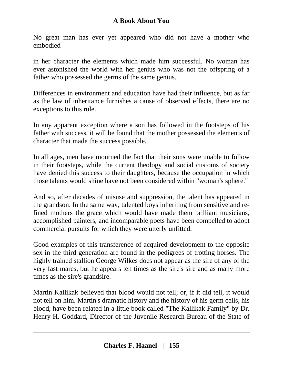No great man has ever yet appeared who did not have a mother who embodied

in her character the elements which made him successful. No woman has ever astonished the world with her genius who was not the offspring of a father who possessed the germs of the same genius.

Differences in environment and education have had their influence, but as far as the law of inheritance furnishes a cause of observed effects, there are no exceptions to this rule.

In any apparent exception where a son has followed in the footsteps of his father with success, it will be found that the mother possessed the elements of character that made the success possible.

In all ages, men have mourned the fact that their sons were unable to follow in their footsteps, while the current theology and social customs of society have denied this success to their daughters, because the occupation in which those talents would shine have not been considered within "woman's sphere."

And so, after decades of misuse and suppression, the talent has appeared in the grandson. In the same way, talented boys inheriting from sensitive and refined mothers the grace which would have made them brilliant musicians, accomplished painters, and incomparable poets have been compelled to adopt commercial pursuits for which they were utterly unfitted.

Good examples of this transference of acquired development to the opposite sex in the third generation are found in the pedigrees of trotting horses. The highly trained stallion George Wilkes does not appear as the sire of any of the very fast mares, but he appears ten times as the sire's sire and as many more times as the sire's grandsire.

Martin Kallikak believed that blood would not tell; or, if it did tell, it would not tell on him. Martin's dramatic history and the history of his germ cells, his blood, have been related in a little book called "The Kallikak Family" by Dr. Henry H. Goddard, Director of the Juvenile Research Bureau of the State of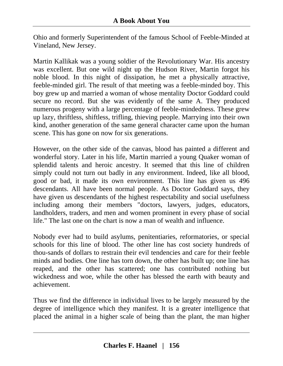Ohio and formerly Superintendent of the famous School of Feeble-Minded at Vineland, New Jersey.

Martin Kallikak was a young soldier of the Revolutionary War. His ancestry was excellent. But one wild night up the Hudson River, Martin forgot his noble blood. In this night of dissipation, he met a physically attractive, feeble-minded girl. The result of that meeting was a feeble-minded boy. This boy grew up and married a woman of whose mentality Doctor Goddard could secure no record. But she was evidently of the same A. They produced numerous progeny with a large percentage of feeble-mindedness. These grew up lazy, thriftless, shiftless, trifling, thieving people. Marrying into their own kind, another generation of the same general character came upon the human scene. This has gone on now for six generations.

However, on the other side of the canvas, blood has painted a different and wonderful story. Later in his life, Martin married a young Quaker woman of splendid talents and heroic ancestry. It seemed that this line of children simply could not turn out badly in any environment. Indeed, like all blood, good or bad, it made its own environment. This line has given us 496 descendants. All have been normal people. As Doctor Goddard says, they have given us descendants of the highest respectability and social usefulness including among their members "doctors, lawyers, judges, educators, landholders, traders, and men and women prominent in every phase of social life." The last one on the chart is now a man of wealth and influence.

Nobody ever had to build asylums, penitentiaries, reformatories, or special schools for this line of blood. The other line has cost society hundreds of thou-sands of dollars to restrain their evil tendencies and care for their feeble minds and bodies. One line has torn down, the other has built up; one line has reaped, and the other has scattered; one has contributed nothing but wickedness and woe, while the other has blessed the earth with beauty and achievement.

Thus we find the difference in individual lives to be largely measured by the degree of intelligence which they manifest. It is a greater intelligence that placed the animal in a higher scale of being than the plant, the man higher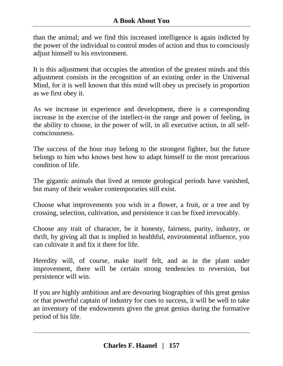than the animal; and we find this increased intelligence is again indicted by the power of the individual to control modes of action and thus to consciously adjust himself to his environment.

It is this adjustment that occupies the attention of the greatest minds and this adjustment consists in the recognition of an existing order in the Universal Mind, for it is well known that this mind will obey us precisely in proportion as we first obey it.

As we increase in experience and development, there is a corresponding increase in the exercise of the intellect-in the range and power of feeling, in the ability to choose, in the power of will, in all executive action, in all selfconsciousness.

The success of the hour may belong to the strongest fighter, but the future belongs to him who knows best how to adapt himself to the most precarious condition of life.

The gigantic animals that lived at remote geological periods have vanished, but many of their weaker contemporaries still exist.

Choose what improvements you wish in a flower, a fruit, or a tree and by crossing, selection, cultivation, and persistence it can be fixed irrevocably.

Choose any trait of character, be it honesty, fairness, purity, industry, or thrift, by giving all that is implied in healthful, environmental influence, you can cultivate it and fix it there for life.

Heredity will, of course, make itself felt, and as in the plant under improvement, there will be certain strong tendencies to reversion, but persistence will win.

If you are highly ambitious and are devouring biographies of this great genius or that powerful captain of industry for cues to success, it will be well to take an inventory of the endowments given the great genius during the formative period of his life.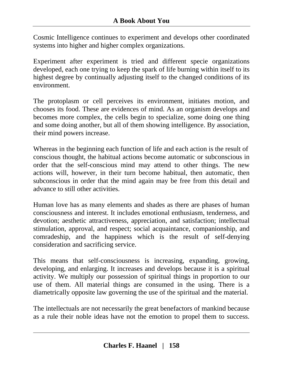Cosmic Intelligence continues to experiment and develops other coordinated systems into higher and higher complex organizations.

Experiment after experiment is tried and different specie organizations developed, each one trying to keep the spark of life burning within itself to its highest degree by continually adjusting itself to the changed conditions of its environment.

The protoplasm or cell perceives its environment, initiates motion, and chooses its food. These are evidences of mind. As an organism develops and becomes more complex, the cells begin to specialize, some doing one thing and some doing another, but all of them showing intelligence. By association, their mind powers increase.

Whereas in the beginning each function of life and each action is the result of conscious thought, the habitual actions become automatic or subconscious in order that the self-conscious mind may attend to other things. The new actions will, however, in their turn become habitual, then automatic, then subconscious in order that the mind again may be free from this detail and advance to still other activities.

Human love has as many elements and shades as there are phases of human consciousness and interest. It includes emotional enthusiasm, tenderness, and devotion; aesthetic attractiveness, appreciation, and satisfaction; intellectual stimulation, approval, and respect; social acquaintance, companionship, and comradeship, and the happiness which is the result of self-denying consideration and sacrificing service.

This means that self-consciousness is increasing, expanding, growing, developing, and enlarging. It increases and develops because it is a spiritual activity. We multiply our possession of spiritual things in proportion to our use of them. All material things are consumed in the using. There is a diametrically opposite law governing the use of the spiritual and the material.

The intellectuals are not necessarily the great benefactors of mankind because as a rule their noble ideas have not the emotion to propel them to success.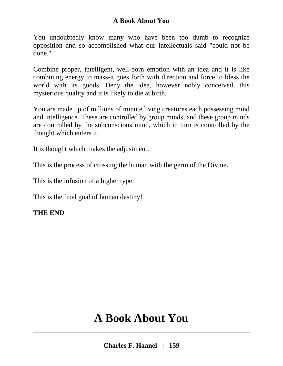You undoubtedly know many who have been too dumb to recognize opposition and so accomplished what our intellectuals said "could not be done."

Combine proper, intelligent, well-born emotion with an idea and it is like combining energy to mass-it goes forth with direction and force to bless the world with its goods. Deny the idea, however nobly conceived, this mysterious quality and it is likely to die at birth.

You are made up of millions of minute living creatures each possessing mind and intelligence. These are controlled by group minds, and these group minds are controlled by the subconscious mind, which in turn is controlled by the thought which enters it.

It is thought which makes the adjustment.

This is the process of crossing the human with the germ of the Divine.

This is the infusion of a higher type.

This is the final goal of human destiny!

#### **THE END**

## **A Book About You**